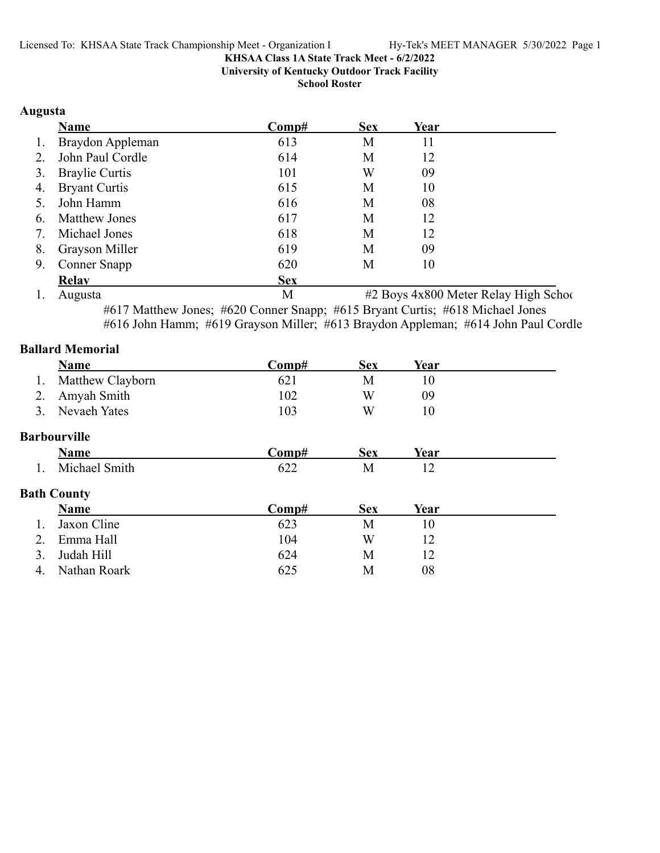**University of Kentucky Outdoor Track Facility**

**School Roster**

### **Augusta**

|    | Name                  | $\bf Comp\#$ | <b>Sex</b> | Year |  |
|----|-----------------------|--------------|------------|------|--|
| 1. | Braydon Appleman      | 613          | М          | 11   |  |
| 2. | John Paul Cordle      | 614          | M          | 12   |  |
| 3. | <b>Braylie Curtis</b> | 101          | W          | 09   |  |
| 4. | <b>Bryant Curtis</b>  | 615          | M          | 10   |  |
| 5. | John Hamm             | 616          | M          | 08   |  |
| 6. | <b>Matthew Jones</b>  | 617          | М          | 12   |  |
| 7. | Michael Jones         | 618          | M          | 12   |  |
| 8. | <b>Grayson Miller</b> | 619          | M          | 09   |  |
| 9. | Conner Snapp          | 620          | M          | 10   |  |
|    | <b>Relav</b>          | <b>Sex</b>   |            |      |  |

1. Augusta M #2 Boys 4x800 Meter Relay High School #617 Matthew Jones; #620 Conner Snapp; #615 Bryant Curtis; #618 Michael Jones

#616 John Hamm; #619 Grayson Miller; #613 Braydon Appleman; #614 John Paul Cordle

|    | <b>Ballard Memorial</b> |       |            |      |  |
|----|-------------------------|-------|------------|------|--|
|    | <b>Name</b>             | Comp# | <b>Sex</b> | Year |  |
| 1. | Matthew Clayborn        | 621   | M          | 10   |  |
| 2. | Amyah Smith             | 102   | W          | 09   |  |
| 3. | Nevaeh Yates            | 103   | W          | 10   |  |
|    | Barbourville            |       |            |      |  |
|    | <b>Name</b>             | Comp# | <b>Sex</b> | Year |  |
|    | Michael Smith           | 622   | M          | 12   |  |
|    | <b>Bath County</b>      |       |            |      |  |
|    | <b>Name</b>             | Comp# | <b>Sex</b> | Year |  |
|    | Jaxon Cline             | 623   | M          | 10   |  |
| 2. | Emma Hall               | 104   | W          | 12   |  |
| 3. | Judah Hill              | 624   | M          | 12   |  |
| 4. | Nathan Roark            | 625   | М          | 08   |  |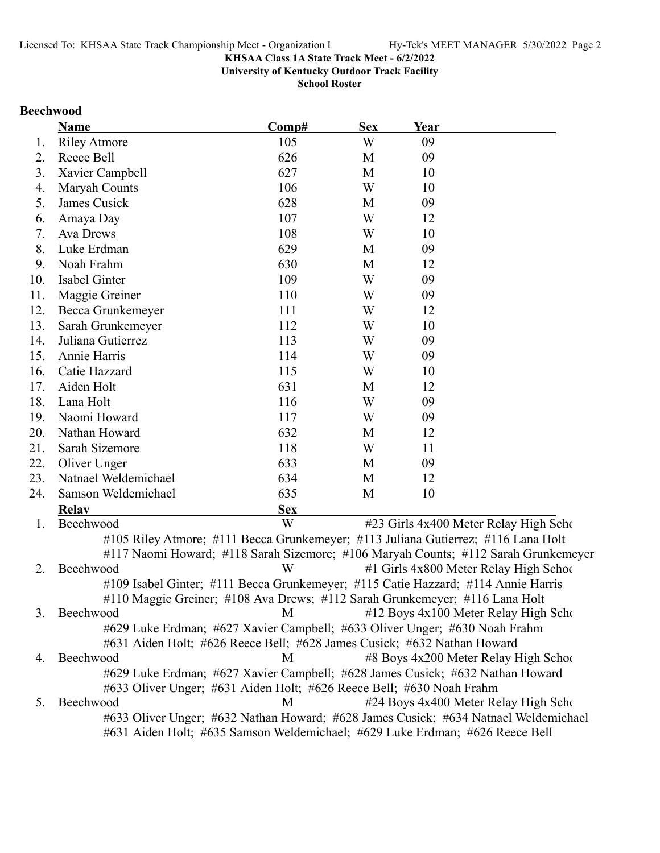**University of Kentucky Outdoor Track Facility**

**School Roster**

### **Beechwood**

|     | <b>Name</b>                                                                         | Comp#      | <b>Sex</b> | Year |                                        |
|-----|-------------------------------------------------------------------------------------|------------|------------|------|----------------------------------------|
| 1.  | <b>Riley Atmore</b>                                                                 | 105        | W          | 09   |                                        |
| 2.  | Reece Bell                                                                          | 626        | M          | 09   |                                        |
| 3.  | Xavier Campbell                                                                     | 627        | M          | 10   |                                        |
| 4.  | Maryah Counts                                                                       | 106        | W          | 10   |                                        |
| 5.  | James Cusick                                                                        | 628        | M          | 09   |                                        |
| 6.  | Amaya Day                                                                           | 107        | W          | 12   |                                        |
| 7.  | Ava Drews                                                                           | 108        | W          | 10   |                                        |
| 8.  | Luke Erdman                                                                         | 629        | M          | 09   |                                        |
| 9.  | Noah Frahm                                                                          | 630        | M          | 12   |                                        |
| 10. | Isabel Ginter                                                                       | 109        | W          | 09   |                                        |
| 11. | Maggie Greiner                                                                      | 110        | W          | 09   |                                        |
| 12. | Becca Grunkemeyer                                                                   | 111        | W          | 12   |                                        |
| 13. | Sarah Grunkemeyer                                                                   | 112        | W          | 10   |                                        |
| 14. | Juliana Gutierrez                                                                   | 113        | W          | 09   |                                        |
| 15. | Annie Harris                                                                        | 114        | W          | 09   |                                        |
| 16. | Catie Hazzard                                                                       | 115        | W          | 10   |                                        |
| 17. | Aiden Holt                                                                          | 631        | M          | 12   |                                        |
| 18. | Lana Holt                                                                           | 116        | W          | 09   |                                        |
| 19. | Naomi Howard                                                                        | 117        | W          | 09   |                                        |
| 20. | Nathan Howard                                                                       | 632        | M          | 12   |                                        |
| 21. | Sarah Sizemore                                                                      | 118        | W          | 11   |                                        |
| 22. | Oliver Unger                                                                        | 633        | M          | 09   |                                        |
| 23. | Natnael Weldemichael                                                                | 634        | M          | 12   |                                        |
| 24. | Samson Weldemichael                                                                 | 635        | M          | 10   |                                        |
|     | <b>Relav</b>                                                                        | <b>Sex</b> |            |      |                                        |
| 1.  | Beechwood                                                                           | W          |            |      | #23 Girls 4x400 Meter Relay High Scho  |
|     | #105 Riley Atmore; #111 Becca Grunkemeyer; #113 Juliana Gutierrez; #116 Lana Holt   |            |            |      |                                        |
|     | #117 Naomi Howard; #118 Sarah Sizemore; #106 Maryah Counts; #112 Sarah Grunkemeyer  |            |            |      |                                        |
| 2.  | Beechwood                                                                           | W          |            |      | #1 Girls 4x800 Meter Relay High School |
|     | #109 Isabel Ginter; #111 Becca Grunkemeyer; #115 Catie Hazzard; #114 Annie Harris   |            |            |      |                                        |
|     | #110 Maggie Greiner; #108 Ava Drews; #112 Sarah Grunkemeyer; #116 Lana Holt         |            |            |      |                                        |
| 3.  | Beechwood                                                                           | M          |            |      | #12 Boys 4x100 Meter Relay High Scho   |
|     | #629 Luke Erdman; #627 Xavier Campbell; #633 Oliver Unger; #630 Noah Frahm          |            |            |      |                                        |
|     | #631 Aiden Holt; #626 Reece Bell; #628 James Cusick; #632 Nathan Howard             |            |            |      |                                        |
| 4.  | Beechwood                                                                           | M          |            |      | #8 Boys 4x200 Meter Relay High School  |
|     | #629 Luke Erdman; #627 Xavier Campbell; #628 James Cusick; #632 Nathan Howard       |            |            |      |                                        |
|     | #633 Oliver Unger; #631 Aiden Holt; #626 Reece Bell; #630 Noah Frahm                |            |            |      |                                        |
| 5.  | Beechwood                                                                           | М          |            |      | #24 Boys 4x400 Meter Relay High Scho   |
|     | #633 Oliver Unger; #632 Nathan Howard; #628 James Cusick; #634 Natnael Weldemichael |            |            |      |                                        |
|     | #631 Aiden Holt; #635 Samson Weldemichael; #629 Luke Erdman; #626 Reece Bell        |            |            |      |                                        |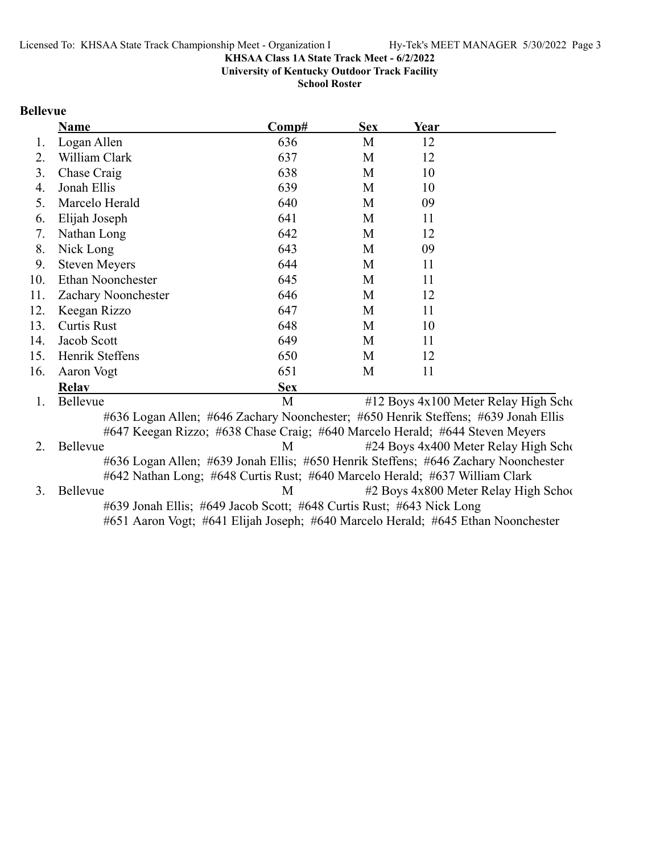**University of Kentucky Outdoor Track Facility**

**School Roster**

### **Bellevue**

|     | <b>Name</b>                                                                        | Comp#      | <b>Sex</b> | Year |                                       |
|-----|------------------------------------------------------------------------------------|------------|------------|------|---------------------------------------|
| 1.  | Logan Allen                                                                        | 636        | M          | 12   |                                       |
| 2.  | William Clark                                                                      | 637        | M          | 12   |                                       |
| 3.  | Chase Craig                                                                        | 638        | M          | 10   |                                       |
| 4.  | Jonah Ellis                                                                        | 639        | M          | 10   |                                       |
| 5.  | Marcelo Herald                                                                     | 640        | M          | 09   |                                       |
| 6.  | Elijah Joseph                                                                      | 641        | M          | 11   |                                       |
| 7.  | Nathan Long                                                                        | 642        | M          | 12   |                                       |
| 8.  | Nick Long                                                                          | 643        | M          | 09   |                                       |
| 9.  | <b>Steven Meyers</b>                                                               | 644        | M          | 11   |                                       |
| 10. | Ethan Noonchester                                                                  | 645        | M          | 11   |                                       |
| 11. | Zachary Noonchester                                                                | 646        | M          | 12   |                                       |
| 12. | Keegan Rizzo                                                                       | 647        | M          | 11   |                                       |
| 13. | <b>Curtis Rust</b>                                                                 | 648        | M          | 10   |                                       |
| 14. | Jacob Scott                                                                        | 649        | M          | 11   |                                       |
| 15. | Henrik Steffens                                                                    | 650        | M          | 12   |                                       |
| 16. | Aaron Vogt                                                                         | 651        | M          | 11   |                                       |
|     | <b>Relav</b>                                                                       | <b>Sex</b> |            |      |                                       |
| 1.  | Bellevue                                                                           | M          |            |      | #12 Boys 4x100 Meter Relay High Scho  |
|     | #636 Logan Allen; #646 Zachary Noonchester; #650 Henrik Steffens; #639 Jonah Ellis |            |            |      |                                       |
|     | #647 Keegan Rizzo; #638 Chase Craig; #640 Marcelo Herald; #644 Steven Meyers       |            |            |      |                                       |
| 2.  | Bellevue                                                                           | M          |            |      | #24 Boys 4x400 Meter Relay High Scho  |
|     | #636 Logan Allen; #639 Jonah Ellis; #650 Henrik Steffens; #646 Zachary Noonchester |            |            |      |                                       |
|     | #642 Nathan Long; #648 Curtis Rust; #640 Marcelo Herald; #637 William Clark        |            |            |      |                                       |
| 3.  | Bellevue                                                                           | M          |            |      | #2 Boys 4x800 Meter Relay High School |
|     | #639 Jonah Ellis; #649 Jacob Scott; #648 Curtis Rust; #643 Nick Long               |            |            |      |                                       |

#651 Aaron Vogt; #641 Elijah Joseph; #640 Marcelo Herald; #645 Ethan Noonchester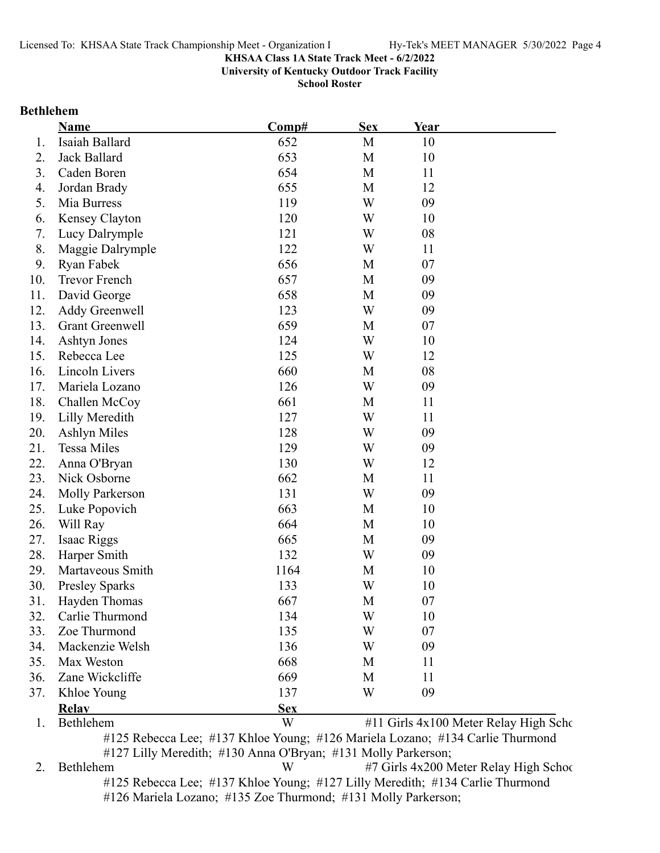**University of Kentucky Outdoor Track Facility**

**School Roster**

#### **Bethlehem**

|     | Name                   | Comp#      | <b>Sex</b> | Year |                                       |
|-----|------------------------|------------|------------|------|---------------------------------------|
| 1.  | Isaiah Ballard         | 652        | M          | 10   |                                       |
| 2.  | Jack Ballard           | 653        | M          | 10   |                                       |
| 3.  | Caden Boren            | 654        | M          | 11   |                                       |
| 4.  | Jordan Brady           | 655        | M          | 12   |                                       |
| 5.  | Mia Burress            | 119        | W          | 09   |                                       |
| 6.  | Kensey Clayton         | 120        | W          | 10   |                                       |
| 7.  | Lucy Dalrymple         | 121        | W          | 08   |                                       |
| 8.  | Maggie Dalrymple       | 122        | W          | 11   |                                       |
| 9.  | Ryan Fabek             | 656        | M          | 07   |                                       |
| 10. | <b>Trevor French</b>   | 657        | M          | 09   |                                       |
| 11. | David George           | 658        | M          | 09   |                                       |
| 12. | Addy Greenwell         | 123        | W          | 09   |                                       |
| 13. | <b>Grant Greenwell</b> | 659        | M          | 07   |                                       |
| 14. | <b>Ashtyn Jones</b>    | 124        | W          | 10   |                                       |
| 15. | Rebecca Lee            | 125        | W          | 12   |                                       |
| 16. | Lincoln Livers         | 660        | M          | 08   |                                       |
| 17. | Mariela Lozano         | 126        | W          | 09   |                                       |
| 18. | Challen McCoy          | 661        | M          | 11   |                                       |
| 19. | Lilly Meredith         | 127        | W          | 11   |                                       |
| 20. | Ashlyn Miles           | 128        | W          | 09   |                                       |
| 21. | <b>Tessa Miles</b>     | 129        | W          | 09   |                                       |
| 22. | Anna O'Bryan           | 130        | W          | 12   |                                       |
| 23. | Nick Osborne           | 662        | M          | 11   |                                       |
| 24. | Molly Parkerson        | 131        | W          | 09   |                                       |
| 25. | Luke Popovich          | 663        | M          | 10   |                                       |
| 26. | Will Ray               | 664        | M          | 10   |                                       |
| 27. | Isaac Riggs            | 665        | M          | 09   |                                       |
| 28. | Harper Smith           | 132        | W          | 09   |                                       |
| 29. | Martaveous Smith       | 1164       | M          | 10   |                                       |
| 30. | <b>Presley Sparks</b>  | 133        | W          | 10   |                                       |
| 31. | Hayden Thomas          | 667        | M          | 07   |                                       |
| 32. | Carlie Thurmond        | 134        | W          | 10   |                                       |
| 33. | Zoe Thurmond           | 135        | W          | 07   |                                       |
| 34. | Mackenzie Welsh        | 136        | W          | 09   |                                       |
| 35. | Max Weston             | 668        | M          | 11   |                                       |
| 36. | Zane Wickcliffe        | 669        | M          | 11   |                                       |
| 37. | Khloe Young            | 137        | W          | 09   |                                       |
|     | <b>Relay</b>           | <b>Sex</b> |            |      |                                       |
| 1.  | Bethlehem              | W          |            |      | #11 Girls 4x100 Meter Relay High Scho |

#125 Rebecca Lee; #137 Khloe Young; #126 Mariela Lozano; #134 Carlie Thurmond #127 Lilly Meredith; #130 Anna O'Bryan; #131 Molly Parkerson;

2. Bethlehem W #7 Girls 4x200 Meter Relay High School #125 Rebecca Lee; #137 Khloe Young; #127 Lilly Meredith; #134 Carlie Thurmond #126 Mariela Lozano; #135 Zoe Thurmond; #131 Molly Parkerson;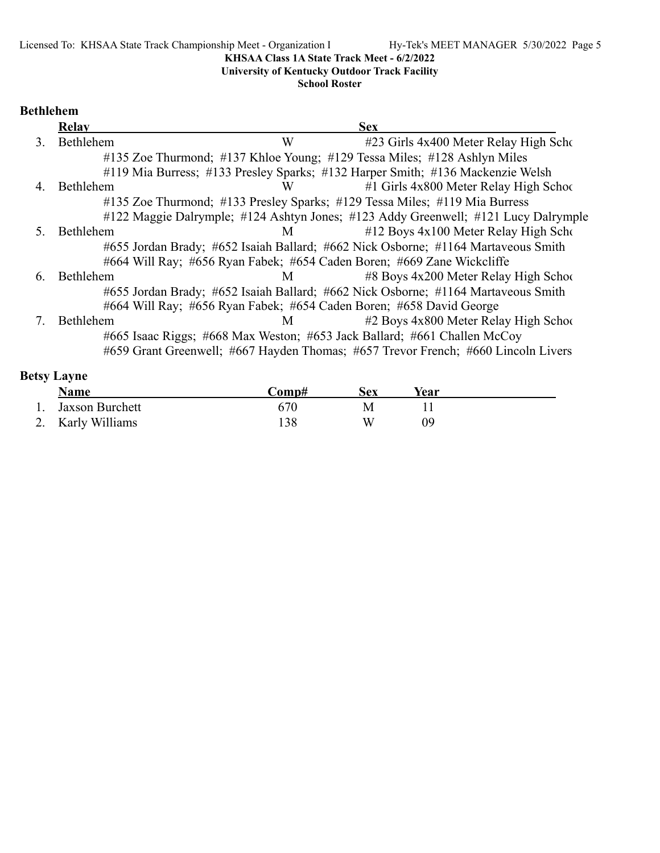**University of Kentucky Outdoor Track Facility**

**School Roster**

### **Bethlehem**

|    | <b>Relay</b> | <b>Sex</b>                                                                         |
|----|--------------|------------------------------------------------------------------------------------|
|    | Bethlehem    | W<br>#23 Girls 4x400 Meter Relay High Scho                                         |
|    |              | #135 Zoe Thurmond; #137 Khloe Young; #129 Tessa Miles; #128 Ashlyn Miles           |
|    |              | #119 Mia Burress; #133 Presley Sparks; #132 Harper Smith; #136 Mackenzie Welsh     |
| 4. | Bethlehem    | $#1$ Girls 4x800 Meter Relay High School<br>W                                      |
|    |              | #135 Zoe Thurmond; #133 Presley Sparks; #129 Tessa Miles; #119 Mia Burress         |
|    |              | #122 Maggie Dalrymple; #124 Ashtyn Jones; #123 Addy Greenwell; #121 Lucy Dalrymple |
|    | Bethlehem    | $#12$ Boys $4x100$ Meter Relay High Scho<br>M                                      |
|    |              | #655 Jordan Brady; #652 Isaiah Ballard; #662 Nick Osborne; #1164 Martaveous Smith  |
|    |              | #664 Will Ray; #656 Ryan Fabek; #654 Caden Boren; #669 Zane Wickcliffe             |
| 6. | Bethlehem    | $\#8$ Boys 4x200 Meter Relay High School<br>M                                      |
|    |              | #655 Jordan Brady; #652 Isaiah Ballard; #662 Nick Osborne; #1164 Martaveous Smith  |
|    |              | #664 Will Ray; #656 Ryan Fabek; #654 Caden Boren; #658 David George                |
|    | Bethlehem    | #2 Boys 4x800 Meter Relay High School<br>M                                         |
|    |              | #665 Isaac Riggs; #668 Max Weston; #653 Jack Ballard; #661 Challen McCoy           |
|    |              | #659 Grant Greenwell; #667 Hayden Thomas; #657 Trevor French; #660 Lincoln Livers  |

| <b>Betsy Layne</b> |                   |       |     |      |  |  |  |  |
|--------------------|-------------------|-------|-----|------|--|--|--|--|
|                    | <b>Name</b>       | Comp# | Sex | Year |  |  |  |  |
|                    | Jaxson Burchett   | 670   | M   |      |  |  |  |  |
|                    | 2. Karly Williams | 138   | W   | Ng   |  |  |  |  |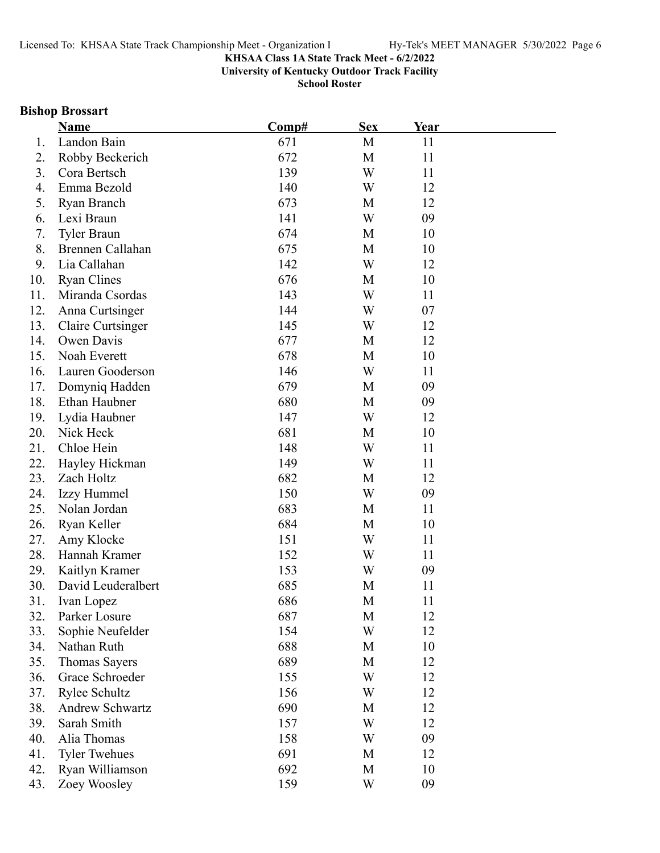**University of Kentucky Outdoor Track Facility**

**School Roster**

### **Bishop Brossart**

|     | <u>Name</u>          | Comp# | <b>Sex</b> | Year |  |
|-----|----------------------|-------|------------|------|--|
| 1.  | Landon Bain          | 671   | M          | 11   |  |
| 2.  | Robby Beckerich      | 672   | M          | 11   |  |
| 3.  | Cora Bertsch         | 139   | W          | 11   |  |
| 4.  | Emma Bezold          | 140   | W          | 12   |  |
| 5.  | Ryan Branch          | 673   | M          | 12   |  |
| 6.  | Lexi Braun           | 141   | W          | 09   |  |
| 7.  | Tyler Braun          | 674   | M          | 10   |  |
| 8.  | Brennen Callahan     | 675   | M          | 10   |  |
| 9.  | Lia Callahan         | 142   | W          | 12   |  |
| 10. | <b>Ryan Clines</b>   | 676   | M          | 10   |  |
| 11. | Miranda Csordas      | 143   | W          | 11   |  |
| 12. | Anna Curtsinger      | 144   | W          | 07   |  |
| 13. | Claire Curtsinger    | 145   | W          | 12   |  |
| 14. | Owen Davis           | 677   | M          | 12   |  |
| 15. | Noah Everett         | 678   | M          | 10   |  |
| 16. | Lauren Gooderson     | 146   | W          | 11   |  |
| 17. | Domyniq Hadden       | 679   | M          | 09   |  |
| 18. | Ethan Haubner        | 680   | M          | 09   |  |
| 19. | Lydia Haubner        | 147   | W          | 12   |  |
| 20. | Nick Heck            | 681   | M          | 10   |  |
| 21. | Chloe Hein           | 148   | W          | 11   |  |
| 22. | Hayley Hickman       | 149   | W          | 11   |  |
| 23. | Zach Holtz           | 682   | M          | 12   |  |
| 24. | Izzy Hummel          | 150   | W          | 09   |  |
| 25. | Nolan Jordan         | 683   | M          | 11   |  |
| 26. | Ryan Keller          | 684   | M          | 10   |  |
| 27. | Amy Klocke           | 151   | W          | 11   |  |
| 28. | Hannah Kramer        | 152   | W          | 11   |  |
| 29. | Kaitlyn Kramer       | 153   | W          | 09   |  |
| 30. | David Leuderalbert   | 685   | M          | 11   |  |
| 31. | Ivan Lopez           | 686   | М          | 11   |  |
| 32. | Parker Losure        | 687   | M          | 12   |  |
| 33. | Sophie Neufelder     | 154   | W          | 12   |  |
| 34. | Nathan Ruth          | 688   | M          | 10   |  |
| 35. | Thomas Sayers        | 689   | M          | 12   |  |
| 36. | Grace Schroeder      | 155   | W          | 12   |  |
| 37. | Rylee Schultz        | 156   | W          | 12   |  |
| 38. | Andrew Schwartz      | 690   | M          | 12   |  |
| 39. | Sarah Smith          | 157   | W          | 12   |  |
| 40. | Alia Thomas          | 158   | W          | 09   |  |
| 41. | <b>Tyler Twehues</b> | 691   | M          | 12   |  |
| 42. | Ryan Williamson      | 692   | M          | 10   |  |
| 43. | Zoey Woosley         | 159   | W          | 09   |  |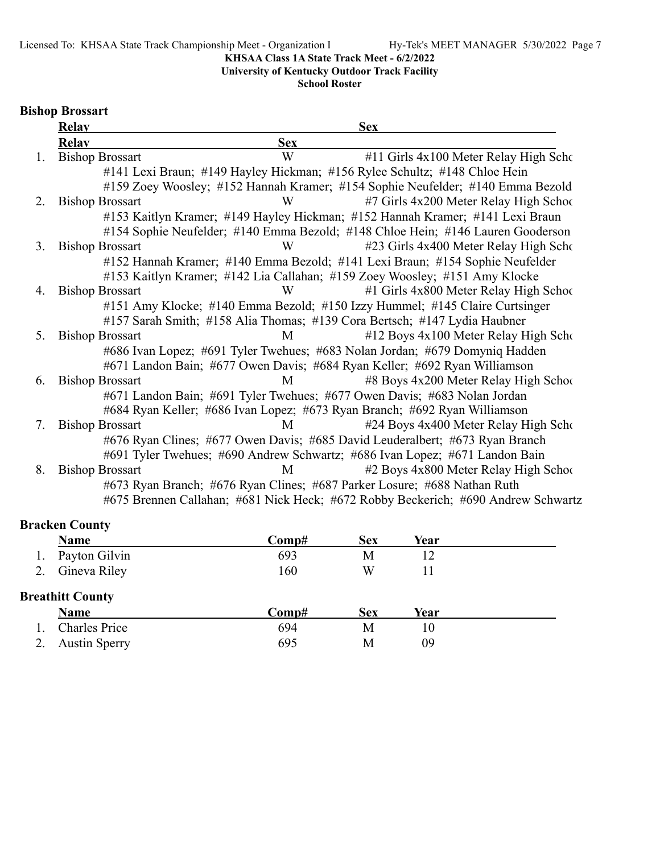**University of Kentucky Outdoor Track Facility**

**School Roster**

### **Bishop Brossart**

|    | <b>Relay</b>           |            | <b>Sex</b>                                                                        |
|----|------------------------|------------|-----------------------------------------------------------------------------------|
|    | <b>Relav</b>           | <b>Sex</b> |                                                                                   |
| 1. | <b>Bishop Brossart</b> | W          | #11 Girls 4x100 Meter Relay High Scho                                             |
|    |                        |            | #141 Lexi Braun; #149 Hayley Hickman; #156 Rylee Schultz; #148 Chloe Hein         |
|    |                        |            | #159 Zoey Woosley; #152 Hannah Kramer; #154 Sophie Neufelder; #140 Emma Bezold    |
| 2. | <b>Bishop Brossart</b> | W          | #7 Girls 4x200 Meter Relay High School                                            |
|    |                        |            | #153 Kaitlyn Kramer; #149 Hayley Hickman; #152 Hannah Kramer; #141 Lexi Braun     |
|    |                        |            | #154 Sophie Neufelder; #140 Emma Bezold; #148 Chloe Hein; #146 Lauren Gooderson   |
| 3. | <b>Bishop Brossart</b> | W          | #23 Girls 4x400 Meter Relay High Scho                                             |
|    |                        |            | #152 Hannah Kramer; #140 Emma Bezold; #141 Lexi Braun; #154 Sophie Neufelder      |
|    |                        |            | #153 Kaitlyn Kramer; #142 Lia Callahan; #159 Zoey Woosley; #151 Amy Klocke        |
| 4. | <b>Bishop Brossart</b> | W          | #1 Girls 4x800 Meter Relay High School                                            |
|    |                        |            | #151 Amy Klocke; #140 Emma Bezold; #150 Izzy Hummel; #145 Claire Curtsinger       |
|    |                        |            | #157 Sarah Smith; #158 Alia Thomas; #139 Cora Bertsch; #147 Lydia Haubner         |
| 5. | <b>Bishop Brossart</b> | M          | #12 Boys 4x100 Meter Relay High Scho                                              |
|    |                        |            | #686 Ivan Lopez; #691 Tyler Twehues; #683 Nolan Jordan; #679 Domyniq Hadden       |
|    |                        |            | #671 Landon Bain; #677 Owen Davis; #684 Ryan Keller; #692 Ryan Williamson         |
| 6. | <b>Bishop Brossart</b> | M          | #8 Boys 4x200 Meter Relay High School                                             |
|    |                        |            | #671 Landon Bain; #691 Tyler Twehues; #677 Owen Davis; #683 Nolan Jordan          |
|    |                        |            | #684 Ryan Keller; #686 Ivan Lopez; #673 Ryan Branch; #692 Ryan Williamson         |
| 7. | <b>Bishop Brossart</b> | M          | #24 Boys 4x400 Meter Relay High Scho                                              |
|    |                        |            | #676 Ryan Clines; #677 Owen Davis; #685 David Leuderalbert; #673 Ryan Branch      |
|    |                        |            | #691 Tyler Twehues; #690 Andrew Schwartz; #686 Ivan Lopez; #671 Landon Bain       |
| 8. | <b>Bishop Brossart</b> | M          | #2 Boys 4x800 Meter Relay High School                                             |
|    |                        |            | #673 Ryan Branch; #676 Ryan Clines; #687 Parker Losure; #688 Nathan Ruth          |
|    |                        |            | #675 Brennen Callahan; #681 Nick Heck; #672 Robby Beckerich; #690 Andrew Schwartz |

### **Bracken County**

| Name                    | Comp# | Sex | Year |  |
|-------------------------|-------|-----|------|--|
| Payton Gilvin           | 693   | M   |      |  |
| 2. Gineva Riley         | 160   | W   |      |  |
| <b>Breathitt County</b> |       |     |      |  |

| <b>Name</b>      | Comp# | Sex | Year |  |
|------------------|-------|-----|------|--|
| 1. Charles Price | 694   | M   |      |  |
| 2. Austin Sperry | 695   | M   |      |  |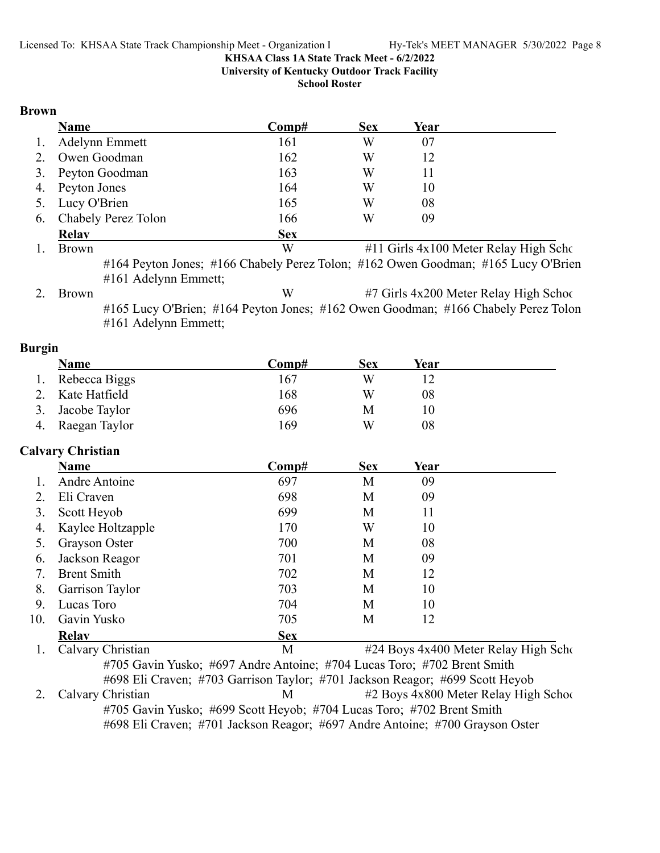**University of Kentucky Outdoor Track Facility**

**School Roster**

#### **Brown**

|    | Name                   | Comp#      | <b>Sex</b> | Year |                                       |
|----|------------------------|------------|------------|------|---------------------------------------|
| 1. | Adelynn Emmett         | 161        | W          | 07   |                                       |
| 2. | Owen Goodman           | 162        | W          | 12   |                                       |
|    | 3. Peyton Goodman      | 163        | W          | 11   |                                       |
|    | 4. Peyton Jones        | 164        | W          | 10   |                                       |
|    | 5. Lucy O'Brien        | 165        | W          | 08   |                                       |
|    | 6. Chabely Perez Tolon | 166        | W          | 09   |                                       |
|    | <b>Relav</b>           | <b>Sex</b> |            |      |                                       |
|    | <b>Brown</b>           | W          |            |      | #11 Girls 4x100 Meter Relay High Scho |

#164 Peyton Jones; #166 Chabely Perez Tolon; #162 Owen Goodman; #165 Lucy O'Brien #161 Adelynn Emmett;

2. Brown W #7 Girls 4x200 Meter Relay High School #165 Lucy O'Brien; #164 Peyton Jones; #162 Owen Goodman; #166 Chabely Perez Tolon #161 Adelynn Emmett;

#### **Burgin**

|    | Name             | Comp# | Sex | Year |  |
|----|------------------|-------|-----|------|--|
|    | 1. Rebecca Biggs | 167   | W   |      |  |
|    | Kate Hatfield    | 168   | W   | 08   |  |
|    | Jacobe Taylor    | 696   | М   |      |  |
| 4. | Raegan Taylor    | 169   | W   | 08   |  |

### **Calvary Christian**

|     | <u>Name</u>            | Comp#      | <b>Sex</b> | Year |  |
|-----|------------------------|------------|------------|------|--|
|     | Andre Antoine          | 697        | M          | 09   |  |
|     | Eli Craven             | 698        | M          | 09   |  |
| 3.  | Scott Heyob            | 699        | M          | 11   |  |
| 4.  | Kaylee Holtzapple      | 170        | W          | 10   |  |
| 5.  | Grayson Oster          | 700        | M          | 08   |  |
| 6.  | Jackson Reagor         | 701        | M          | 09   |  |
| 7.  | <b>Brent Smith</b>     | 702        | M          | 12   |  |
| 8.  | <b>Garrison Taylor</b> | 703        | M          | 10   |  |
| 9.  | Lucas Toro             | 704        | M          | 10   |  |
| 10. | Gavin Yusko            | 705        | M          | 12   |  |
|     | <b>Relav</b>           | <b>Sex</b> |            |      |  |

1. Calvary Christian M #24 Boys 4x400 Meter Relay High Scho #705 Gavin Yusko; #697 Andre Antoine; #704 Lucas Toro; #702 Brent Smith #698 Eli Craven; #703 Garrison Taylor; #701 Jackson Reagor; #699 Scott Heyob 2. Calvary Christian **12 Boys 4x800 Meter Relay High School** #705 Gavin Yusko; #699 Scott Heyob; #704 Lucas Toro; #702 Brent Smith #698 Eli Craven; #701 Jackson Reagor; #697 Andre Antoine; #700 Grayson Oster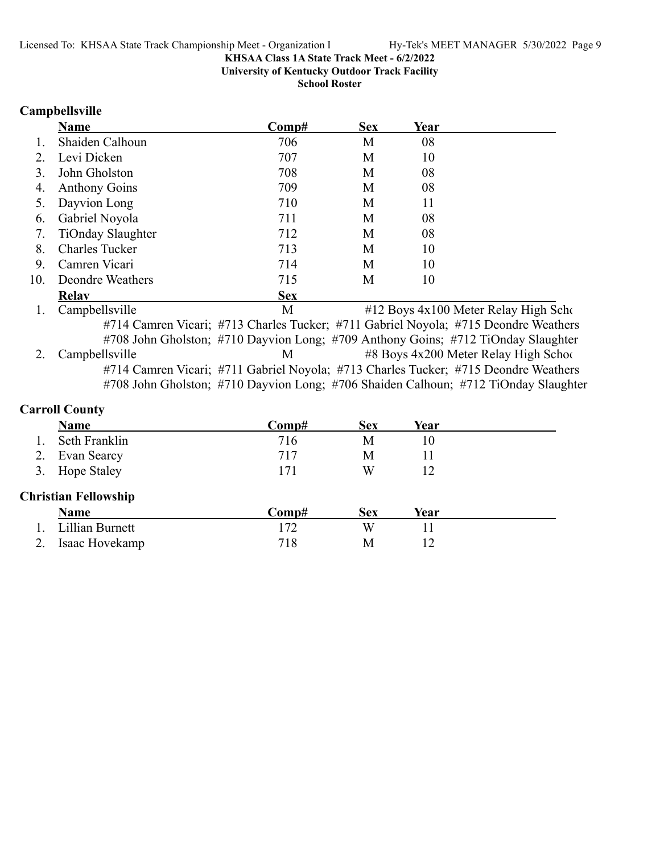**University of Kentucky Outdoor Track Facility**

**School Roster**

#### **Campbellsville**

|     | Name                  | Comp#                                                                                            | <b>Sex</b> | Year |                                      |
|-----|-----------------------|--------------------------------------------------------------------------------------------------|------------|------|--------------------------------------|
|     | Shaiden Calhoun       | 706                                                                                              | М          | 08   |                                      |
| 2.  | Levi Dicken           | 707                                                                                              | М          | 10   |                                      |
|     | John Gholston         | 708                                                                                              | М          | 08   |                                      |
| 4.  | <b>Anthony Goins</b>  | 709                                                                                              | М          | 08   |                                      |
|     | Dayvion Long          | 710                                                                                              | М          | 11   |                                      |
| 6.  | Gabriel Noyola        | 711                                                                                              | М          | 08   |                                      |
| 7.  | TiOnday Slaughter     | 712                                                                                              | М          | 08   |                                      |
| 8.  | <b>Charles Tucker</b> | 713                                                                                              | М          | 10   |                                      |
| 9.  | Camren Vicari         | 714                                                                                              | М          | 10   |                                      |
| 10. | Deondre Weathers      | 715                                                                                              | М          | 10   |                                      |
|     | <b>Relav</b>          | <b>Sex</b>                                                                                       |            |      |                                      |
|     | Campbellsville        | M                                                                                                |            |      | #12 Boys 4x100 Meter Relay High Scho |
|     |                       | $\#714$ Compan Vicenii $\#712$ Charles Tuelran, $\#711$ Celuiel Nevelai $\#715$ Deep due Weether |            |      |                                      |

#714 Camren Vicari; #713 Charles Tucker; #711 Gabriel Noyola; #715 Deondre Weathers #708 John Gholston; #710 Dayvion Long; #709 Anthony Goins; #712 TiOnday Slaughter 2. Campbellsville M #8 Boys 4x200 Meter Relay High School #714 Camren Vicari; #711 Gabriel Noyola; #713 Charles Tucker; #715 Deondre Weathers #708 John Gholston; #710 Dayvion Long; #706 Shaiden Calhoun; #712 TiOnday Slaughter

### **Carroll County**

|                             | <b>Name</b>     | Comp# | <b>Sex</b> | Year |  |  |  |
|-----------------------------|-----------------|-------|------------|------|--|--|--|
|                             | Seth Franklin   | 716   | М          | 10   |  |  |  |
| 2.                          | Evan Searcy     | 717   | M          | 11   |  |  |  |
|                             | 3. Hope Staley  | 171   | W          | 12   |  |  |  |
| <b>Christian Fellowship</b> |                 |       |            |      |  |  |  |
|                             | <b>Name</b>     | Comp# | <b>Sex</b> | Year |  |  |  |
|                             | Lillian Burnett | 172   | W          | 11   |  |  |  |
|                             | Isaac Hovekamp  | 718   | М          | 12   |  |  |  |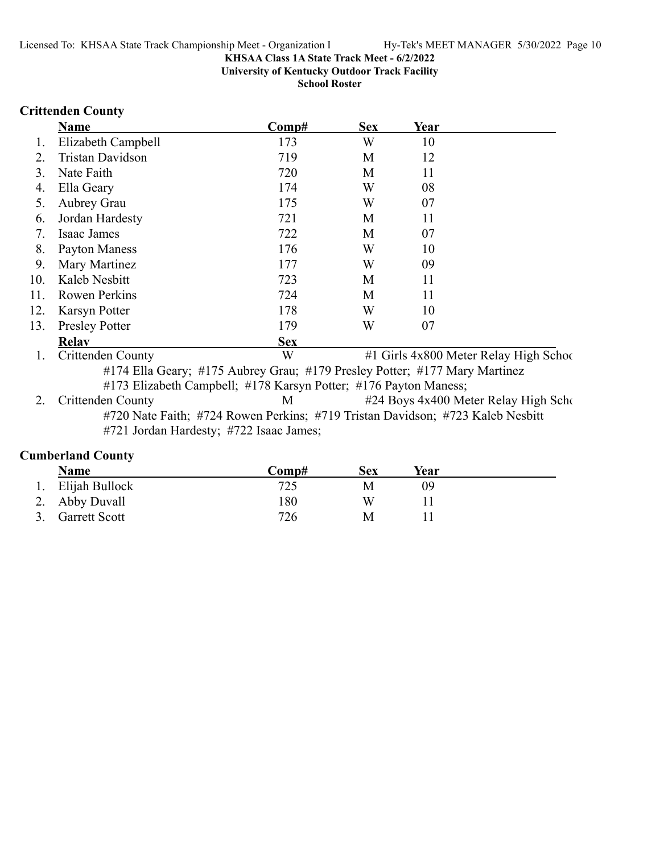**University of Kentucky Outdoor Track Facility**

**School Roster**

### **Crittenden County**

|     | <b>Name</b>                  | Comp#      | <b>Sex</b> | Year                                                                                        |               |      |
|-----|------------------------------|------------|------------|---------------------------------------------------------------------------------------------|---------------|------|
| 1.  | Elizabeth Campbell           | 173        | W          | 10                                                                                          |               |      |
| 2.  | Tristan Davidson             | 719        | M          | 12                                                                                          |               |      |
| 3.  | Nate Faith                   | 720        | М          | 11                                                                                          |               |      |
| 4.  | Ella Geary                   | 174        | W          | 08                                                                                          |               |      |
| 5.  | Aubrey Grau                  | 175        | W          | 07                                                                                          |               |      |
| 6.  | Jordan Hardesty              | 721        | M          | 11                                                                                          |               |      |
|     | Isaac James                  | 722        | M          | 07                                                                                          |               |      |
| 8.  | Payton Maness                | 176        | W          | 10                                                                                          |               |      |
| 9.  | Mary Martinez                | 177        | W          | 09                                                                                          |               |      |
| 10. | Kaleb Nesbitt                | 723        | M          | 11                                                                                          |               |      |
| 11. | <b>Rowen Perkins</b>         | 724        | M          | 11                                                                                          |               |      |
| 12. | Karsyn Potter                | 178        | W          | 10                                                                                          |               |      |
| 13. | <b>Presley Potter</b>        | 179        | W          | 07                                                                                          |               |      |
|     | <b>Relav</b>                 | <b>Sex</b> |            |                                                                                             |               |      |
|     | $\sim\cdot$<br>$\sim$ $\sim$ |            |            | $\mathbf{u}$ $\alpha$ $\mathbf{v}$ $\mathbf{u}$ $\alpha$ $\alpha$ $\mathbf{v}$ $\mathbf{v}$ | $\sim$ $\sim$ | $-1$ |

1. Crittenden County W #1 Girls 4x800 Meter Relay High School #174 Ella Geary; #175 Aubrey Grau; #179 Presley Potter; #177 Mary Martinez #173 Elizabeth Campbell; #178 Karsyn Potter; #176 Payton Maness;

2. Crittenden County M #24 Boys 4x400 Meter Relay High Scho #720 Nate Faith; #724 Rowen Perkins; #719 Tristan Davidson; #723 Kaleb Nesbitt #721 Jordan Hardesty; #722 Isaac James;

#### **Cumberland County**

| Name              | $\bf Comp#$ | Sex | Year |  |
|-------------------|-------------|-----|------|--|
| 1. Elijah Bullock | 725         | M   | 09   |  |
| 2. Abby Duvall    | 180         | W   |      |  |
| 3. Garrett Scott  | 726         | M   |      |  |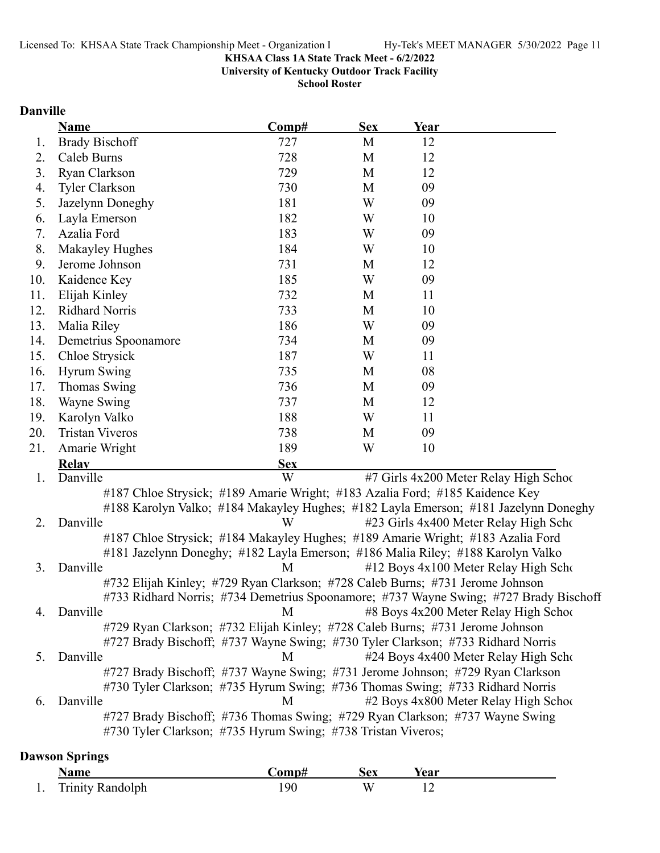**University of Kentucky Outdoor Track Facility**

**School Roster**

### **Danville**

|     | Name                                                                                  | Comp#      | <b>Sex</b> | Year |                                        |
|-----|---------------------------------------------------------------------------------------|------------|------------|------|----------------------------------------|
| Ι.  | <b>Brady Bischoff</b>                                                                 | 727        | M          | 12   |                                        |
| 2.  | Caleb Burns                                                                           | 728        | M          | 12   |                                        |
| 3.  | Ryan Clarkson                                                                         | 729        | M          | 12   |                                        |
| 4.  | <b>Tyler Clarkson</b>                                                                 | 730        | M          | 09   |                                        |
| 5.  | Jazelynn Doneghy                                                                      | 181        | W          | 09   |                                        |
| 6.  | Layla Emerson                                                                         | 182        | W          | 10   |                                        |
| 7.  | Azalia Ford                                                                           | 183        | W          | 09   |                                        |
| 8.  | Makayley Hughes                                                                       | 184        | W          | 10   |                                        |
| 9.  | Jerome Johnson                                                                        | 731        | M          | 12   |                                        |
| 10. | Kaidence Key                                                                          | 185        | W          | 09   |                                        |
| 11. | Elijah Kinley                                                                         | 732        | M          | 11   |                                        |
| 12. | <b>Ridhard Norris</b>                                                                 | 733        | M          | 10   |                                        |
| 13. | Malia Riley                                                                           | 186        | W          | 09   |                                        |
| 14. | Demetrius Spoonamore                                                                  | 734        | M          | 09   |                                        |
| 15. | Chloe Strysick                                                                        | 187        | W          | 11   |                                        |
| 16. | <b>Hyrum Swing</b>                                                                    | 735        | M          | 08   |                                        |
| 17. | Thomas Swing                                                                          | 736        | M          | 09   |                                        |
| 18. | Wayne Swing                                                                           | 737        | M          | 12   |                                        |
| 19. | Karolyn Valko                                                                         | 188        | W          | 11   |                                        |
| 20. | <b>Tristan Viveros</b>                                                                | 738        | M          | 09   |                                        |
| 21. | Amarie Wright                                                                         | 189        | W          | 10   |                                        |
|     | <b>Relav</b>                                                                          | <b>Sex</b> |            |      |                                        |
| 1.  | Danville                                                                              | W          |            |      | #7 Girls 4x200 Meter Relay High School |
|     | #187 Chloe Strysick; #189 Amarie Wright; #183 Azalia Ford; #185 Kaidence Key          |            |            |      |                                        |
|     | #188 Karolyn Valko; #184 Makayley Hughes; #182 Layla Emerson; #181 Jazelynn Doneghy   |            |            |      |                                        |
| 2.  | Danville                                                                              | W          |            |      | #23 Girls 4x400 Meter Relay High Scho  |
|     | #187 Chloe Strysick; #184 Makayley Hughes; #189 Amarie Wright; #183 Azalia Ford       |            |            |      |                                        |
|     | #181 Jazelynn Doneghy; #182 Layla Emerson; #186 Malia Riley; #188 Karolyn Valko       |            |            |      |                                        |
| 3.  | Danville                                                                              | M          |            |      | #12 Boys 4x100 Meter Relay High Scho   |
|     | #732 Elijah Kinley; #729 Ryan Clarkson; #728 Caleb Burns; #731 Jerome Johnson         |            |            |      |                                        |
|     | #733 Ridhard Norris; #734 Demetrius Spoonamore; #737 Wayne Swing; #727 Brady Bischoff |            |            |      |                                        |
| 4.  | Danville                                                                              | M          |            |      | #8 Boys 4x200 Meter Relay High School  |
|     | #729 Ryan Clarkson; #732 Elijah Kinley; #728 Caleb Burns; #731 Jerome Johnson         |            |            |      |                                        |
|     | #727 Brady Bischoff; #737 Wayne Swing; #730 Tyler Clarkson; #733 Ridhard Norris       |            |            |      |                                        |
| 5.  | Danville                                                                              | M          |            |      | #24 Boys 4x400 Meter Relay High Scho   |
|     | #727 Brady Bischoff; #737 Wayne Swing; #731 Jerome Johnson; #729 Ryan Clarkson        |            |            |      |                                        |
|     | #730 Tyler Clarkson; #735 Hyrum Swing; #736 Thomas Swing; #733 Ridhard Norris         |            |            |      |                                        |
| 6.  | Danville                                                                              | M          |            |      | #2 Boys 4x800 Meter Relay High Schoo   |
|     | #727 Brady Bischoff; #736 Thomas Swing; #729 Ryan Clarkson; #737 Wayne Swing          |            |            |      |                                        |
|     | #730 Tyler Clarkson; #735 Hyrum Swing; #738 Tristan Viveros;                          |            |            |      |                                        |

### **Dawson Springs**

|     | <b>\ame</b>             | ∴omp# | Sex | rear |
|-----|-------------------------|-------|-----|------|
| . . | <b>Trinity Randolph</b> | '90   | w   |      |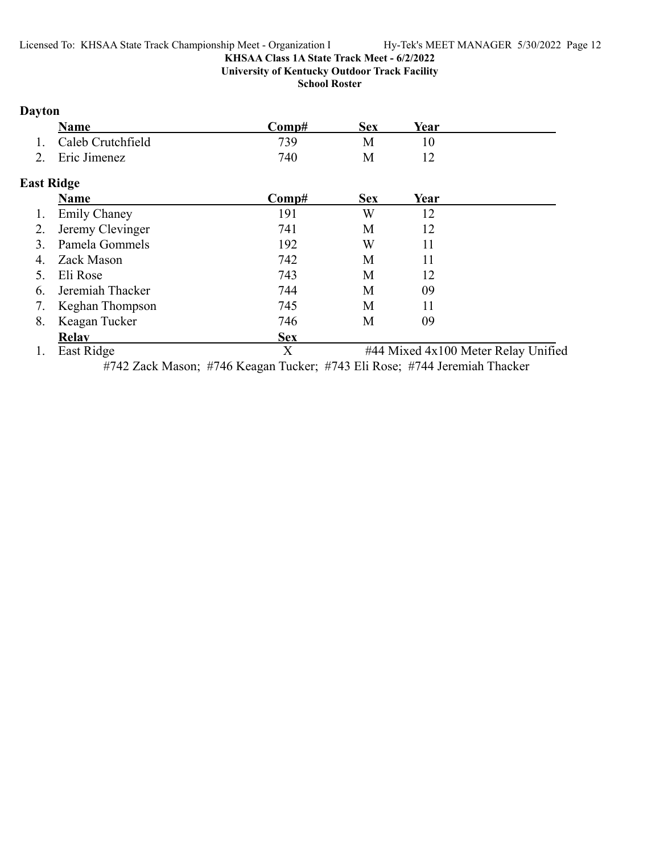**University of Kentucky Outdoor Track Facility**

**School Roster**

### **Dayton**

| <b>Name</b>          | 'Somp# | Sex | Year |
|----------------------|--------|-----|------|
| 1. Caleb Crutchfield | 739    |     |      |
| 2. Eric Jimenez      | 740    |     |      |

### **East Ridge**

|    | Name                | Comp#      | <b>Sex</b> | Year |                                     |
|----|---------------------|------------|------------|------|-------------------------------------|
| 1. | <b>Emily Chaney</b> | 191        | W          | 12   |                                     |
| 2. | Jeremy Clevinger    | 741        | М          | 12   |                                     |
|    | Pamela Gommels      | 192        | W          |      |                                     |
| 4. | Zack Mason          | 742        | М          | 11   |                                     |
|    | Eli Rose            | 743        | M          | 12   |                                     |
| 6. | Jeremiah Thacker    | 744        | М          | 09   |                                     |
| 7. | Keghan Thompson     | 745        | М          | 11   |                                     |
| 8. | Keagan Tucker       | 746        | М          | 09   |                                     |
|    | <b>Relav</b>        | <b>Sex</b> |            |      |                                     |
|    | East Ridge          | Х          |            |      | #44 Mixed 4x100 Meter Relay Unified |

#742 Zack Mason; #746 Keagan Tucker; #743 Eli Rose; #744 Jeremiah Thacker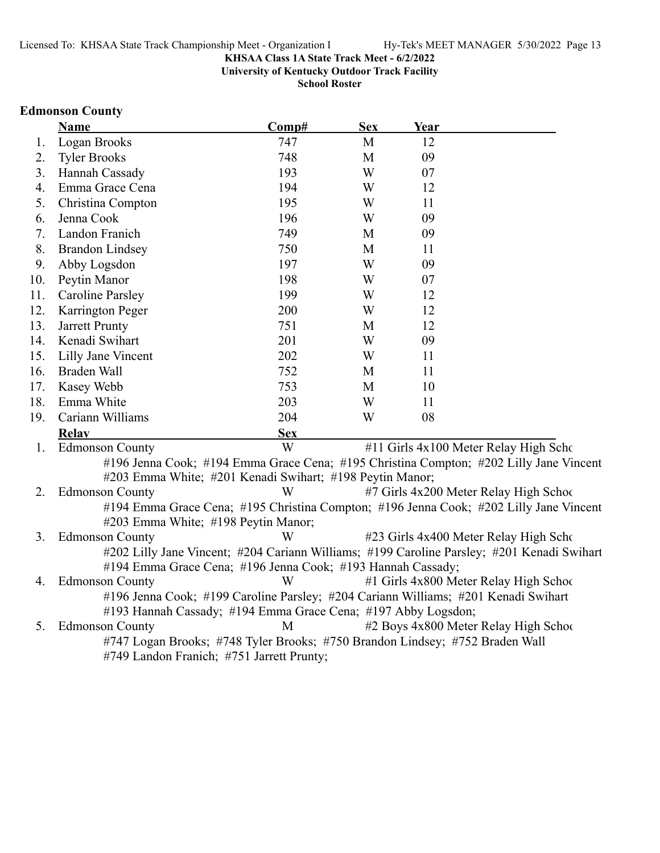**University of Kentucky Outdoor Track Facility**

**School Roster**

### **Edmonson County**

|     | <b>Name</b>                                                                        | Comp#      | <b>Sex</b>  | Year |                                                                                            |
|-----|------------------------------------------------------------------------------------|------------|-------------|------|--------------------------------------------------------------------------------------------|
| 1.  | Logan Brooks                                                                       | 747        | M           | 12   |                                                                                            |
| 2.  | <b>Tyler Brooks</b>                                                                | 748        | $\mathbf M$ | 09   |                                                                                            |
| 3.  | Hannah Cassady                                                                     | 193        | W           | 07   |                                                                                            |
| 4.  | Emma Grace Cena                                                                    | 194        | W           | 12   |                                                                                            |
| 5.  | Christina Compton                                                                  | 195        | W           | 11   |                                                                                            |
| 6.  | Jenna Cook                                                                         | 196        | W           | 09   |                                                                                            |
| 7.  | Landon Franich                                                                     | 749        | M           | 09   |                                                                                            |
| 8.  | <b>Brandon Lindsey</b>                                                             | 750        | M           | 11   |                                                                                            |
| 9.  | Abby Logsdon                                                                       | 197        | W           | 09   |                                                                                            |
| 10. | Peytin Manor                                                                       | 198        | W           | 07   |                                                                                            |
| 11. | <b>Caroline Parsley</b>                                                            | 199        | W           | 12   |                                                                                            |
| 12. | Karrington Peger                                                                   | 200        | W           | 12   |                                                                                            |
| 13. | Jarrett Prunty                                                                     | 751        | M           | 12   |                                                                                            |
| 14. | Kenadi Swihart                                                                     | 201        | W           | 09   |                                                                                            |
| 15. | Lilly Jane Vincent                                                                 | 202        | W           | 11   |                                                                                            |
| 16. | Braden Wall                                                                        | 752        | M           | 11   |                                                                                            |
| 17. | Kasey Webb                                                                         | 753        | M           | 10   |                                                                                            |
| 18. | Emma White                                                                         | 203        | W           | 11   |                                                                                            |
| 19. | Cariann Williams                                                                   | 204        | W           | 08   |                                                                                            |
|     | <b>Relay</b>                                                                       | <b>Sex</b> |             |      |                                                                                            |
| 1.  | <b>Edmonson County</b>                                                             | W          |             |      | #11 Girls 4x100 Meter Relay High Scho                                                      |
|     |                                                                                    |            |             |      | #196 Jenna Cook; #194 Emma Grace Cena; #195 Christina Compton; #202 Lilly Jane Vincent     |
|     | #203 Emma White; #201 Kenadi Swihart; #198 Peytin Manor;                           |            |             |      |                                                                                            |
| 2.  | <b>Edmonson County</b>                                                             | W          |             |      | #7 Girls 4x200 Meter Relay High Schoo                                                      |
|     |                                                                                    |            |             |      | #194 Emma Grace Cena; #195 Christina Compton; #196 Jenna Cook; #202 Lilly Jane Vincent     |
|     | #203 Emma White; #198 Peytin Manor;                                                |            |             |      |                                                                                            |
| 3.  | <b>Edmonson County</b>                                                             | W          |             |      | #23 Girls 4x400 Meter Relay High Scho                                                      |
|     |                                                                                    |            |             |      | #202 Lilly Jane Vincent; #204 Cariann Williams; #199 Caroline Parsley; #201 Kenadi Swihart |
|     | #194 Emma Grace Cena; #196 Jenna Cook; #193 Hannah Cassady;                        |            |             |      |                                                                                            |
| 4.  | <b>Edmonson County</b>                                                             | W          |             |      | #1 Girls 4x800 Meter Relay High Schoo                                                      |
|     | #196 Jenna Cook; #199 Caroline Parsley; #204 Cariann Williams; #201 Kenadi Swihart |            |             |      |                                                                                            |
|     | #193 Hannah Cassady; #194 Emma Grace Cena; #197 Abby Logsdon;                      |            |             |      |                                                                                            |
| 5.  | <b>Edmonson County</b>                                                             | M          |             |      | #2 Boys 4x800 Meter Relay High School                                                      |
|     | #747 Logan Brooks; #748 Tyler Brooks; #750 Brandon Lindsey; #752 Braden Wall       |            |             |      |                                                                                            |
|     | #749 Landon Franich; #751 Jarrett Prunty;                                          |            |             |      |                                                                                            |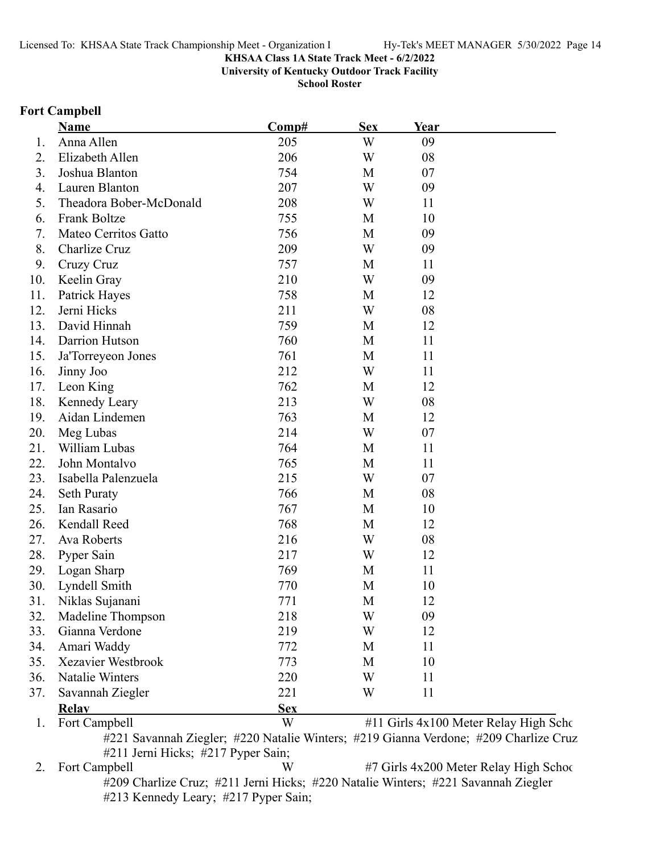**University of Kentucky Outdoor Track Facility**

**School Roster**

#### **Fort Campbell**

|     | Name                    | Comp#      | <b>Sex</b>              | Year |                                       |
|-----|-------------------------|------------|-------------------------|------|---------------------------------------|
| 1.  | Anna Allen              | 205        | W                       | 09   |                                       |
| 2.  | Elizabeth Allen         | 206        | W                       | 08   |                                       |
| 3.  | Joshua Blanton          | 754        | M                       | 07   |                                       |
| 4.  | Lauren Blanton          | 207        | W                       | 09   |                                       |
| 5.  | Theadora Bober-McDonald | 208        | W                       | 11   |                                       |
| 6.  | Frank Boltze            | 755        | M                       | 10   |                                       |
| 7.  | Mateo Cerritos Gatto    | 756        | M                       | 09   |                                       |
| 8.  | Charlize Cruz           | 209        | $\ensuremath{\text{W}}$ | 09   |                                       |
| 9.  | Cruzy Cruz              | 757        | M                       | 11   |                                       |
| 10. | Keelin Gray             | 210        | W                       | 09   |                                       |
| 11. | <b>Patrick Hayes</b>    | 758        | M                       | 12   |                                       |
| 12. | Jerni Hicks             | 211        | W                       | 08   |                                       |
| 13. | David Hinnah            | 759        | M                       | 12   |                                       |
| 14. | Darrion Hutson          | 760        | M                       | 11   |                                       |
| 15. | Ja'Torreyeon Jones      | 761        | M                       | 11   |                                       |
| 16. | Jinny Joo               | 212        | W                       | 11   |                                       |
| 17. | Leon King               | 762        | M                       | 12   |                                       |
| 18. | Kennedy Leary           | 213        | W                       | 08   |                                       |
| 19. | Aidan Lindemen          | 763        | M                       | 12   |                                       |
| 20. | Meg Lubas               | 214        | W                       | 07   |                                       |
| 21. | William Lubas           | 764        | M                       | 11   |                                       |
| 22. | John Montalvo           | 765        | M                       | 11   |                                       |
| 23. | Isabella Palenzuela     | 215        | W                       | 07   |                                       |
| 24. | <b>Seth Puraty</b>      | 766        | M                       | 08   |                                       |
| 25. | Ian Rasario             | 767        | M                       | 10   |                                       |
| 26. | Kendall Reed            | 768        | M                       | 12   |                                       |
| 27. | Ava Roberts             | 216        | W                       | 08   |                                       |
| 28. | Pyper Sain              | 217        | W                       | 12   |                                       |
| 29. | Logan Sharp             | 769        | M                       | 11   |                                       |
| 30. | Lyndell Smith           | 770        | M                       | 10   |                                       |
| 31. | Niklas Sujanani         | 771        | М                       | 12   |                                       |
| 32. | Madeline Thompson       | 218        | W                       | 09   |                                       |
| 33. | Gianna Verdone          | 219        | W                       | 12   |                                       |
| 34. | Amari Waddy             | 772        | M                       | 11   |                                       |
| 35. | Xezavier Westbrook      | 773        | M                       | 10   |                                       |
| 36. | Natalie Winters         | 220        | W                       | 11   |                                       |
| 37. | Savannah Ziegler        | 221        | W                       | 11   |                                       |
|     | <b>Relav</b>            | <b>Sex</b> |                         |      |                                       |
| 1.  | Fort Campbell           | W          |                         |      | #11 Girls 4x100 Meter Relay High Scho |

#221 Savannah Ziegler; #220 Natalie Winters; #219 Gianna Verdone; #209 Charlize Cruz #211 Jerni Hicks; #217 Pyper Sain;

2. Fort Campbell W #7 Girls 4x200 Meter Relay High School #209 Charlize Cruz; #211 Jerni Hicks; #220 Natalie Winters; #221 Savannah Ziegler #213 Kennedy Leary; #217 Pyper Sain;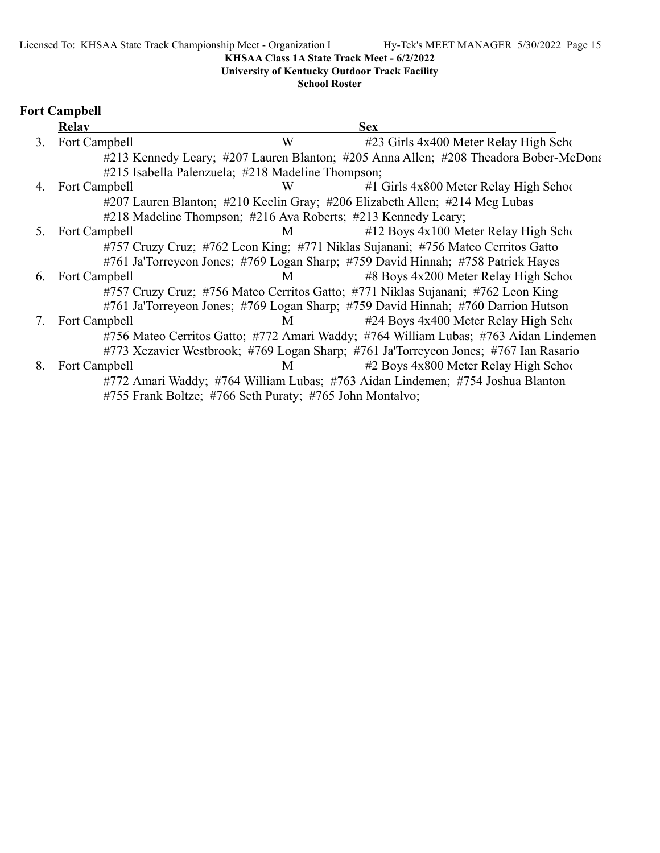### **University of Kentucky Outdoor Track Facility**

#### **School Roster**

### **Fort Campbell**

|    | Relay            |                                                               | <b>Sex</b>                                                                           |
|----|------------------|---------------------------------------------------------------|--------------------------------------------------------------------------------------|
| 3. | Fort Campbell    | W                                                             | #23 Girls 4x400 Meter Relay High Scho                                                |
|    |                  |                                                               | #213 Kennedy Leary; #207 Lauren Blanton; #205 Anna Allen; #208 Theadora Bober-McDona |
|    |                  | #215 Isabella Palenzuela; #218 Madeline Thompson;             |                                                                                      |
|    | 4. Fort Campbell | W                                                             | $#1$ Girls 4x800 Meter Relay High School                                             |
|    |                  |                                                               | #207 Lauren Blanton; #210 Keelin Gray; #206 Elizabeth Allen; #214 Meg Lubas          |
|    |                  | #218 Madeline Thompson; #216 Ava Roberts; #213 Kennedy Leary; |                                                                                      |
|    | 5. Fort Campbell | M                                                             | $\#12$ Boys 4x100 Meter Relay High Scho                                              |
|    |                  |                                                               | #757 Cruzy Cruz; #762 Leon King; #771 Niklas Sujanani; #756 Mateo Cerritos Gatto     |
|    |                  |                                                               | #761 Ja'Torreyeon Jones; #769 Logan Sharp; #759 David Hinnah; #758 Patrick Hayes     |
| 6. | Fort Campbell    | M                                                             | #8 Boys 4x200 Meter Relay High School                                                |
|    |                  |                                                               | #757 Cruzy Cruz; #756 Mateo Cerritos Gatto; #771 Niklas Sujanani; #762 Leon King     |
|    |                  |                                                               | #761 Ja'Torreyeon Jones; #769 Logan Sharp; #759 David Hinnah; #760 Darrion Hutson    |
| 7. | Fort Campbell    | M <sub>1</sub>                                                | #24 Boys 4x400 Meter Relay High Scho                                                 |
|    |                  |                                                               | #756 Mateo Cerritos Gatto; #772 Amari Waddy; #764 William Lubas; #763 Aidan Lindemen |
|    |                  |                                                               | #773 Xezavier Westbrook; #769 Logan Sharp; #761 Ja'Torreyeon Jones; #767 Ian Rasario |
| 8. | Fort Campbell    | M                                                             | #2 Boys 4x800 Meter Relay High School                                                |
|    |                  |                                                               | #772 Amari Waddy; #764 William Lubas; #763 Aidan Lindemen; #754 Joshua Blanton       |
|    |                  | #755 Frank Boltze; #766 Seth Puraty; #765 John Montalvo;      |                                                                                      |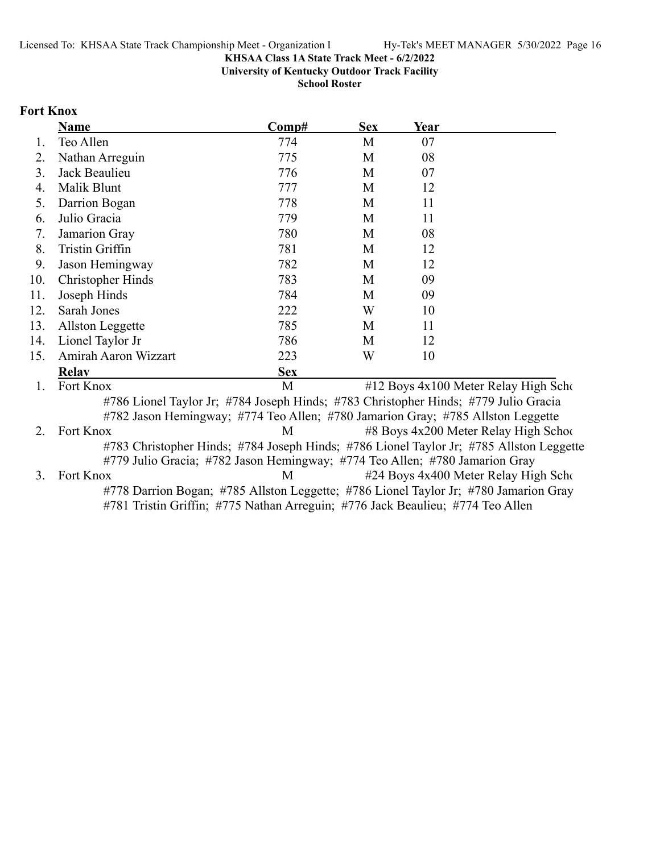**University of Kentucky Outdoor Track Facility**

**School Roster**

#### **Fort Knox**

|     | <b>Name</b>                                                                             | Comp#      | <b>Sex</b> | Year |                                       |
|-----|-----------------------------------------------------------------------------------------|------------|------------|------|---------------------------------------|
| 1.  | Teo Allen                                                                               | 774        | M          | 07   |                                       |
| 2.  | Nathan Arreguin                                                                         | 775        | M          | 08   |                                       |
| 3.  | Jack Beaulieu                                                                           | 776        | M          | 07   |                                       |
| 4.  | Malik Blunt                                                                             | 777        | M          | 12   |                                       |
| 5.  | Darrion Bogan                                                                           | 778        | M          | 11   |                                       |
| 6.  | Julio Gracia                                                                            | 779        | M          | 11   |                                       |
| 7.  | Jamarion Gray                                                                           | 780        | M          | 08   |                                       |
| 8.  | Tristin Griffin                                                                         | 781        | M          | 12   |                                       |
| 9.  | Jason Hemingway                                                                         | 782        | M          | 12   |                                       |
| 10. | Christopher Hinds                                                                       | 783        | M          | 09   |                                       |
| 11. | Joseph Hinds                                                                            | 784        | M          | 09   |                                       |
| 12. | Sarah Jones                                                                             | 222        | W          | 10   |                                       |
| 13. | Allston Leggette                                                                        | 785        | M          | 11   |                                       |
| 14. | Lionel Taylor Jr                                                                        | 786        | M          | 12   |                                       |
| 15. | Amirah Aaron Wizzart                                                                    | 223        | W          | 10   |                                       |
|     | <b>Relav</b>                                                                            | <b>Sex</b> |            |      |                                       |
| 1.  | Fort Knox                                                                               | M          |            |      | #12 Boys 4x100 Meter Relay High Scho  |
|     | #786 Lionel Taylor Jr; #784 Joseph Hinds; #783 Christopher Hinds; #779 Julio Gracia     |            |            |      |                                       |
|     | #782 Jason Hemingway; #774 Teo Allen; #780 Jamarion Gray; #785 Allston Leggette         |            |            |      |                                       |
| 2.  | Fort Knox                                                                               | M          |            |      | #8 Boys 4x200 Meter Relay High School |
|     | #783 Christopher Hinds; #784 Joseph Hinds; #786 Lionel Taylor Jr; #785 Allston Leggette |            |            |      |                                       |
|     | #779 Julio Gracia; #782 Jason Hemingway; #774 Teo Allen; #780 Jamarion Gray             |            |            |      |                                       |
| 3.  | Fort Knox                                                                               | M          |            |      | #24 Boys 4x400 Meter Relay High Scho  |
|     | #778 Darrion Bogan; #785 Allston Leggette; #786 Lionel Taylor Jr; #780 Jamarion Gray    |            |            |      |                                       |
|     | #781 Tristin Griffin; #775 Nathan Arreguin; #776 Jack Beaulieu; #774 Teo Allen          |            |            |      |                                       |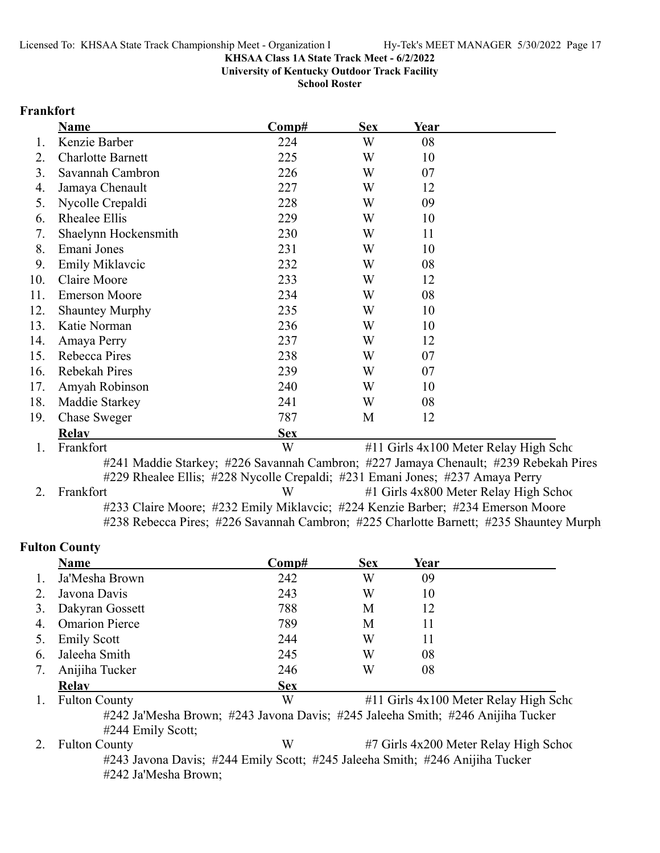**University of Kentucky Outdoor Track Facility**

**School Roster**

#### **Frankfort**

|     | <b>Name</b>              | Comp#      | <b>Sex</b> | Year |                                       |
|-----|--------------------------|------------|------------|------|---------------------------------------|
| 1.  | Kenzie Barber            | 224        | W          | 08   |                                       |
| 2.  | <b>Charlotte Barnett</b> | 225        | W          | 10   |                                       |
| 3.  | Savannah Cambron         | 226        | W          | 07   |                                       |
| 4.  | Jamaya Chenault          | 227        | W          | 12   |                                       |
| 5.  | Nycolle Crepaldi         | 228        | W          | 09   |                                       |
| 6.  | Rhealee Ellis            | 229        | W          | 10   |                                       |
| 7.  | Shaelynn Hockensmith     | 230        | W          | 11   |                                       |
| 8.  | Emani Jones              | 231        | W          | 10   |                                       |
| 9.  | Emily Miklavcic          | 232        | W          | 08   |                                       |
| 10. | Claire Moore             | 233        | W          | 12   |                                       |
| 11. | <b>Emerson Moore</b>     | 234        | W          | 08   |                                       |
| 12. | <b>Shauntey Murphy</b>   | 235        | W          | 10   |                                       |
| 13. | Katie Norman             | 236        | W          | 10   |                                       |
| 14. | Amaya Perry              | 237        | W          | 12   |                                       |
| 15. | Rebecca Pires            | 238        | W          | 07   |                                       |
| 16. | Rebekah Pires            | 239        | W          | 07   |                                       |
| 17. | Amyah Robinson           | 240        | W          | 10   |                                       |
| 18. | Maddie Starkey           | 241        | W          | 08   |                                       |
| 19. | <b>Chase Sweger</b>      | 787        | M          | 12   |                                       |
|     | <b>Relav</b>             | <b>Sex</b> |            |      |                                       |
| 1.  | Frankfort                | W          |            |      | #11 Girls 4x100 Meter Relay High Scho |

#241 Maddie Starkey; #226 Savannah Cambron; #227 Jamaya Chenault; #239 Rebekah Pires #229 Rhealee Ellis; #228 Nycolle Crepaldi; #231 Emani Jones; #237 Amaya Perry

| 2. Frankfort | W | #1 Girls 4x800 Meter Relay High School                                                 |
|--------------|---|----------------------------------------------------------------------------------------|
|              |   | #233 Claire Moore; #232 Emily Miklavcic; #224 Kenzie Barber; #234 Emerson Moore        |
|              |   | #238 Rebecca Pires; #226 Savannah Cambron; #225 Charlotte Barnett; #235 Shauntey Murph |

### **Fulton County**

|    | <b>Name</b>           | Comp#      | <b>Sex</b> | Year |                                            |
|----|-----------------------|------------|------------|------|--------------------------------------------|
| 1. | Ja'Mesha Brown        | 242        | W          | 09   |                                            |
| 2. | Javona Davis          | 243        | W          | 10   |                                            |
| 3. | Dakyran Gossett       | 788        | М          | 12   |                                            |
| 4. | <b>Omarion Pierce</b> | 789        | М          | 11   |                                            |
| 5. | <b>Emily Scott</b>    | 244        | W          | 11   |                                            |
| 6. | Jaleeha Smith         | 245        | W          | 08   |                                            |
|    | Anijiha Tucker        | 246        | W          | 08   |                                            |
|    | <b>Relav</b>          | <b>Sex</b> |            |      |                                            |
| 1. | <b>Fulton County</b>  | W          |            |      | $\#11$ Girls $4x100$ Meter Relay High Scho |

#242 Ja'Mesha Brown; #243 Javona Davis; #245 Jaleeha Smith; #246 Anijiha Tucker #244 Emily Scott;

2. Fulton County **12. W** #7 Girls 4x200 Meter Relay High School #243 Javona Davis; #244 Emily Scott; #245 Jaleeha Smith; #246 Anijiha Tucker #242 Ja'Mesha Brown;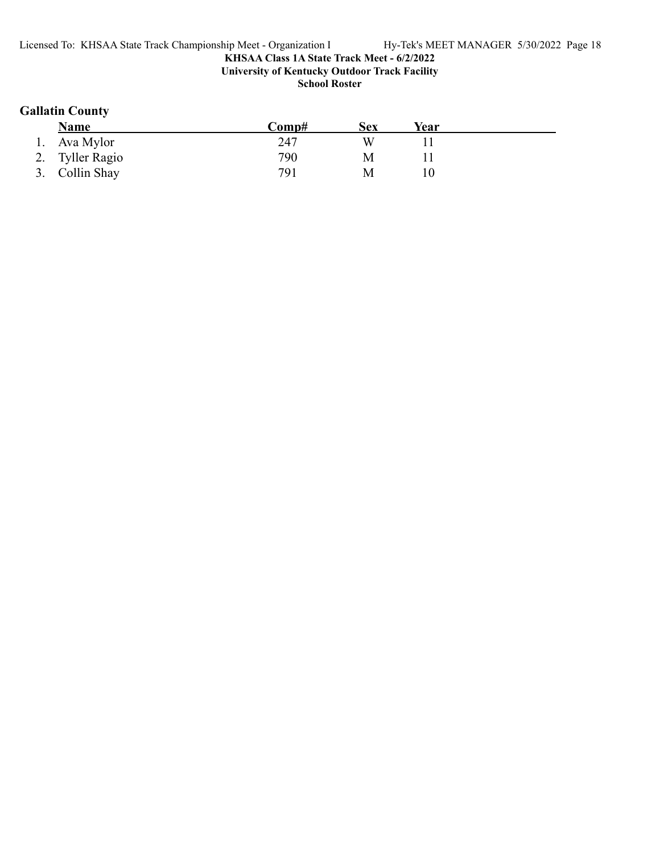#### **KHSAA Class 1A State Track Meet - 6/2/2022 University of Kentucky Outdoor Track Facility**

**School Roster**

### **Gallatin County**

| <b>Name</b>     | Comp# | Sex | Year |  |
|-----------------|-------|-----|------|--|
| Ava Mylor       | 247   |     |      |  |
| 2. Tyller Ragio | 790   | M   |      |  |
| 3. Collin Shay  | 791   | М   |      |  |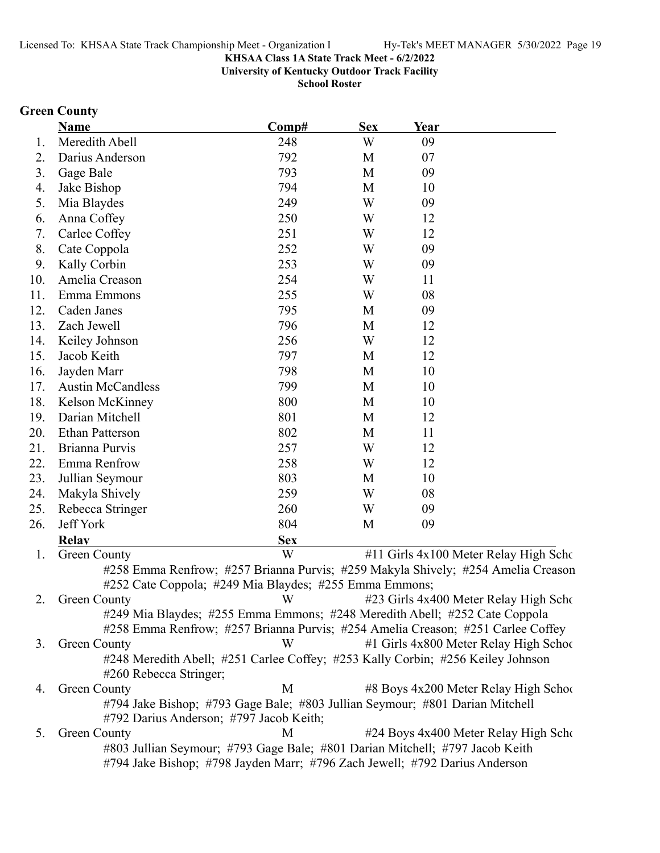#### **KHSAA Class 1A State Track Meet - 6/2/2022 University of Kentucky Outdoor Track Facility**

**School Roster**

### **Green County**

|     | Name                     | Comp#                                                                                                                   | <b>Sex</b> | Year |                                        |
|-----|--------------------------|-------------------------------------------------------------------------------------------------------------------------|------------|------|----------------------------------------|
| 1.  | Meredith Abell           | 248                                                                                                                     | W          | 09   |                                        |
| 2.  | Darius Anderson          | 792                                                                                                                     | M          | 07   |                                        |
| 3.  | Gage Bale                | 793                                                                                                                     | M          | 09   |                                        |
| 4.  | Jake Bishop              | 794                                                                                                                     | M          | 10   |                                        |
| 5.  | Mia Blaydes              | 249                                                                                                                     | W          | 09   |                                        |
| 6.  | Anna Coffey              | 250                                                                                                                     | W          | 12   |                                        |
| 7.  | Carlee Coffey            | 251                                                                                                                     | W          | 12   |                                        |
| 8.  | Cate Coppola             | 252                                                                                                                     | W          | 09   |                                        |
| 9.  | Kally Corbin             | 253                                                                                                                     | W          | 09   |                                        |
| 10. | Amelia Creason           | 254                                                                                                                     | W          | 11   |                                        |
| 11. | Emma Emmons              | 255                                                                                                                     | W          | 08   |                                        |
| 12. | Caden Janes              | 795                                                                                                                     | M          | 09   |                                        |
| 13. | Zach Jewell              | 796                                                                                                                     | M          | 12   |                                        |
| 14. | Keiley Johnson           | 256                                                                                                                     | W          | 12   |                                        |
| 15. | Jacob Keith              | 797                                                                                                                     | M          | 12   |                                        |
| 16. | Jayden Marr              | 798                                                                                                                     | M          | 10   |                                        |
| 17. | <b>Austin McCandless</b> | 799                                                                                                                     | M          | 10   |                                        |
| 18. | Kelson McKinney          | 800                                                                                                                     | M          | 10   |                                        |
| 19. | Darian Mitchell          | 801                                                                                                                     | M          | 12   |                                        |
| 20. | <b>Ethan Patterson</b>   | 802                                                                                                                     | M          | 11   |                                        |
| 21. | Brianna Purvis           | 257                                                                                                                     | W          | 12   |                                        |
| 22. | Emma Renfrow             | 258                                                                                                                     | W          | 12   |                                        |
| 23. | Jullian Seymour          | 803                                                                                                                     | M          | 10   |                                        |
| 24. | Makyla Shively           | 259                                                                                                                     | W          | 08   |                                        |
| 25. | Rebecca Stringer         | 260                                                                                                                     | W          | 09   |                                        |
| 26. | Jeff York                | 804                                                                                                                     | M          | 09   |                                        |
|     | <b>Relay</b>             | <b>Sex</b>                                                                                                              |            |      |                                        |
| 1.  | <b>Green County</b>      | W                                                                                                                       |            |      | #11 Girls 4x100 Meter Relay High Scho  |
|     |                          | #258 Emma Renfrow; #257 Brianna Purvis; #259 Makyla Shively; #254 Amelia Creason                                        |            |      |                                        |
|     |                          | #252 Cate Coppola; #249 Mia Blaydes; #255 Emma Emmons;                                                                  |            |      |                                        |
| 2.  | <b>Green County</b>      | W                                                                                                                       |            |      | #23 Girls 4x400 Meter Relay High Scho  |
|     |                          | #249 Mia Blaydes; #255 Emma Emmons; #248 Meredith Abell; #252 Cate Coppola                                              |            |      |                                        |
|     |                          | #258 Emma Renfrow; #257 Brianna Purvis; #254 Amelia Creason; #251 Carlee Coffey                                         |            |      |                                        |
| 3.  | <b>Green County</b>      | W                                                                                                                       |            |      | #1 Girls 4x800 Meter Relay High School |
|     |                          | #248 Meredith Abell; #251 Carlee Coffey; #253 Kally Corbin; #256 Keiley Johnson                                         |            |      |                                        |
|     | #260 Rebecca Stringer;   |                                                                                                                         |            |      |                                        |
| 4.  | <b>Green County</b>      | M                                                                                                                       |            |      | #8 Boys 4x200 Meter Relay High School  |
|     |                          | #794 Jake Bishop; #793 Gage Bale; #803 Jullian Seymour; #801 Darian Mitchell<br>#792 Darius Anderson; #797 Jacob Keith; |            |      |                                        |
| 5.  | <b>Green County</b>      | M                                                                                                                       |            |      | #24 Boys 4x400 Meter Relay High Scho   |
|     |                          | #803 Jullian Seymour; #793 Gage Bale; #801 Darian Mitchell; #797 Jacob Keith                                            |            |      |                                        |
|     |                          | #794 Jake Bishop; #798 Jayden Marr; #796 Zach Jewell; #792 Darius Anderson                                              |            |      |                                        |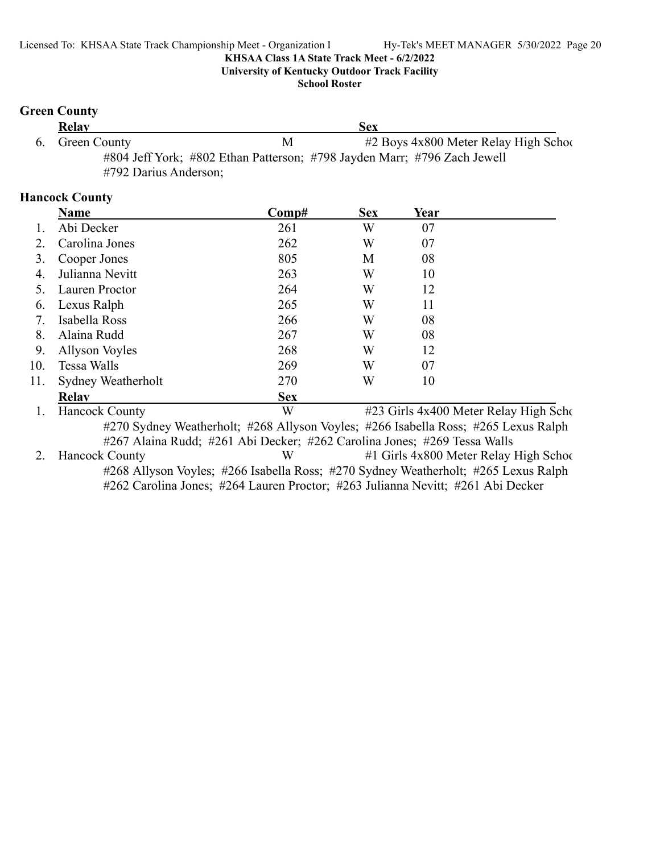**University of Kentucky Outdoor Track Facility**

**School Roster**

#### **Green County**

| <b>Relay</b>          |                                                                          | Sex |                                           |
|-----------------------|--------------------------------------------------------------------------|-----|-------------------------------------------|
| 6. Green County       | M                                                                        |     | $#2$ Boys $4x800$ Meter Relay High School |
|                       | #804 Jeff York; #802 Ethan Patterson; #798 Jayden Marr; #796 Zach Jewell |     |                                           |
| #792 Darius Anderson; |                                                                          |     |                                           |

### **Hancock County**

|     | Name                                    | Comp#        | <b>Sex</b> | Year                                                             |  |
|-----|-----------------------------------------|--------------|------------|------------------------------------------------------------------|--|
|     | Abi Decker                              | 261          | W          | 07                                                               |  |
| 2.  | Carolina Jones                          | 262          | W          | 07                                                               |  |
| 3.  | Cooper Jones                            | 805          | M          | 08                                                               |  |
| 4.  | Julianna Nevitt                         | 263          | W          | 10                                                               |  |
|     | Lauren Proctor                          | 264          | W          | 12                                                               |  |
| 6.  | Lexus Ralph                             | 265          | W          | 11                                                               |  |
| 7.  | Isabella Ross                           | 266          | W          | 08                                                               |  |
| 8.  | Alaina Rudd                             | 267          | W          | 08                                                               |  |
| 9.  | <b>Allyson Voyles</b>                   | 268          | W          | 12                                                               |  |
| 10. | Tessa Walls                             | 269          | W          | 07                                                               |  |
| 11. | Sydney Weatherholt                      | 270          | W          | 10                                                               |  |
|     | <b>Relav</b>                            | <b>Sex</b>   |            |                                                                  |  |
|     | $\mu_{\text{anool}}$ $\mu_{\text{out}}$ | $\mathbf{X}$ |            | $#22$ Girls $A_{\mathbf{v}}$ 400 Motor $\mathbf{D}_{\mathbf{u}}$ |  |

1. Hancock County **1. Hancock County 6. All Schools Example 3. All Schools Ax400 Meter Relay High Schools Ax400 Meter Relay High Schools Ax400 Meter Relay High Schools Ax400 Meter Relay High Schools Ax400 Meter Relay Hig** #270 Sydney Weatherholt; #268 Allyson Voyles; #266 Isabella Ross; #265 Lexus Ralph #267 Alaina Rudd; #261 Abi Decker; #262 Carolina Jones; #269 Tessa Walls

2. Hancock County W #1 Girls 4x800 Meter Relay High School #268 Allyson Voyles; #266 Isabella Ross; #270 Sydney Weatherholt; #265 Lexus Ralph #262 Carolina Jones; #264 Lauren Proctor; #263 Julianna Nevitt; #261 Abi Decker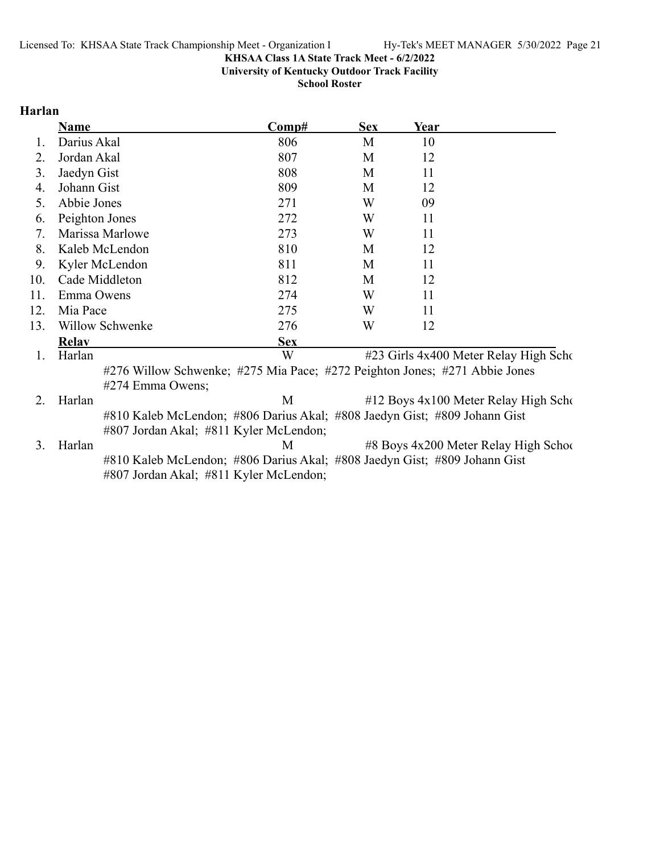**University of Kentucky Outdoor Track Facility**

**School Roster**

#### **Harlan**

|     | <b>Name</b>                                                                | Comp#      | <b>Sex</b> | Year |                                       |
|-----|----------------------------------------------------------------------------|------------|------------|------|---------------------------------------|
|     | Darius Akal                                                                | 806        | M          | 10   |                                       |
| 2.  | Jordan Akal                                                                | 807        | М          | 12   |                                       |
| 3.  | Jaedyn Gist                                                                | 808        | М          | 11   |                                       |
| 4.  | Johann Gist                                                                | 809        | М          | 12   |                                       |
| 5.  | Abbie Jones                                                                | 271        | W          | 09   |                                       |
| 6.  | Peighton Jones                                                             | 272        | W          | 11   |                                       |
| 7.  | Marissa Marlowe                                                            | 273        | W          | 11   |                                       |
| 8.  | Kaleb McLendon                                                             | 810        | М          | 12   |                                       |
| 9.  | Kyler McLendon                                                             | 811        | М          | 11   |                                       |
| 10. | Cade Middleton                                                             | 812        | М          | 12   |                                       |
| 11. | Emma Owens                                                                 | 274        | W          | 11   |                                       |
| 12. | Mia Pace                                                                   | 275        | W          | 11   |                                       |
| 13. | Willow Schwenke                                                            | 276        | W          | 12   |                                       |
|     | <b>Relav</b>                                                               | <b>Sex</b> |            |      |                                       |
| 1.  | Harlan                                                                     | W          |            |      | #23 Girls 4x400 Meter Relay High Scho |
|     | #276 Willow Schwenke; #275 Mia Pace; #272 Peighton Jones; #271 Abbie Jones |            |            |      |                                       |
|     | #274 Emma Owens;                                                           |            |            |      |                                       |
|     | Harlan                                                                     | М          |            |      | #12 Boys 4x100 Meter Relay High Scho  |
|     | #810 Kaleb McLendon; #806 Darius Akal; #808 Jaedyn Gist; #809 Johann Gist  |            |            |      |                                       |

#807 Jordan Akal; #811 Kyler McLendon;

3. Harlan M #8 Boys 4x200 Meter Relay High School #810 Kaleb McLendon; #806 Darius Akal; #808 Jaedyn Gist; #809 Johann Gist #807 Jordan Akal; #811 Kyler McLendon;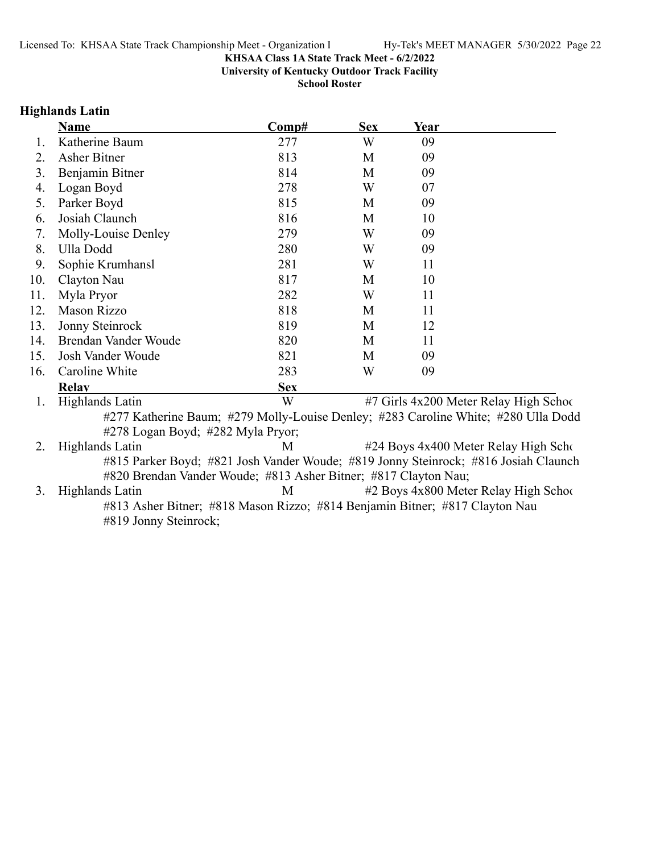**University of Kentucky Outdoor Track Facility**

**School Roster**

### **Highlands Latin**

|     | <b>Name</b>                                                     | Comp#      | <b>Sex</b> | Year                                                                                |
|-----|-----------------------------------------------------------------|------------|------------|-------------------------------------------------------------------------------------|
| Ι.  | Katherine Baum                                                  | 277        | W          | 09                                                                                  |
| 2.  | <b>Asher Bitner</b>                                             | 813        | M          | 09                                                                                  |
| 3.  | Benjamin Bitner                                                 | 814        | M          | 09                                                                                  |
| 4.  | Logan Boyd                                                      | 278        | W          | 07                                                                                  |
| 5.  | Parker Boyd                                                     | 815        | M          | 09                                                                                  |
| 6.  | Josiah Claunch                                                  | 816        | M          | 10                                                                                  |
| 7.  | Molly-Louise Denley                                             | 279        | W          | 09                                                                                  |
| 8.  | Ulla Dodd                                                       | 280        | W          | 09                                                                                  |
| 9.  | Sophie Krumhansl                                                | 281        | W          | 11                                                                                  |
| 10. | Clayton Nau                                                     | 817        | M          | 10                                                                                  |
| 11. | Myla Pryor                                                      | 282        | W          | 11                                                                                  |
| 12. | <b>Mason Rizzo</b>                                              | 818        | M          | 11                                                                                  |
| 13. | Jonny Steinrock                                                 | 819        | M          | 12                                                                                  |
| 14. | Brendan Vander Woude                                            | 820        | M          | 11                                                                                  |
| 15. | Josh Vander Woude                                               | 821        | M          | 09                                                                                  |
| 16. | Caroline White                                                  | 283        | W          | 09                                                                                  |
|     | <b>Relay</b>                                                    | <b>Sex</b> |            |                                                                                     |
| 1.  | <b>Highlands Latin</b>                                          | W          |            | #7 Girls 4x200 Meter Relay High School                                              |
|     |                                                                 |            |            | #277 Katherine Baum; #279 Molly-Louise Denley; #283 Caroline White; #280 Ulla Dodd  |
|     | #278 Logan Boyd; #282 Myla Pryor;                               |            |            |                                                                                     |
| 2.  | Highlands Latin                                                 | M          |            | #24 Boys 4x400 Meter Relay High Scho                                                |
|     | #820 Brendan Vander Woude; #813 Asher Bitner; #817 Clayton Nau; |            |            | #815 Parker Boyd; #821 Josh Vander Woude; #819 Jonny Steinrock; #816 Josiah Claunch |
| 3.  | Highlands Latin                                                 | M          |            | #2 Boys 4x800 Meter Relay High School                                               |
|     |                                                                 |            |            | #813 Asher Bitner; #818 Mason Rizzo; #814 Benjamin Bitner; #817 Clayton Nau         |
|     | #819 Jonny Steinrock;                                           |            |            |                                                                                     |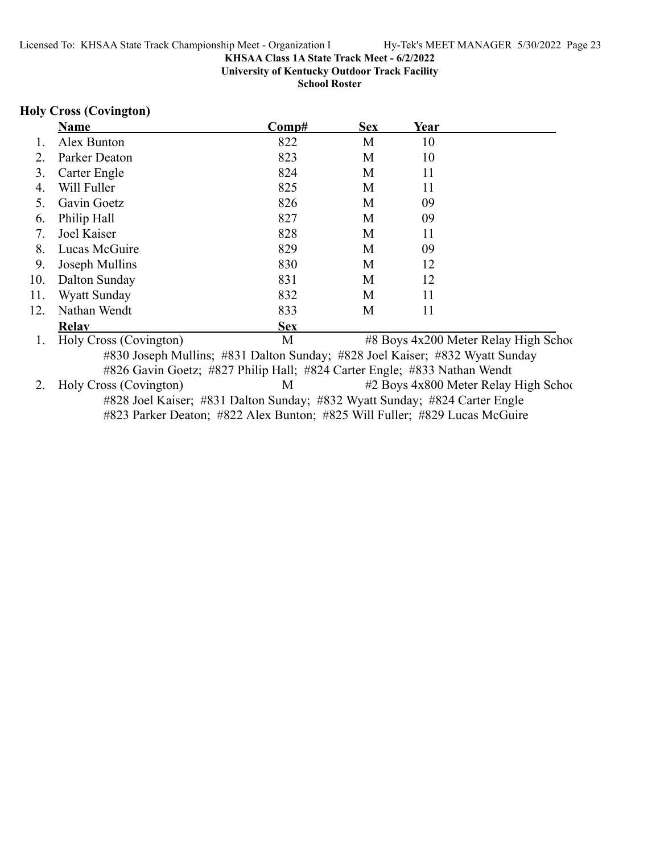**University of Kentucky Outdoor Track Facility**

**School Roster**

### **Holy Cross (Covington)**

|     | <b>Name</b>                                                                  | Comp#      | <b>Sex</b> | Year |                                       |
|-----|------------------------------------------------------------------------------|------------|------------|------|---------------------------------------|
|     | Alex Bunton                                                                  | 822        | M          | 10   |                                       |
|     | Parker Deaton                                                                | 823        | M          | 10   |                                       |
| 3.  | Carter Engle                                                                 | 824        | M          | 11   |                                       |
| 4.  | Will Fuller                                                                  | 825        | M          | 11   |                                       |
| 5.  | Gavin Goetz                                                                  | 826        | M          | 09   |                                       |
| 6.  | Philip Hall                                                                  | 827        | M          | 09   |                                       |
| 7.  | Joel Kaiser                                                                  | 828        | M          | 11   |                                       |
| 8.  | Lucas McGuire                                                                | 829        | M          | 09   |                                       |
| 9.  | Joseph Mullins                                                               | 830        | M          | 12   |                                       |
| 10. | Dalton Sunday                                                                | 831        | M          | 12   |                                       |
| 11. | Wyatt Sunday                                                                 | 832        | M          | 11   |                                       |
| 12. | Nathan Wendt                                                                 | 833        | M          | 11   |                                       |
|     | <b>Relay</b>                                                                 | <b>Sex</b> |            |      |                                       |
|     | Holy Cross (Covington)                                                       | M          |            |      | #8 Boys 4x200 Meter Relay High School |
|     | #830 Joseph Mullins; #831 Dalton Sunday; #828 Joel Kaiser; #832 Wyatt Sunday |            |            |      |                                       |
|     | #826 Gavin Goetz; #827 Philip Hall; #824 Carter Engle; #833 Nathan Wendt     |            |            |      |                                       |
|     | Holy Cross (Covington)                                                       | M          |            |      | #2 Boys 4x800 Meter Relay High School |
|     | #828 Joel Kaiser; #831 Dalton Sunday; #832 Wyatt Sunday; #824 Carter Engle   |            |            |      |                                       |
|     | #823 Parker Deaton; #822 Alex Bunton; #825 Will Fuller; #829 Lucas McGuire   |            |            |      |                                       |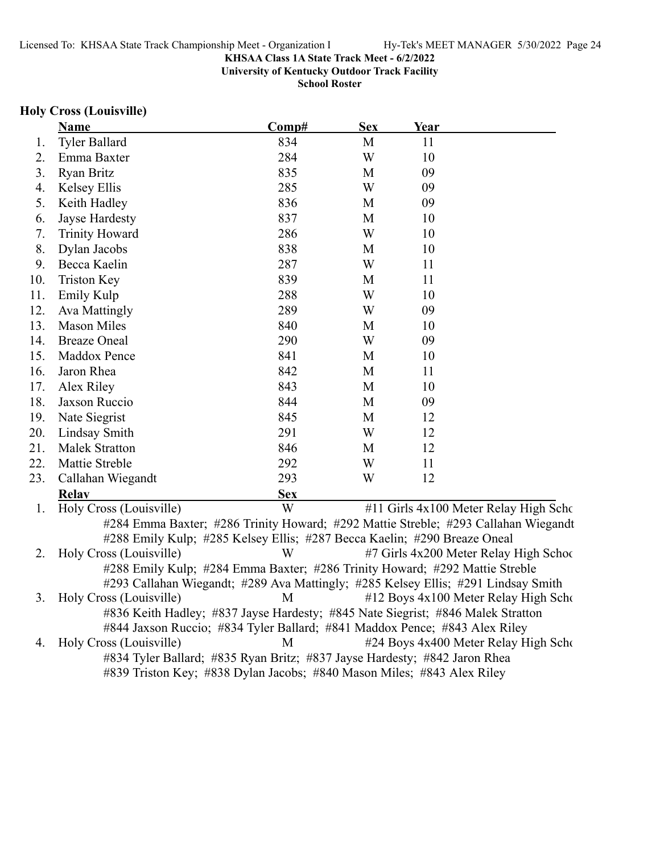**University of Kentucky Outdoor Track Facility**

**School Roster**

#### **Holy Cross (Louisville)**

|     | <u>Name</u>                                                                               | Comp#        | <b>Sex</b> | Year                                     |  |
|-----|-------------------------------------------------------------------------------------------|--------------|------------|------------------------------------------|--|
| 1.  | <b>Tyler Ballard</b>                                                                      | 834          | M          | 11                                       |  |
| 2.  | Emma Baxter                                                                               | 284          | W          | 10                                       |  |
| 3.  | <b>Ryan Britz</b>                                                                         | 835          | M          | 09                                       |  |
| 4.  | Kelsey Ellis                                                                              | 285          | W          | 09                                       |  |
| 5.  | Keith Hadley                                                                              | 836          | M          | 09                                       |  |
| 6.  | Jayse Hardesty                                                                            | 837          | M          | 10                                       |  |
| 7.  | <b>Trinity Howard</b>                                                                     | 286          | W          | 10                                       |  |
| 8.  | Dylan Jacobs                                                                              | 838          | M          | 10                                       |  |
| 9.  | Becca Kaelin                                                                              | 287          | W          | 11                                       |  |
| 10. | <b>Triston Key</b>                                                                        | 839          | M          | 11                                       |  |
| 11. | Emily Kulp                                                                                | 288          | W          | 10                                       |  |
| 12. | Ava Mattingly                                                                             | 289          | W          | 09                                       |  |
| 13. | <b>Mason Miles</b>                                                                        | 840          | M          | 10                                       |  |
| 14. | <b>Breaze Oneal</b>                                                                       | 290          | W          | 09                                       |  |
| 15. | Maddox Pence                                                                              | 841          | M          | 10                                       |  |
| 16. | Jaron Rhea                                                                                | 842          | M          | 11                                       |  |
| 17. | Alex Riley                                                                                | 843          | M          | 10                                       |  |
| 18. | Jaxson Ruccio                                                                             | 844          | M          | 09                                       |  |
| 19. | Nate Siegrist                                                                             | 845          | M          | 12                                       |  |
| 20. | Lindsay Smith                                                                             | 291          | W          | 12                                       |  |
| 21. | <b>Malek Stratton</b>                                                                     | 846          | M          | 12                                       |  |
| 22. | Mattie Streble                                                                            | 292          | W          | 11                                       |  |
| 23. | Callahan Wiegandt                                                                         | 293          | W          | 12                                       |  |
|     | <b>Relay</b>                                                                              | <b>Sex</b>   |            |                                          |  |
|     | $\text{H}_{\text{a}}\text{I}_{\text{v}}$ $\text{C}_{\text{meas}}$ (L $\text{arrows}$ 11.) | $\mathbf{V}$ |            | $\#11$ Cials $4x100$ Meter Relay High S. |  |

1. Holy Cross (Louisville) W #11 Girls 4x100 Meter Relay High Scho #284 Emma Baxter; #286 Trinity Howard; #292 Mattie Streble; #293 Callahan Wiegandt #288 Emily Kulp; #285 Kelsey Ellis; #287 Becca Kaelin; #290 Breaze Oneal 2. Holy Cross (Louisville) W #7 Girls 4x200 Meter Relay High School #288 Emily Kulp; #284 Emma Baxter; #286 Trinity Howard; #292 Mattie Streble #293 Callahan Wiegandt; #289 Ava Mattingly; #285 Kelsey Ellis; #291 Lindsay Smith 3. Holy Cross (Louisville) M #12 Boys 4x100 Meter Relay High Scho #836 Keith Hadley; #837 Jayse Hardesty; #845 Nate Siegrist; #846 Malek Stratton #844 Jaxson Ruccio; #834 Tyler Ballard; #841 Maddox Pence; #843 Alex Riley 4. Holy Cross (Louisville) M #24 Boys 4x400 Meter Relay High School #834 Tyler Ballard; #835 Ryan Britz; #837 Jayse Hardesty; #842 Jaron Rhea #839 Triston Key; #838 Dylan Jacobs; #840 Mason Miles; #843 Alex Riley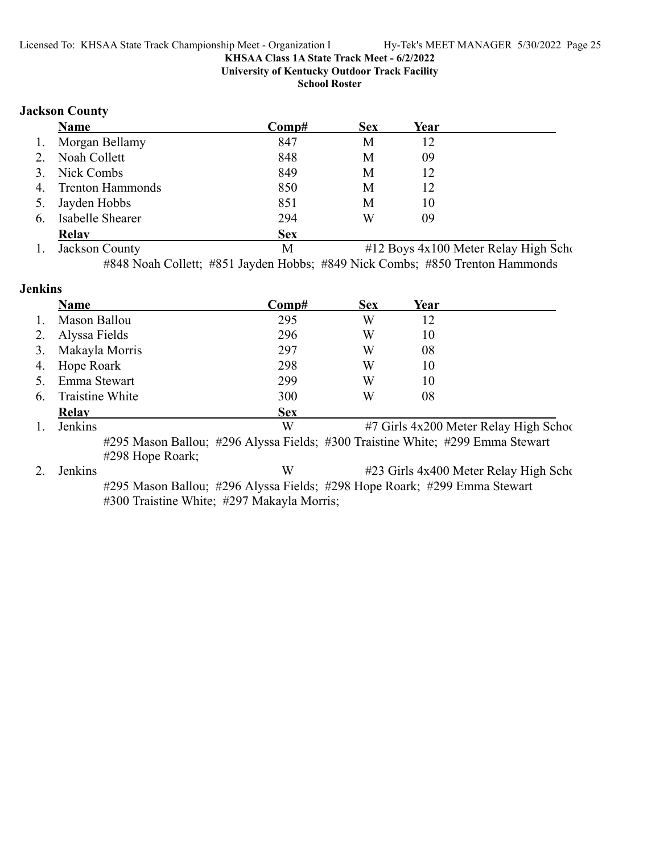**University of Kentucky Outdoor Track Facility**

**School Roster**

#### **Jackson County**

|    | Name                    | Comp#      | <b>Sex</b> | Year |                                             |
|----|-------------------------|------------|------------|------|---------------------------------------------|
| 1. | Morgan Bellamy          | 847        | M          | 12   |                                             |
| 2. | Noah Collett            | 848        | M          | 09   |                                             |
| 3. | Nick Combs              | 849        | M          | 12   |                                             |
| 4. | <b>Trenton Hammonds</b> | 850        | M          | 12   |                                             |
| 5. | Jayden Hobbs            | 851        | M          | 10   |                                             |
| 6. | Isabelle Shearer        | 294        | W          | 09   |                                             |
|    | <b>Relav</b>            | <b>Sex</b> |            |      |                                             |
|    | Jackson County          | M          |            |      | $#12$ Roys $A$ v $100$ Meter Relay High Scl |

1. Jackson County 1. Jackson County 1. Jackson County #848 Noah Collett; #851 Jayden Hobbs; #849 Nick Combs; #850 Trenton Hammonds

#### **Jenkins**

|    | Name                                                                                               | $\bf Comp\#$ | <b>Sex</b> | Year |                                        |
|----|----------------------------------------------------------------------------------------------------|--------------|------------|------|----------------------------------------|
|    | Mason Ballou                                                                                       | 295          | W          | 12   |                                        |
| 2. | Alyssa Fields                                                                                      | 296          | W          | 10   |                                        |
| 3. | Makayla Morris                                                                                     | 297          | W          | 08   |                                        |
| 4. | Hope Roark                                                                                         | 298          | W          | 10   |                                        |
| 5. | Emma Stewart                                                                                       | 299          | W          | 10   |                                        |
| 6. | Traistine White                                                                                    | 300          | W          | 08   |                                        |
|    | Relay                                                                                              | <b>Sex</b>   |            |      |                                        |
|    | Jenkins                                                                                            | W            |            |      | #7 Girls 4x200 Meter Relay High School |
|    | #295 Mason Ballou; #296 Alyssa Fields; #300 Traistine White; #299 Emma Stewart<br>#298 Hope Roark; |              |            |      |                                        |

2. Jenkins W #23 Girls 4x400 Meter Relay High Scho #295 Mason Ballou; #296 Alyssa Fields; #298 Hope Roark; #299 Emma Stewart #300 Traistine White; #297 Makayla Morris;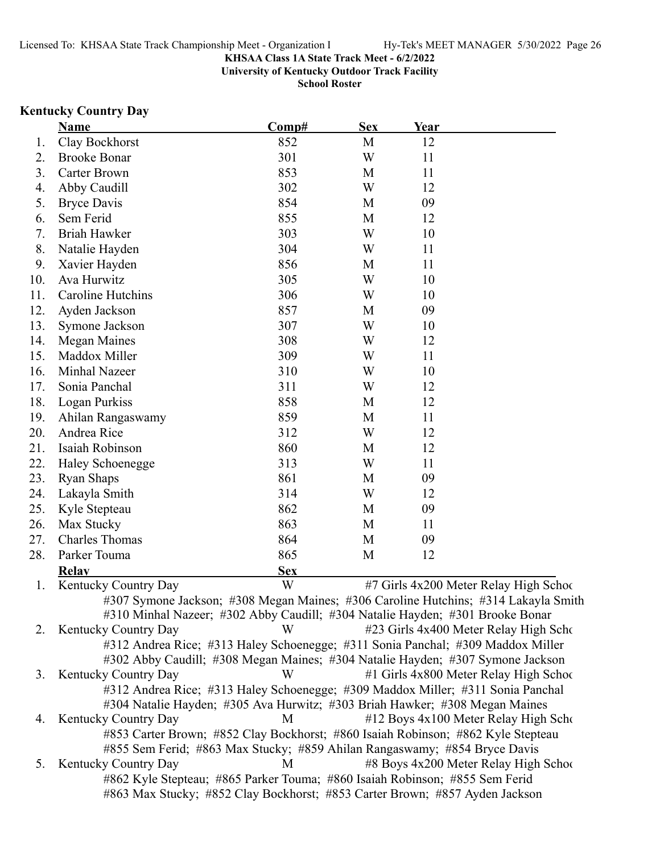**University of Kentucky Outdoor Track Facility**

**School Roster**

# **Kentucky Country Day**

|     | Name                                                                                                                                                       | Comp#      | <b>Sex</b> | Year |                                        |
|-----|------------------------------------------------------------------------------------------------------------------------------------------------------------|------------|------------|------|----------------------------------------|
| 1.  | Clay Bockhorst                                                                                                                                             | 852        | M          | 12   |                                        |
| 2.  | <b>Brooke Bonar</b>                                                                                                                                        | 301        | W          | 11   |                                        |
| 3.  | Carter Brown                                                                                                                                               | 853        | M          | 11   |                                        |
| 4.  | Abby Caudill                                                                                                                                               | 302        | W          | 12   |                                        |
| 5.  | <b>Bryce Davis</b>                                                                                                                                         | 854        | M          | 09   |                                        |
| 6.  | Sem Ferid                                                                                                                                                  | 855        | M          | 12   |                                        |
| 7.  | Briah Hawker                                                                                                                                               | 303        | W          | 10   |                                        |
| 8.  | Natalie Hayden                                                                                                                                             | 304        | W          | 11   |                                        |
| 9.  | Xavier Hayden                                                                                                                                              | 856        | M          | 11   |                                        |
| 10. | Ava Hurwitz                                                                                                                                                | 305        | W          | 10   |                                        |
| 11. | Caroline Hutchins                                                                                                                                          | 306        | W          | 10   |                                        |
| 12. | Ayden Jackson                                                                                                                                              | 857        | M          | 09   |                                        |
| 13. | Symone Jackson                                                                                                                                             | 307        | W          | 10   |                                        |
| 14. | <b>Megan Maines</b>                                                                                                                                        | 308        | W          | 12   |                                        |
| 15. | Maddox Miller                                                                                                                                              | 309        | W          | 11   |                                        |
| 16. | Minhal Nazeer                                                                                                                                              | 310        | W          | 10   |                                        |
| 17. | Sonia Panchal                                                                                                                                              | 311        | W          | 12   |                                        |
| 18. | Logan Purkiss                                                                                                                                              | 858        | M          | 12   |                                        |
| 19. | Ahilan Rangaswamy                                                                                                                                          | 859        | M          | 11   |                                        |
| 20. | Andrea Rice                                                                                                                                                | 312        | W          | 12   |                                        |
| 21. | Isaiah Robinson                                                                                                                                            | 860        | M          | 12   |                                        |
| 22. | <b>Haley Schoenegge</b>                                                                                                                                    | 313        | W          | 11   |                                        |
| 23. | Ryan Shaps                                                                                                                                                 | 861        | M          | 09   |                                        |
| 24. | Lakayla Smith                                                                                                                                              | 314        | W          | 12   |                                        |
| 25. | Kyle Stepteau                                                                                                                                              | 862        | M          | 09   |                                        |
| 26. | Max Stucky                                                                                                                                                 | 863        | M          | 11   |                                        |
| 27. | <b>Charles Thomas</b>                                                                                                                                      | 864        | M          | 09   |                                        |
| 28. | Parker Touma                                                                                                                                               | 865        | M          | 12   |                                        |
|     | <b>Relay</b>                                                                                                                                               | <b>Sex</b> |            |      |                                        |
| 1.  | Kentucky Country Day                                                                                                                                       | W          |            |      | #7 Girls 4x200 Meter Relay High School |
|     | #307 Symone Jackson; #308 Megan Maines; #306 Caroline Hutchins; #314 Lakayla Smith                                                                         |            |            |      |                                        |
|     | #310 Minhal Nazeer; #302 Abby Caudill; #304 Natalie Hayden; #301 Brooke Bonar                                                                              |            |            |      |                                        |
| 2.  | <b>Kentucky Country Day</b>                                                                                                                                | W          |            |      | #23 Girls 4x400 Meter Relay High Scho  |
|     | #312 Andrea Rice; #313 Haley Schoenegge; #311 Sonia Panchal; #309 Maddox Miller                                                                            |            |            |      |                                        |
|     | #302 Abby Caudill; #308 Megan Maines; #304 Natalie Hayden; #307 Symone Jackson                                                                             |            |            |      |                                        |
| 3.  | Kentucky Country Day                                                                                                                                       | W          |            |      | #1 Girls 4x800 Meter Relay High School |
|     | #312 Andrea Rice; #313 Haley Schoenegge; #309 Maddox Miller; #311 Sonia Panchal                                                                            |            |            |      |                                        |
|     | #304 Natalie Hayden; #305 Ava Hurwitz; #303 Briah Hawker; #308 Megan Maines                                                                                |            |            |      |                                        |
| 4.  | <b>Kentucky Country Day</b>                                                                                                                                | M          |            |      | #12 Boys 4x100 Meter Relay High Scho   |
|     | #853 Carter Brown; #852 Clay Bockhorst; #860 Isaiah Robinson; #862 Kyle Stepteau                                                                           |            |            |      |                                        |
|     | #855 Sem Ferid; #863 Max Stucky; #859 Ahilan Rangaswamy; #854 Bryce Davis                                                                                  |            |            |      |                                        |
| 5.  | Kentucky Country Day                                                                                                                                       | M          |            |      | #8 Boys 4x200 Meter Relay High School  |
|     | #862 Kyle Stepteau; #865 Parker Touma; #860 Isaiah Robinson; #855 Sem Ferid<br>#863 Max Stucky; #852 Clay Bockhorst; #853 Carter Brown; #857 Ayden Jackson |            |            |      |                                        |
|     |                                                                                                                                                            |            |            |      |                                        |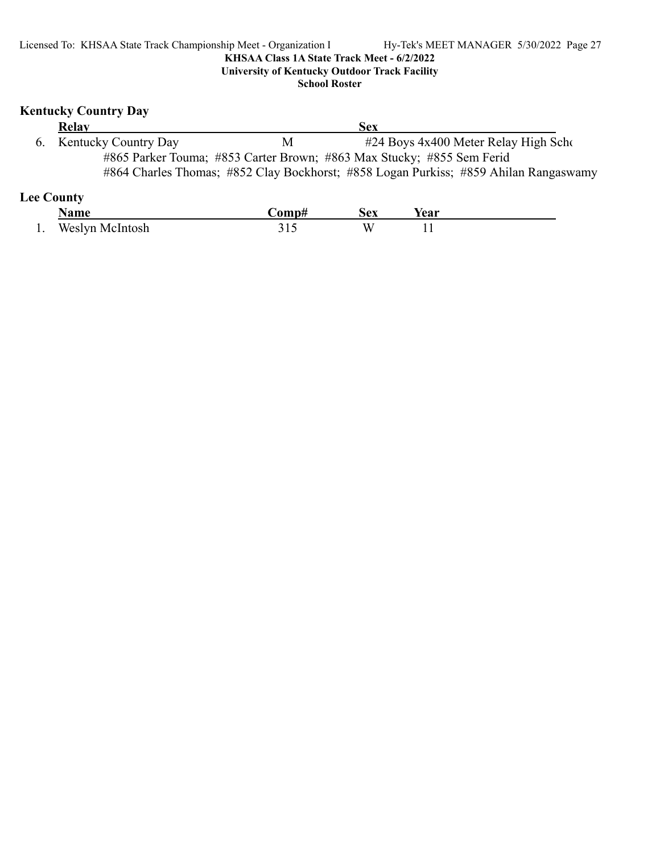### **Kentucky Country Day**

| <b>Relay</b>            |   | Sex                                                                   |                                                                                      |
|-------------------------|---|-----------------------------------------------------------------------|--------------------------------------------------------------------------------------|
| 6. Kentucky Country Day | M |                                                                       | #24 Boys 4x400 Meter Relay High Scho                                                 |
|                         |   | #865 Parker Touma; #853 Carter Brown; #863 Max Stucky; #855 Sem Ferid |                                                                                      |
|                         |   |                                                                       | #864 Charles Thomas; #852 Clay Bockhorst; #858 Logan Purkiss; #859 Ahilan Rangaswamy |
|                         |   |                                                                       |                                                                                      |

# **Lee County**

|     | Name            | `omn# | Sex | rear       |  |
|-----|-----------------|-------|-----|------------|--|
| . . | Weslyn McIntosh | ັ້ນ   | ۱л  | . .<br>$-$ |  |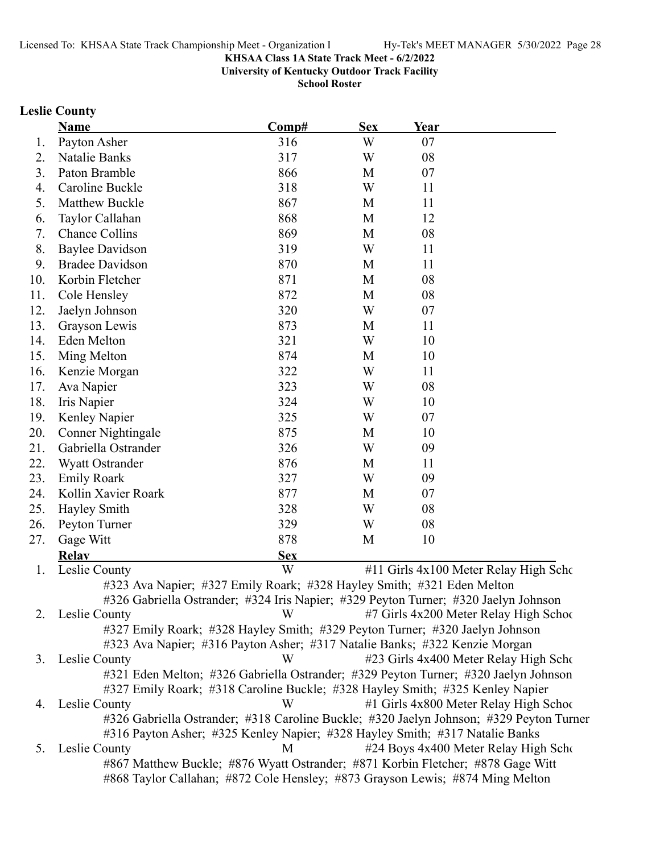**University of Kentucky Outdoor Track Facility**

**School Roster**

### **Leslie County**

| W<br>Payton Asher<br>316<br>07<br>1.<br>08<br>Natalie Banks<br>317<br>W<br>2.<br>3.<br>Paton Bramble<br>866<br>07<br>M<br>Caroline Buckle<br>W<br>318<br>11<br>4.<br>11<br>5.<br>Matthew Buckle<br>867<br>M<br>868<br>Taylor Callahan<br>12<br>M<br>6.<br>08<br>7.<br><b>Chance Collins</b><br>869<br>M<br>W<br>8.<br><b>Baylee Davidson</b><br>319<br>11<br>9.<br><b>Bradee Davidson</b><br>870<br>11<br>M<br>Korbin Fletcher<br>08<br>10.<br>871<br>M<br>Cole Hensley<br>872<br>M<br>08<br>11.<br>12.<br>320<br>W<br>07<br>Jaelyn Johnson<br>873<br>13.<br>Grayson Lewis<br>11<br>M<br>321<br>14.<br>Eden Melton<br>W<br>10<br>15.<br>874<br>10<br>Ming Melton<br>M<br>W<br>11<br>16.<br>322<br>Kenzie Morgan<br>323<br>08<br>17.<br>Ava Napier<br>W<br>18.<br>324<br>W<br>10<br>Iris Napier<br>325<br>07<br>19.<br>W<br>Kenley Napier<br>20.<br>875<br>M<br>10<br>Conner Nightingale<br>326<br>W<br>09<br>21.<br>Gabriella Ostrander<br>22.<br>876<br>11<br>Wyatt Ostrander<br>M<br>23.<br>327<br>W<br>09<br><b>Emily Roark</b><br>877<br>24.<br>Kollin Xavier Roark<br>07<br>M<br>328<br>25.<br>W<br>08<br>Hayley Smith<br>329<br>08<br>W<br>26.<br>Peyton Turner<br>27.<br>878<br>10<br>Gage Witt<br>M<br><b>Relay</b><br><b>Sex</b><br>W<br>#11 Girls 4x100 Meter Relay High Scho<br>Leslie County<br>1.<br>#323 Ava Napier; #327 Emily Roark; #328 Hayley Smith; #321 Eden Melton<br>#326 Gabriella Ostrander; #324 Iris Napier; #329 Peyton Turner; #320 Jaelyn Johnson<br>Leslie County<br>2.<br>#7 Girls 4x200 Meter Relay High School<br>W<br>#327 Emily Roark; #328 Hayley Smith; #329 Peyton Turner; #320 Jaelyn Johnson<br>#323 Ava Napier; #316 Payton Asher; #317 Natalie Banks; #322 Kenzie Morgan<br>#23 Girls 4x400 Meter Relay High Scho<br>3. Leslie County<br>W<br>#321 Eden Melton; #326 Gabriella Ostrander; #329 Peyton Turner; #320 Jaelyn Johnson<br>#327 Emily Roark; #318 Caroline Buckle; #328 Hayley Smith; #325 Kenley Napier<br>#1 Girls 4x800 Meter Relay High School<br>Leslie County<br>W<br>4.<br>#326 Gabriella Ostrander; #318 Caroline Buckle; #320 Jaelyn Johnson; #329 Peyton Turner<br>#316 Payton Asher; #325 Kenley Napier; #328 Hayley Smith; #317 Natalie Banks<br>#24 Boys 4x400 Meter Relay High Scho<br>Leslie County<br>M<br>5.<br>#867 Matthew Buckle; #876 Wyatt Ostrander; #871 Korbin Fletcher; #878 Gage Witt | Name | Comp# | <b>Sex</b> | Year |  |
|-----------------------------------------------------------------------------------------------------------------------------------------------------------------------------------------------------------------------------------------------------------------------------------------------------------------------------------------------------------------------------------------------------------------------------------------------------------------------------------------------------------------------------------------------------------------------------------------------------------------------------------------------------------------------------------------------------------------------------------------------------------------------------------------------------------------------------------------------------------------------------------------------------------------------------------------------------------------------------------------------------------------------------------------------------------------------------------------------------------------------------------------------------------------------------------------------------------------------------------------------------------------------------------------------------------------------------------------------------------------------------------------------------------------------------------------------------------------------------------------------------------------------------------------------------------------------------------------------------------------------------------------------------------------------------------------------------------------------------------------------------------------------------------------------------------------------------------------------------------------------------------------------------------------------------------------------------------------------------------------------------------------------------------------------------------------------------------------------------------------------------------------------------------------------------------------------------------------------------------------------------------------------------------------------------------------------------------------------------------------------|------|-------|------------|------|--|
|                                                                                                                                                                                                                                                                                                                                                                                                                                                                                                                                                                                                                                                                                                                                                                                                                                                                                                                                                                                                                                                                                                                                                                                                                                                                                                                                                                                                                                                                                                                                                                                                                                                                                                                                                                                                                                                                                                                                                                                                                                                                                                                                                                                                                                                                                                                                                                       |      |       |            |      |  |
|                                                                                                                                                                                                                                                                                                                                                                                                                                                                                                                                                                                                                                                                                                                                                                                                                                                                                                                                                                                                                                                                                                                                                                                                                                                                                                                                                                                                                                                                                                                                                                                                                                                                                                                                                                                                                                                                                                                                                                                                                                                                                                                                                                                                                                                                                                                                                                       |      |       |            |      |  |
|                                                                                                                                                                                                                                                                                                                                                                                                                                                                                                                                                                                                                                                                                                                                                                                                                                                                                                                                                                                                                                                                                                                                                                                                                                                                                                                                                                                                                                                                                                                                                                                                                                                                                                                                                                                                                                                                                                                                                                                                                                                                                                                                                                                                                                                                                                                                                                       |      |       |            |      |  |
|                                                                                                                                                                                                                                                                                                                                                                                                                                                                                                                                                                                                                                                                                                                                                                                                                                                                                                                                                                                                                                                                                                                                                                                                                                                                                                                                                                                                                                                                                                                                                                                                                                                                                                                                                                                                                                                                                                                                                                                                                                                                                                                                                                                                                                                                                                                                                                       |      |       |            |      |  |
|                                                                                                                                                                                                                                                                                                                                                                                                                                                                                                                                                                                                                                                                                                                                                                                                                                                                                                                                                                                                                                                                                                                                                                                                                                                                                                                                                                                                                                                                                                                                                                                                                                                                                                                                                                                                                                                                                                                                                                                                                                                                                                                                                                                                                                                                                                                                                                       |      |       |            |      |  |
|                                                                                                                                                                                                                                                                                                                                                                                                                                                                                                                                                                                                                                                                                                                                                                                                                                                                                                                                                                                                                                                                                                                                                                                                                                                                                                                                                                                                                                                                                                                                                                                                                                                                                                                                                                                                                                                                                                                                                                                                                                                                                                                                                                                                                                                                                                                                                                       |      |       |            |      |  |
|                                                                                                                                                                                                                                                                                                                                                                                                                                                                                                                                                                                                                                                                                                                                                                                                                                                                                                                                                                                                                                                                                                                                                                                                                                                                                                                                                                                                                                                                                                                                                                                                                                                                                                                                                                                                                                                                                                                                                                                                                                                                                                                                                                                                                                                                                                                                                                       |      |       |            |      |  |
|                                                                                                                                                                                                                                                                                                                                                                                                                                                                                                                                                                                                                                                                                                                                                                                                                                                                                                                                                                                                                                                                                                                                                                                                                                                                                                                                                                                                                                                                                                                                                                                                                                                                                                                                                                                                                                                                                                                                                                                                                                                                                                                                                                                                                                                                                                                                                                       |      |       |            |      |  |
|                                                                                                                                                                                                                                                                                                                                                                                                                                                                                                                                                                                                                                                                                                                                                                                                                                                                                                                                                                                                                                                                                                                                                                                                                                                                                                                                                                                                                                                                                                                                                                                                                                                                                                                                                                                                                                                                                                                                                                                                                                                                                                                                                                                                                                                                                                                                                                       |      |       |            |      |  |
|                                                                                                                                                                                                                                                                                                                                                                                                                                                                                                                                                                                                                                                                                                                                                                                                                                                                                                                                                                                                                                                                                                                                                                                                                                                                                                                                                                                                                                                                                                                                                                                                                                                                                                                                                                                                                                                                                                                                                                                                                                                                                                                                                                                                                                                                                                                                                                       |      |       |            |      |  |
|                                                                                                                                                                                                                                                                                                                                                                                                                                                                                                                                                                                                                                                                                                                                                                                                                                                                                                                                                                                                                                                                                                                                                                                                                                                                                                                                                                                                                                                                                                                                                                                                                                                                                                                                                                                                                                                                                                                                                                                                                                                                                                                                                                                                                                                                                                                                                                       |      |       |            |      |  |
|                                                                                                                                                                                                                                                                                                                                                                                                                                                                                                                                                                                                                                                                                                                                                                                                                                                                                                                                                                                                                                                                                                                                                                                                                                                                                                                                                                                                                                                                                                                                                                                                                                                                                                                                                                                                                                                                                                                                                                                                                                                                                                                                                                                                                                                                                                                                                                       |      |       |            |      |  |
|                                                                                                                                                                                                                                                                                                                                                                                                                                                                                                                                                                                                                                                                                                                                                                                                                                                                                                                                                                                                                                                                                                                                                                                                                                                                                                                                                                                                                                                                                                                                                                                                                                                                                                                                                                                                                                                                                                                                                                                                                                                                                                                                                                                                                                                                                                                                                                       |      |       |            |      |  |
|                                                                                                                                                                                                                                                                                                                                                                                                                                                                                                                                                                                                                                                                                                                                                                                                                                                                                                                                                                                                                                                                                                                                                                                                                                                                                                                                                                                                                                                                                                                                                                                                                                                                                                                                                                                                                                                                                                                                                                                                                                                                                                                                                                                                                                                                                                                                                                       |      |       |            |      |  |
|                                                                                                                                                                                                                                                                                                                                                                                                                                                                                                                                                                                                                                                                                                                                                                                                                                                                                                                                                                                                                                                                                                                                                                                                                                                                                                                                                                                                                                                                                                                                                                                                                                                                                                                                                                                                                                                                                                                                                                                                                                                                                                                                                                                                                                                                                                                                                                       |      |       |            |      |  |
|                                                                                                                                                                                                                                                                                                                                                                                                                                                                                                                                                                                                                                                                                                                                                                                                                                                                                                                                                                                                                                                                                                                                                                                                                                                                                                                                                                                                                                                                                                                                                                                                                                                                                                                                                                                                                                                                                                                                                                                                                                                                                                                                                                                                                                                                                                                                                                       |      |       |            |      |  |
|                                                                                                                                                                                                                                                                                                                                                                                                                                                                                                                                                                                                                                                                                                                                                                                                                                                                                                                                                                                                                                                                                                                                                                                                                                                                                                                                                                                                                                                                                                                                                                                                                                                                                                                                                                                                                                                                                                                                                                                                                                                                                                                                                                                                                                                                                                                                                                       |      |       |            |      |  |
|                                                                                                                                                                                                                                                                                                                                                                                                                                                                                                                                                                                                                                                                                                                                                                                                                                                                                                                                                                                                                                                                                                                                                                                                                                                                                                                                                                                                                                                                                                                                                                                                                                                                                                                                                                                                                                                                                                                                                                                                                                                                                                                                                                                                                                                                                                                                                                       |      |       |            |      |  |
|                                                                                                                                                                                                                                                                                                                                                                                                                                                                                                                                                                                                                                                                                                                                                                                                                                                                                                                                                                                                                                                                                                                                                                                                                                                                                                                                                                                                                                                                                                                                                                                                                                                                                                                                                                                                                                                                                                                                                                                                                                                                                                                                                                                                                                                                                                                                                                       |      |       |            |      |  |
|                                                                                                                                                                                                                                                                                                                                                                                                                                                                                                                                                                                                                                                                                                                                                                                                                                                                                                                                                                                                                                                                                                                                                                                                                                                                                                                                                                                                                                                                                                                                                                                                                                                                                                                                                                                                                                                                                                                                                                                                                                                                                                                                                                                                                                                                                                                                                                       |      |       |            |      |  |
|                                                                                                                                                                                                                                                                                                                                                                                                                                                                                                                                                                                                                                                                                                                                                                                                                                                                                                                                                                                                                                                                                                                                                                                                                                                                                                                                                                                                                                                                                                                                                                                                                                                                                                                                                                                                                                                                                                                                                                                                                                                                                                                                                                                                                                                                                                                                                                       |      |       |            |      |  |
|                                                                                                                                                                                                                                                                                                                                                                                                                                                                                                                                                                                                                                                                                                                                                                                                                                                                                                                                                                                                                                                                                                                                                                                                                                                                                                                                                                                                                                                                                                                                                                                                                                                                                                                                                                                                                                                                                                                                                                                                                                                                                                                                                                                                                                                                                                                                                                       |      |       |            |      |  |
|                                                                                                                                                                                                                                                                                                                                                                                                                                                                                                                                                                                                                                                                                                                                                                                                                                                                                                                                                                                                                                                                                                                                                                                                                                                                                                                                                                                                                                                                                                                                                                                                                                                                                                                                                                                                                                                                                                                                                                                                                                                                                                                                                                                                                                                                                                                                                                       |      |       |            |      |  |
|                                                                                                                                                                                                                                                                                                                                                                                                                                                                                                                                                                                                                                                                                                                                                                                                                                                                                                                                                                                                                                                                                                                                                                                                                                                                                                                                                                                                                                                                                                                                                                                                                                                                                                                                                                                                                                                                                                                                                                                                                                                                                                                                                                                                                                                                                                                                                                       |      |       |            |      |  |
|                                                                                                                                                                                                                                                                                                                                                                                                                                                                                                                                                                                                                                                                                                                                                                                                                                                                                                                                                                                                                                                                                                                                                                                                                                                                                                                                                                                                                                                                                                                                                                                                                                                                                                                                                                                                                                                                                                                                                                                                                                                                                                                                                                                                                                                                                                                                                                       |      |       |            |      |  |
|                                                                                                                                                                                                                                                                                                                                                                                                                                                                                                                                                                                                                                                                                                                                                                                                                                                                                                                                                                                                                                                                                                                                                                                                                                                                                                                                                                                                                                                                                                                                                                                                                                                                                                                                                                                                                                                                                                                                                                                                                                                                                                                                                                                                                                                                                                                                                                       |      |       |            |      |  |
|                                                                                                                                                                                                                                                                                                                                                                                                                                                                                                                                                                                                                                                                                                                                                                                                                                                                                                                                                                                                                                                                                                                                                                                                                                                                                                                                                                                                                                                                                                                                                                                                                                                                                                                                                                                                                                                                                                                                                                                                                                                                                                                                                                                                                                                                                                                                                                       |      |       |            |      |  |
|                                                                                                                                                                                                                                                                                                                                                                                                                                                                                                                                                                                                                                                                                                                                                                                                                                                                                                                                                                                                                                                                                                                                                                                                                                                                                                                                                                                                                                                                                                                                                                                                                                                                                                                                                                                                                                                                                                                                                                                                                                                                                                                                                                                                                                                                                                                                                                       |      |       |            |      |  |
|                                                                                                                                                                                                                                                                                                                                                                                                                                                                                                                                                                                                                                                                                                                                                                                                                                                                                                                                                                                                                                                                                                                                                                                                                                                                                                                                                                                                                                                                                                                                                                                                                                                                                                                                                                                                                                                                                                                                                                                                                                                                                                                                                                                                                                                                                                                                                                       |      |       |            |      |  |
|                                                                                                                                                                                                                                                                                                                                                                                                                                                                                                                                                                                                                                                                                                                                                                                                                                                                                                                                                                                                                                                                                                                                                                                                                                                                                                                                                                                                                                                                                                                                                                                                                                                                                                                                                                                                                                                                                                                                                                                                                                                                                                                                                                                                                                                                                                                                                                       |      |       |            |      |  |
|                                                                                                                                                                                                                                                                                                                                                                                                                                                                                                                                                                                                                                                                                                                                                                                                                                                                                                                                                                                                                                                                                                                                                                                                                                                                                                                                                                                                                                                                                                                                                                                                                                                                                                                                                                                                                                                                                                                                                                                                                                                                                                                                                                                                                                                                                                                                                                       |      |       |            |      |  |
|                                                                                                                                                                                                                                                                                                                                                                                                                                                                                                                                                                                                                                                                                                                                                                                                                                                                                                                                                                                                                                                                                                                                                                                                                                                                                                                                                                                                                                                                                                                                                                                                                                                                                                                                                                                                                                                                                                                                                                                                                                                                                                                                                                                                                                                                                                                                                                       |      |       |            |      |  |
|                                                                                                                                                                                                                                                                                                                                                                                                                                                                                                                                                                                                                                                                                                                                                                                                                                                                                                                                                                                                                                                                                                                                                                                                                                                                                                                                                                                                                                                                                                                                                                                                                                                                                                                                                                                                                                                                                                                                                                                                                                                                                                                                                                                                                                                                                                                                                                       |      |       |            |      |  |
|                                                                                                                                                                                                                                                                                                                                                                                                                                                                                                                                                                                                                                                                                                                                                                                                                                                                                                                                                                                                                                                                                                                                                                                                                                                                                                                                                                                                                                                                                                                                                                                                                                                                                                                                                                                                                                                                                                                                                                                                                                                                                                                                                                                                                                                                                                                                                                       |      |       |            |      |  |
|                                                                                                                                                                                                                                                                                                                                                                                                                                                                                                                                                                                                                                                                                                                                                                                                                                                                                                                                                                                                                                                                                                                                                                                                                                                                                                                                                                                                                                                                                                                                                                                                                                                                                                                                                                                                                                                                                                                                                                                                                                                                                                                                                                                                                                                                                                                                                                       |      |       |            |      |  |
|                                                                                                                                                                                                                                                                                                                                                                                                                                                                                                                                                                                                                                                                                                                                                                                                                                                                                                                                                                                                                                                                                                                                                                                                                                                                                                                                                                                                                                                                                                                                                                                                                                                                                                                                                                                                                                                                                                                                                                                                                                                                                                                                                                                                                                                                                                                                                                       |      |       |            |      |  |
|                                                                                                                                                                                                                                                                                                                                                                                                                                                                                                                                                                                                                                                                                                                                                                                                                                                                                                                                                                                                                                                                                                                                                                                                                                                                                                                                                                                                                                                                                                                                                                                                                                                                                                                                                                                                                                                                                                                                                                                                                                                                                                                                                                                                                                                                                                                                                                       |      |       |            |      |  |
|                                                                                                                                                                                                                                                                                                                                                                                                                                                                                                                                                                                                                                                                                                                                                                                                                                                                                                                                                                                                                                                                                                                                                                                                                                                                                                                                                                                                                                                                                                                                                                                                                                                                                                                                                                                                                                                                                                                                                                                                                                                                                                                                                                                                                                                                                                                                                                       |      |       |            |      |  |
|                                                                                                                                                                                                                                                                                                                                                                                                                                                                                                                                                                                                                                                                                                                                                                                                                                                                                                                                                                                                                                                                                                                                                                                                                                                                                                                                                                                                                                                                                                                                                                                                                                                                                                                                                                                                                                                                                                                                                                                                                                                                                                                                                                                                                                                                                                                                                                       |      |       |            |      |  |
|                                                                                                                                                                                                                                                                                                                                                                                                                                                                                                                                                                                                                                                                                                                                                                                                                                                                                                                                                                                                                                                                                                                                                                                                                                                                                                                                                                                                                                                                                                                                                                                                                                                                                                                                                                                                                                                                                                                                                                                                                                                                                                                                                                                                                                                                                                                                                                       |      |       |            |      |  |
|                                                                                                                                                                                                                                                                                                                                                                                                                                                                                                                                                                                                                                                                                                                                                                                                                                                                                                                                                                                                                                                                                                                                                                                                                                                                                                                                                                                                                                                                                                                                                                                                                                                                                                                                                                                                                                                                                                                                                                                                                                                                                                                                                                                                                                                                                                                                                                       |      |       |            |      |  |
|                                                                                                                                                                                                                                                                                                                                                                                                                                                                                                                                                                                                                                                                                                                                                                                                                                                                                                                                                                                                                                                                                                                                                                                                                                                                                                                                                                                                                                                                                                                                                                                                                                                                                                                                                                                                                                                                                                                                                                                                                                                                                                                                                                                                                                                                                                                                                                       |      |       |            |      |  |
| #868 Taylor Callahan; #872 Cole Hensley; #873 Grayson Lewis; #874 Ming Melton                                                                                                                                                                                                                                                                                                                                                                                                                                                                                                                                                                                                                                                                                                                                                                                                                                                                                                                                                                                                                                                                                                                                                                                                                                                                                                                                                                                                                                                                                                                                                                                                                                                                                                                                                                                                                                                                                                                                                                                                                                                                                                                                                                                                                                                                                         |      |       |            |      |  |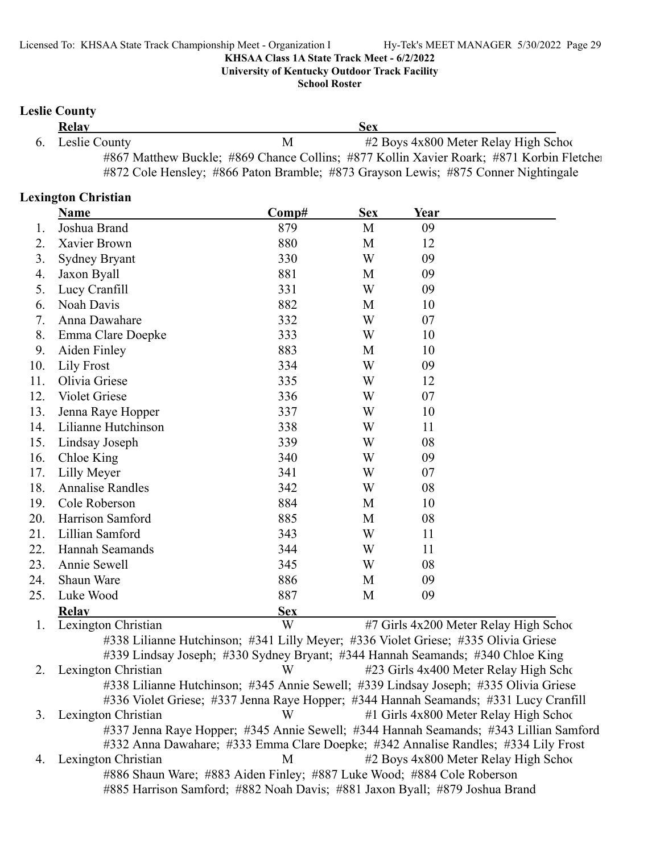**University of Kentucky Outdoor Track Facility**

**School Roster**

#### **Leslie County**

| Relay            |   | Sex                                                                                     |  |
|------------------|---|-----------------------------------------------------------------------------------------|--|
| 6. Leslie County | М | $#2$ Boys $4x800$ Meter Relay High School                                               |  |
|                  |   | #867 Matthew Buckle; #869 Chance Collins; #877 Kollin Xavier Roark; #871 Korbin Fletche |  |
|                  |   | #872 Cole Hensley; #866 Paton Bramble; #873 Grayson Lewis; #875 Conner Nightingale      |  |

#### **Lexington Christian**

|     | Name                    | Comp#                                                                              | <b>Sex</b> | Year |                                        |
|-----|-------------------------|------------------------------------------------------------------------------------|------------|------|----------------------------------------|
| 1.  | Joshua Brand            | 879                                                                                | M          | 09   |                                        |
| 2.  | Xavier Brown            | 880                                                                                | M          | 12   |                                        |
| 3.  | <b>Sydney Bryant</b>    | 330                                                                                | W          | 09   |                                        |
| 4.  | Jaxon Byall             | 881                                                                                | M          | 09   |                                        |
| 5.  | Lucy Cranfill           | 331                                                                                | W          | 09   |                                        |
| 6.  | Noah Davis              | 882                                                                                | M          | 10   |                                        |
| 7.  | Anna Dawahare           | 332                                                                                | W          | 07   |                                        |
| 8.  | Emma Clare Doepke       | 333                                                                                | W          | 10   |                                        |
| 9.  | Aiden Finley            | 883                                                                                | M          | 10   |                                        |
| 10. | <b>Lily Frost</b>       | 334                                                                                | W          | 09   |                                        |
| 11. | Olivia Griese           | 335                                                                                | W          | 12   |                                        |
| 12. | Violet Griese           | 336                                                                                | W          | 07   |                                        |
| 13. | Jenna Raye Hopper       | 337                                                                                | W          | 10   |                                        |
| 14. | Lilianne Hutchinson     | 338                                                                                | W          | 11   |                                        |
| 15. | Lindsay Joseph          | 339                                                                                | W          | 08   |                                        |
| 16. | Chloe King              | 340                                                                                | W          | 09   |                                        |
| 17. | Lilly Meyer             | 341                                                                                | W          | 07   |                                        |
| 18. | <b>Annalise Randles</b> | 342                                                                                | W          | 08   |                                        |
| 19. | Cole Roberson           | 884                                                                                | M          | 10   |                                        |
| 20. | Harrison Samford        | 885                                                                                | M          | 08   |                                        |
| 21. | Lillian Samford         | 343                                                                                | W          | 11   |                                        |
| 22. | Hannah Seamands         | 344                                                                                | W          | 11   |                                        |
| 23. | Annie Sewell            | 345                                                                                | W          | 08   |                                        |
| 24. | Shaun Ware              | 886                                                                                | M          | 09   |                                        |
| 25. | Luke Wood               | 887                                                                                | M          | 09   |                                        |
|     | <b>Relay</b>            | <b>Sex</b>                                                                         |            |      |                                        |
| 1.  | Lexington Christian     | W                                                                                  |            |      | #7 Girls 4x200 Meter Relay High School |
|     |                         | #338 Lilianne Hutchinson; #341 Lilly Meyer; #336 Violet Griese; #335 Olivia Griese |            |      |                                        |
|     |                         | #339 Lindsay Joseph; #330 Sydney Bryant; #344 Hannah Seamands; #340 Chloe King     |            |      |                                        |
| 2.  | Lexington Christian     | W                                                                                  |            |      | #23 Girls 4x400 Meter Relay High Scho  |

#338 Lilianne Hutchinson; #345 Annie Sewell; #339 Lindsay Joseph; #335 Olivia Griese #336 Violet Griese; #337 Jenna Raye Hopper; #344 Hannah Seamands; #331 Lucy Cranfill 3. Lexington Christian W #1 Girls 4x800 Meter Relay High Schoo #337 Jenna Raye Hopper; #345 Annie Sewell; #344 Hannah Seamands; #343 Lillian Samford #332 Anna Dawahare; #333 Emma Clare Doepke; #342 Annalise Randles; #334 Lily Frost 4. Lexington Christian M #2 Boys 4x800 Meter Relay High School #886 Shaun Ware; #883 Aiden Finley; #887 Luke Wood; #884 Cole Roberson #885 Harrison Samford; #882 Noah Davis; #881 Jaxon Byall; #879 Joshua Brand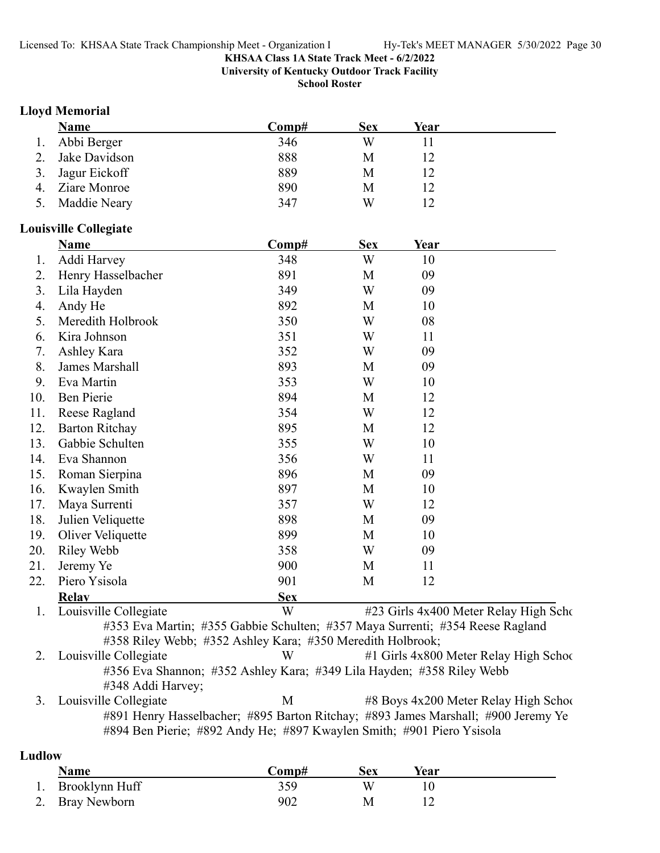**University of Kentucky Outdoor Track Facility**

**School Roster**

#### **Lloyd Memorial**

| Name             | Comp# | <b>Sex</b> | Year |  |
|------------------|-------|------------|------|--|
| 1. Abbi Berger   | 346   | W          |      |  |
| Jake Davidson    | 888   | M          |      |  |
| 3. Jagur Eickoff | 889   | М          |      |  |
| Ziare Monroe     | 890   | М          |      |  |
| Maddie Neary     | 347   | W          |      |  |

#### **Louisville Collegiate**

|     | Name                  | Comp#                                                      | <b>Sex</b> | Year                                                                          |
|-----|-----------------------|------------------------------------------------------------|------------|-------------------------------------------------------------------------------|
| 1.  | Addi Harvey           | 348                                                        | W          | 10                                                                            |
| 2.  | Henry Hasselbacher    | 891                                                        | M          | 09                                                                            |
| 3.  | Lila Hayden           | 349                                                        | W          | 09                                                                            |
| 4.  | Andy He               | 892                                                        | M          | 10                                                                            |
| 5.  | Meredith Holbrook     | 350                                                        | W          | 08                                                                            |
| 6.  | Kira Johnson          | 351                                                        | W          | 11                                                                            |
| 7.  | Ashley Kara           | 352                                                        | W          | 09                                                                            |
| 8.  | James Marshall        | 893                                                        | M          | 09                                                                            |
| 9.  | Eva Martin            | 353                                                        | W          | 10                                                                            |
| 10. | Ben Pierie            | 894                                                        | M          | 12                                                                            |
| 11. | Reese Ragland         | 354                                                        | W          | 12                                                                            |
| 12. | <b>Barton Ritchay</b> | 895                                                        | M          | 12                                                                            |
| 13. | Gabbie Schulten       | 355                                                        | W          | 10                                                                            |
| 14. | Eva Shannon           | 356                                                        | W          | 11                                                                            |
| 15. | Roman Sierpina        | 896                                                        | M          | 09                                                                            |
| 16. | Kwaylen Smith         | 897                                                        | M          | 10                                                                            |
| 17. | Maya Surrenti         | 357                                                        | W          | 12                                                                            |
| 18. | Julien Veliquette     | 898                                                        | M          | 09                                                                            |
| 19. | Oliver Veliquette     | 899                                                        | M          | 10                                                                            |
| 20. | Riley Webb            | 358                                                        | W          | 09                                                                            |
| 21. | Jeremy Ye             | 900                                                        | M          | 11                                                                            |
| 22. | Piero Ysisola         | 901                                                        | M          | 12                                                                            |
|     | <b>Relav</b>          | <b>Sex</b>                                                 |            |                                                                               |
| 1.  | Louisville Collegiate | W                                                          |            | #23 Girls 4x400 Meter Relay High Scho                                         |
|     |                       |                                                            |            | #353 Eva Martin; #355 Gabbie Schulten; #357 Maya Surrenti; #354 Reese Ragland |
|     |                       | #358 Riley Webb; #352 Ashley Kara; #350 Meredith Holbrook; |            |                                                                               |
| 2.  | Louisville Collegiate | W                                                          |            | #1 Girls 4x800 Meter Relay High School                                        |

#356 Eva Shannon; #352 Ashley Kara; #349 Lila Hayden; #358 Riley Webb #348 Addi Harvey;

3. Louisville Collegiate M and  $\frac{48}{8}$  Boys 4x200 Meter Relay High School #891 Henry Hasselbacher; #895 Barton Ritchay; #893 James Marshall; #900 Jeremy Ye #894 Ben Pierie; #892 Andy He; #897 Kwaylen Smith; #901 Piero Ysisola

### **Ludlow**

| <b>Name</b>       | ∑omp# | Sex | Year |
|-------------------|-------|-----|------|
| 1. Brooklynn Huff | 359   |     |      |
| 2. Bray Newborn   | 902   |     |      |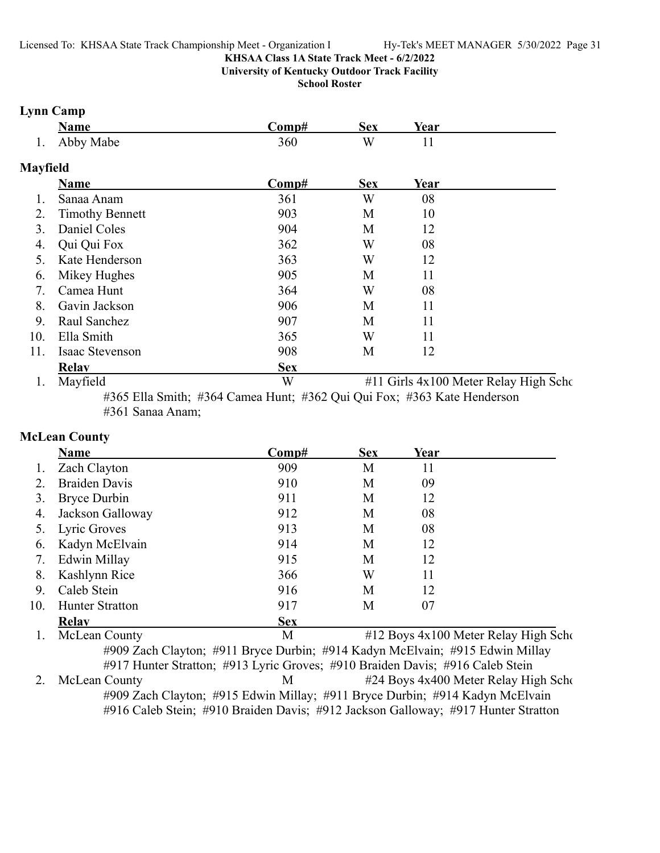**University of Kentucky Outdoor Track Facility**

**School Roster**

#### **Lynn Camp**

|         | Name      | `∩mn# | Sex | Year |  |
|---------|-----------|-------|-----|------|--|
| $\cdot$ | Abby Mabe | 360   | W   |      |  |

### **Mayfield**

|     | <b>Name</b>            | Comp#      | <b>Sex</b> | Year |                                       |
|-----|------------------------|------------|------------|------|---------------------------------------|
|     | Sanaa Anam             | 361        | W          | 08   |                                       |
| 2.  | <b>Timothy Bennett</b> | 903        | M          | 10   |                                       |
| 3.  | Daniel Coles           | 904        | M          | 12   |                                       |
| 4.  | Qui Qui Fox            | 362        | W          | 08   |                                       |
|     | Kate Henderson         | 363        | W          | 12   |                                       |
| 6.  | Mikey Hughes           | 905        | M          | 11   |                                       |
|     | Camea Hunt             | 364        | W          | 08   |                                       |
| 8.  | Gavin Jackson          | 906        | M          | 11   |                                       |
| 9.  | Raul Sanchez           | 907        | M          | 11   |                                       |
| 10. | Ella Smith             | 365        | W          | 11   |                                       |
| 11. | Isaac Stevenson        | 908        | M          | 12   |                                       |
|     | <b>Relav</b>           | <b>Sex</b> |            |      |                                       |
|     | Mayfield               | W          |            |      | #11 Girls 4x100 Meter Relay High Scho |

#365 Ella Smith; #364 Camea Hunt; #362 Qui Qui Fox; #363 Kate Henderson #361 Sanaa Anam;

#### **McLean County**

|     | Name                   | $\bf Comp#$ | <b>Sex</b> | Year |  |
|-----|------------------------|-------------|------------|------|--|
|     | 1. Zach Clayton        | 909         | М          | 11   |  |
|     | <b>Braiden Davis</b>   | 910         | М          | 09   |  |
| 3.  | Bryce Durbin           | 911         | M          | 12   |  |
| 4.  | Jackson Galloway       | 912         | M          | 08   |  |
| 5.  | Lyric Groves           | 913         | М          | 08   |  |
| 6.  | Kadyn McElvain         | 914         | M          | 12   |  |
| 7.  | Edwin Millay           | 915         | М          | 12   |  |
| 8.  | Kashlynn Rice          | 366         | W          | 11   |  |
| 9.  | Caleb Stein            | 916         | М          | 12   |  |
| 10. | <b>Hunter Stratton</b> | 917         | М          | 07   |  |
|     | <b>Relav</b>           | <b>Sex</b>  |            |      |  |
|     |                        |             |            |      |  |

1. McLean County 1. McLean County 1. M  $\#12$  Boys 4x100 Meter Relay High Scho #909 Zach Clayton; #911 Bryce Durbin; #914 Kadyn McElvain; #915 Edwin Millay #917 Hunter Stratton; #913 Lyric Groves; #910 Braiden Davis; #916 Caleb Stein 2. McLean County M #24 Boys 4x400 Meter Relay High Scho #909 Zach Clayton; #915 Edwin Millay; #911 Bryce Durbin; #914 Kadyn McElvain #916 Caleb Stein; #910 Braiden Davis; #912 Jackson Galloway; #917 Hunter Stratton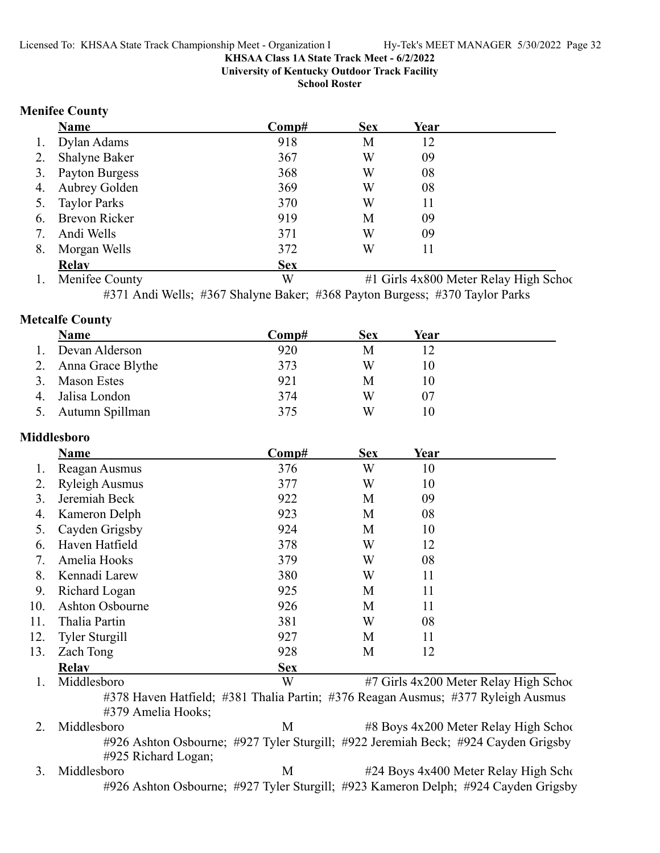**University of Kentucky Outdoor Track Facility**

**School Roster**

#### **Menifee County**

|    | <b>Name</b>          | Comp#      | <b>Sex</b> | Year |  |
|----|----------------------|------------|------------|------|--|
| 1. | Dylan Adams          | 918        | М          | 12   |  |
| 2. | <b>Shalyne Baker</b> | 367        | W          | 09   |  |
| 3. | Payton Burgess       | 368        | W          | 08   |  |
|    | 4. Aubrey Golden     | 369        | W          | 08   |  |
|    | 5. Taylor Parks      | 370        | W          | 11   |  |
| 6. | <b>Brevon Ricker</b> | 919        | М          | 09   |  |
| 7. | Andi Wells           | 371        | W          | 09   |  |
| 8. | Morgan Wells         | 372        | W          | 11   |  |
|    | <b>Relav</b>         | <b>Sex</b> |            |      |  |

1. Menifee County W #1 Girls 4x800 Meter Relay High School #371 Andi Wells; #367 Shalyne Baker; #368 Payton Burgess; #370 Taylor Parks

**Metcalfe County**

|                  | <b>Name</b>          | Comp# | <b>Sex</b> | Year |
|------------------|----------------------|-------|------------|------|
| $\overline{1}$ . | Devan Alderson       | 920   | M          |      |
|                  | 2. Anna Grace Blythe | 373   | W          | 10   |
|                  | 3. Mason Estes       | 921   | M          | 10   |
|                  | 4. Jalisa London     | 374   | W          | 07   |
|                  | 5. Autumn Spillman   | 375   | W          | 10   |

#### **Middlesboro**

|     | <b>Name</b>           | Comp#      | <b>Sex</b> | Year |                                        |
|-----|-----------------------|------------|------------|------|----------------------------------------|
|     | Reagan Ausmus         | 376        | W          | 10   |                                        |
| 2.  | <b>Ryleigh Ausmus</b> | 377        | W          | 10   |                                        |
| 3.  | Jeremiah Beck         | 922        | M          | 09   |                                        |
| 4.  | Kameron Delph         | 923        | M          | 08   |                                        |
| 5.  | Cayden Grigsby        | 924        | M          | 10   |                                        |
| 6.  | Haven Hatfield        | 378        | W          | 12   |                                        |
| 7.  | Amelia Hooks          | 379        | W          | 08   |                                        |
| 8.  | Kennadi Larew         | 380        | W          | 11   |                                        |
| 9.  | Richard Logan         | 925        | M          | 11   |                                        |
| 10. | Ashton Osbourne       | 926        | M          | 11   |                                        |
| 11. | Thalia Partin         | 381        | W          | 08   |                                        |
| 12. | <b>Tyler Sturgill</b> | 927        | M          | 11   |                                        |
| 13. | Zach Tong             | 928        | M          | 12   |                                        |
|     | <b>Relav</b>          | <b>Sex</b> |            |      |                                        |
|     | Middlesboro           | W          |            |      | #7 Girls 4x200 Meter Relay High School |

#378 Haven Hatfield; #381 Thalia Partin; #376 Reagan Ausmus; #377 Ryleigh Ausmus #379 Amelia Hooks;

2. Middlesboro M #8 Boys 4x200 Meter Relay High School #926 Ashton Osbourne; #927 Tyler Sturgill; #922 Jeremiah Beck; #924 Cayden Grigsby #925 Richard Logan;

3. Middlesboro M #24 Boys 4x400 Meter Relay High Scho #926 Ashton Osbourne; #927 Tyler Sturgill; #923 Kameron Delph; #924 Cayden Grigsby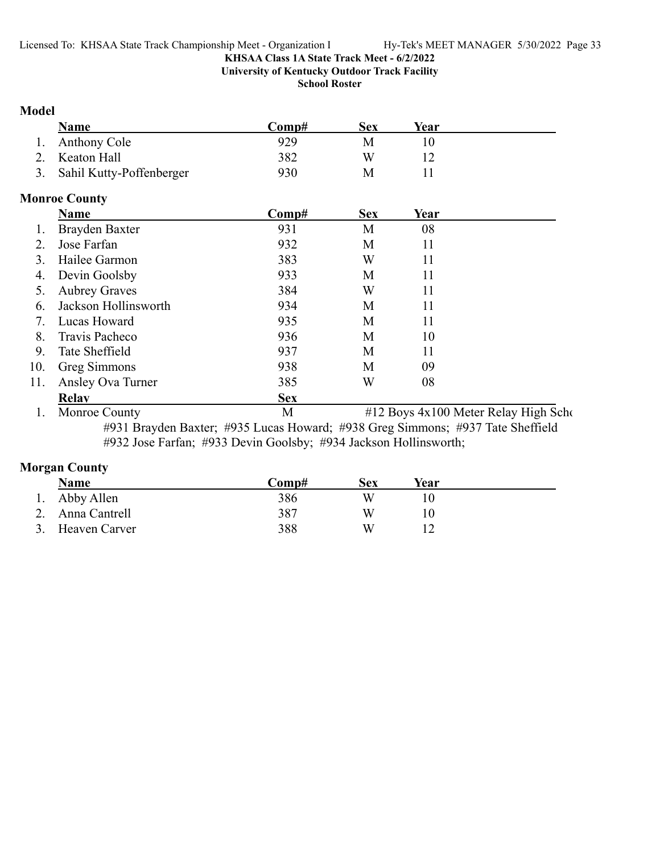**University of Kentucky Outdoor Track Facility**

**School Roster**

#### **Model**

| Name                        | Comp# | Sex | Year |
|-----------------------------|-------|-----|------|
| 1. Anthony Cole             | 929   |     |      |
| 2. Keaton Hall              | 382   | W   |      |
| 3. Sahil Kutty-Poffenberger | 930   |     |      |

### **Monroe County**

|     | Name                 | Comp#      | <b>Sex</b> | Year |  |
|-----|----------------------|------------|------------|------|--|
|     | Brayden Baxter       | 931        | M          | 08   |  |
| 2.  | Jose Farfan          | 932        | M          | 11   |  |
| 3.  | Hailee Garmon        | 383        | W          | 11   |  |
| 4.  | Devin Goolsby        | 933        | M          | 11   |  |
| 5.  | <b>Aubrey Graves</b> | 384        | W          | 11   |  |
| 6.  | Jackson Hollinsworth | 934        | M          | 11   |  |
| 7.  | Lucas Howard         | 935        | M          | 11   |  |
| 8.  | Travis Pacheco       | 936        | M          | 10   |  |
| 9.  | Tate Sheffield       | 937        | M          | 11   |  |
| 10. | Greg Simmons         | 938        | M          | 09   |  |
| 11. | Ansley Ova Turner    | 385        | W          | 08   |  |
|     | Relav                | <b>Sex</b> |            |      |  |
|     |                      |            |            |      |  |

1. Monroe County M #12 Boys 4x100 Meter Relay High Scho #931 Brayden Baxter; #935 Lucas Howard; #938 Greg Simmons; #937 Tate Sheffield #932 Jose Farfan; #933 Devin Goolsby; #934 Jackson Hollinsworth;

### **Morgan County**

| Name             | Comp# | Sex | Year |  |
|------------------|-------|-----|------|--|
| 1. Abby Allen    | 386   | W   |      |  |
| 2. Anna Cantrell | 387   | W   |      |  |
| 3. Heaven Carver | 388   | W   |      |  |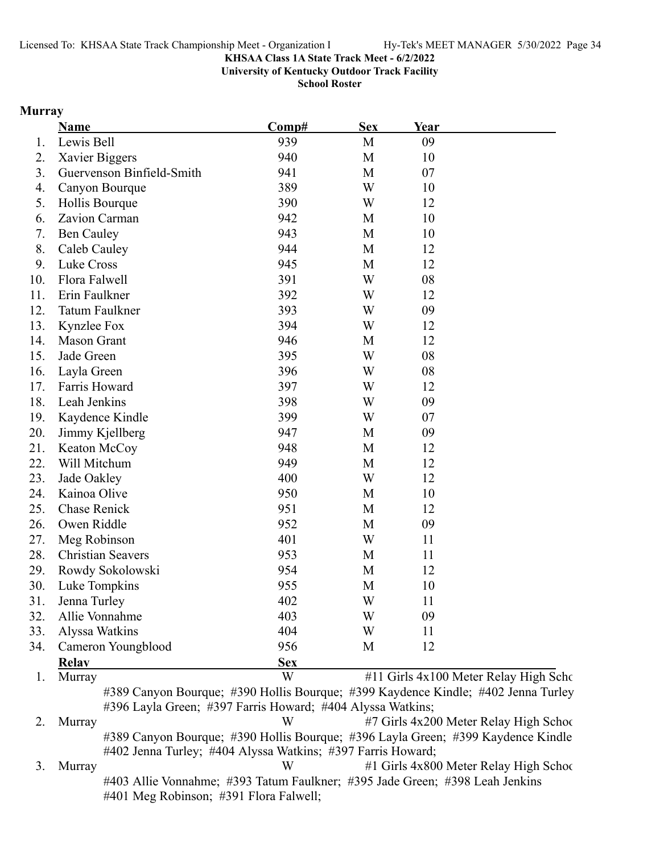**University of Kentucky Outdoor Track Facility**

**School Roster**

### **Murray**

|     | Name                      | Comp#      | <b>Sex</b> | Year |                                       |
|-----|---------------------------|------------|------------|------|---------------------------------------|
| 1.  | Lewis Bell                | 939        | M          | 09   |                                       |
| 2.  | Xavier Biggers            | 940        | M          | 10   |                                       |
| 3.  | Guervenson Binfield-Smith | 941        | M          | 07   |                                       |
| 4.  | Canyon Bourque            | 389        | W          | 10   |                                       |
| 5.  | Hollis Bourque            | 390        | W          | 12   |                                       |
| 6.  | Zavion Carman             | 942        | M          | 10   |                                       |
| 7.  | <b>Ben Cauley</b>         | 943        | M          | 10   |                                       |
| 8.  | Caleb Cauley              | 944        | M          | 12   |                                       |
| 9.  | Luke Cross                | 945        | M          | 12   |                                       |
| 10. | Flora Falwell             | 391        | W          | 08   |                                       |
| 11. | Erin Faulkner             | 392        | W          | 12   |                                       |
| 12. | Tatum Faulkner            | 393        | W          | 09   |                                       |
| 13. | Kynzlee Fox               | 394        | W          | 12   |                                       |
| 14. | <b>Mason Grant</b>        | 946        | M          | 12   |                                       |
| 15. | Jade Green                | 395        | W          | 08   |                                       |
| 16. | Layla Green               | 396        | W          | 08   |                                       |
| 17. | Farris Howard             | 397        | W          | 12   |                                       |
| 18. | Leah Jenkins              | 398        | W          | 09   |                                       |
| 19. | Kaydence Kindle           | 399        | W          | 07   |                                       |
| 20. | Jimmy Kjellberg           | 947        | M          | 09   |                                       |
| 21. | Keaton McCoy              | 948        | M          | 12   |                                       |
| 22. | Will Mitchum              | 949        | M          | 12   |                                       |
| 23. | Jade Oakley               | 400        | W          | 12   |                                       |
| 24. | Kainoa Olive              | 950        | M          | 10   |                                       |
| 25. | <b>Chase Renick</b>       | 951        | M          | 12   |                                       |
| 26. | Owen Riddle               | 952        | M          | 09   |                                       |
| 27. | Meg Robinson              | 401        | W          | 11   |                                       |
| 28. | <b>Christian Seavers</b>  | 953        | M          | 11   |                                       |
| 29. | Rowdy Sokolowski          | 954        | M          | 12   |                                       |
| 30. | Luke Tompkins             | 955        | M          | 10   |                                       |
| 31. | Jenna Turley              | 402        | W          | 11   |                                       |
| 32. | Allie Vonnahme            | 403        | W          | 09   |                                       |
| 33. | Alyssa Watkins            | 404        | W          | 11   |                                       |
| 34. | Cameron Youngblood        | 956        | M          | 12   |                                       |
|     | <b>Relay</b>              | <b>Sex</b> |            |      |                                       |
| 1.  | Murray                    | W          |            |      | #11 Girls 4x100 Meter Relay High Scho |

#389 Canyon Bourque; #390 Hollis Bourque; #399 Kaydence Kindle; #402 Jenna Turley #396 Layla Green; #397 Farris Howard; #404 Alyssa Watkins;

2. Murray W #7 Girls 4x200 Meter Relay High School #389 Canyon Bourque; #390 Hollis Bourque; #396 Layla Green; #399 Kaydence Kindle #402 Jenna Turley; #404 Alyssa Watkins; #397 Farris Howard;

3. Murray W #1 Girls 4x800 Meter Relay High School #403 Allie Vonnahme; #393 Tatum Faulkner; #395 Jade Green; #398 Leah Jenkins #401 Meg Robinson; #391 Flora Falwell;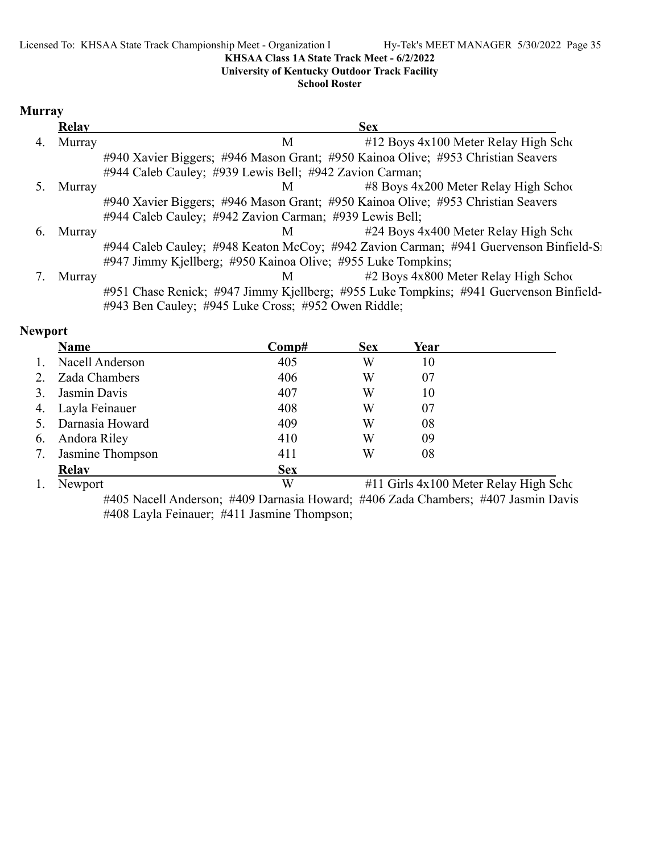#### **University of Kentucky Outdoor Track Facility**

#### **School Roster**

### **Murray**

|    | <b>Relay</b> | <b>Sex</b>                                                                             |
|----|--------------|----------------------------------------------------------------------------------------|
| 4. | Murray       | #12 Boys 4x100 Meter Relay High Scho<br>M                                              |
|    |              | #940 Xavier Biggers; #946 Mason Grant; #950 Kainoa Olive; #953 Christian Seavers       |
|    |              | #944 Caleb Cauley; #939 Lewis Bell; #942 Zavion Carman;                                |
|    | Murray       | $\#8$ Boys 4x200 Meter Relay High School<br>M <sub>1</sub>                             |
|    |              | #940 Xavier Biggers; #946 Mason Grant; #950 Kainoa Olive; #953 Christian Seavers       |
|    |              | #944 Caleb Cauley; #942 Zavion Carman; #939 Lewis Bell;                                |
| 6. | Murray       | #24 Boys 4x400 Meter Relay High Scho<br>M                                              |
|    |              | #944 Caleb Cauley; #948 Keaton McCoy; #942 Zavion Carman; #941 Guervenson Binfield-St  |
|    |              | #947 Jimmy Kjellberg; #950 Kainoa Olive; #955 Luke Tompkins;                           |
|    | Murray       | $#2$ Boys $4x800$ Meter Relay High School<br>M                                         |
|    |              | #951 Chase Renick; #947 Jimmy Kjellberg; #955 Luke Tompkins; #941 Guervenson Binfield- |
|    |              | #943 Ben Cauley; #945 Luke Cross; #952 Owen Riddle;                                    |

#### **Newport**

|                  | Name              | $\bf Comp\#$ | <b>Sex</b> | Year |                                       |
|------------------|-------------------|--------------|------------|------|---------------------------------------|
|                  | Nacell Anderson   | 405          | W          | 10   |                                       |
|                  | Zada Chambers     | 406          | W          | 07   |                                       |
|                  | Jasmin Davis      | 407          | W          | 10   |                                       |
|                  | 4. Layla Feinauer | 408          | W          | 07   |                                       |
|                  | Darnasia Howard   | 409          | W          | 08   |                                       |
| $\mathfrak{b}$ . | Andora Riley      | 410          | W          | 09   |                                       |
| 7.               | Jasmine Thompson  | 411          | W          | 08   |                                       |
|                  | <b>Relay</b>      | <b>Sex</b>   |            |      |                                       |
|                  | Newport           | W            |            |      | #11 Girls 4x100 Meter Relay High Scho |

#405 Nacell Anderson; #409 Darnasia Howard; #406 Zada Chambers; #407 Jasmin Davis #408 Layla Feinauer; #411 Jasmine Thompson;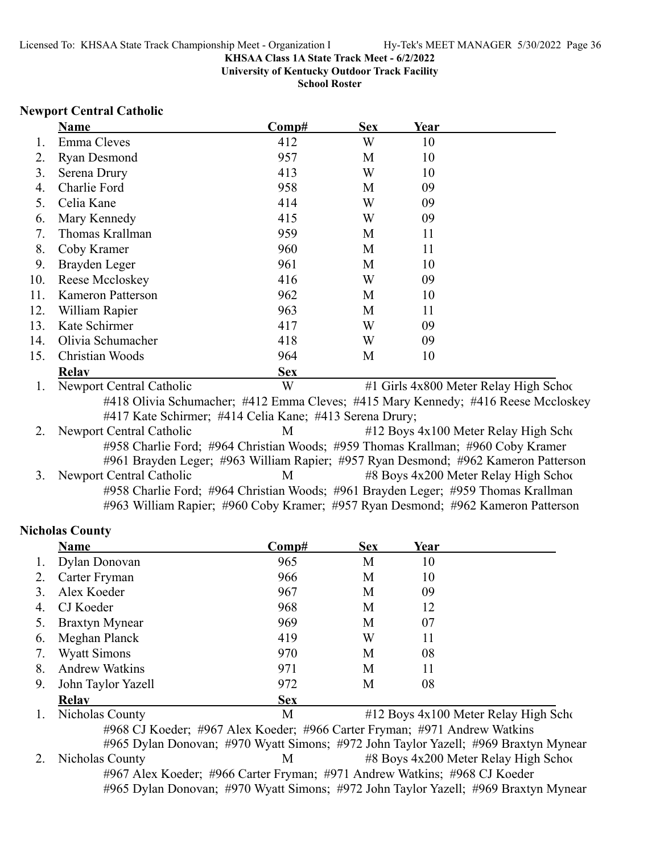**University of Kentucky Outdoor Track Facility**

**School Roster**

#### **Newport Central Catholic**

|     | Name                                                                               | Comp#      | <b>Sex</b> | Year |                                        |
|-----|------------------------------------------------------------------------------------|------------|------------|------|----------------------------------------|
| Ι.  | Emma Cleves                                                                        | 412        | W          | 10   |                                        |
| 2.  | <b>Ryan Desmond</b>                                                                | 957        | M          | 10   |                                        |
| 3.  | Serena Drury                                                                       | 413        | W          | 10   |                                        |
| 4.  | Charlie Ford                                                                       | 958        | M          | 09   |                                        |
| 5.  | Celia Kane                                                                         | 414        | W          | 09   |                                        |
| 6.  | Mary Kennedy                                                                       | 415        | W          | 09   |                                        |
| 7.  | Thomas Krallman                                                                    | 959        | M          | 11   |                                        |
| 8.  | Coby Kramer                                                                        | 960        | M          | 11   |                                        |
| 9.  | Brayden Leger                                                                      | 961        | M          | 10   |                                        |
| 10. | Reese Mccloskey                                                                    | 416        | W          | 09   |                                        |
| 11. | <b>Kameron Patterson</b>                                                           | 962        | M          | 10   |                                        |
| 12. | William Rapier                                                                     | 963        | M          | 11   |                                        |
| 13. | Kate Schirmer                                                                      | 417        | W          | 09   |                                        |
| 14. | Olivia Schumacher                                                                  | 418        | W          | 09   |                                        |
| 15. | Christian Woods                                                                    | 964        | M          | 10   |                                        |
|     | <b>Relav</b>                                                                       | <b>Sex</b> |            |      |                                        |
| Ι.  | Newport Central Catholic                                                           | W          |            |      | #1 Girls 4x800 Meter Relay High School |
|     | #418 Olivia Schumacher; #412 Emma Cleves; #415 Mary Kennedy; #416 Reese Mccloskey  |            |            |      |                                        |
|     | #417 Kate Schirmer; #414 Celia Kane; #413 Serena Drury;                            |            |            |      |                                        |
| 2.  | Newport Central Catholic                                                           | M          |            |      | #12 Boys 4x100 Meter Relay High Scho   |
|     | #958 Charlie Ford; #964 Christian Woods; #959 Thomas Krallman; #960 Coby Kramer    |            |            |      |                                        |
|     | #961 Brayden Leger; #963 William Rapier; #957 Ryan Desmond; #962 Kameron Patterson |            |            |      |                                        |
|     | $M = \frac{1}{2}$                                                                  |            |            |      |                                        |

3. Newport Central Catholic **1988** M  $\overline{AB}$  All  $\overline{AB}$  Boys 4x200 Meter Relay High Schoo #958 Charlie Ford; #964 Christian Woods; #961 Brayden Leger; #959 Thomas Krallman #963 William Rapier; #960 Coby Kramer; #957 Ryan Desmond; #962 Kameron Patterson

### **Nicholas County**

|    | Name                  | Comp#      | <b>Sex</b> | Year |                                          |
|----|-----------------------|------------|------------|------|------------------------------------------|
| 1. | Dylan Donovan         | 965        | M          | 10   |                                          |
| 2. | Carter Fryman         | 966        | M          | 10   |                                          |
| 3. | Alex Koeder           | 967        | M          | 09   |                                          |
| 4. | CJ Koeder             | 968        | M          | 12   |                                          |
| 5. | <b>Braxtyn Mynear</b> | 969        | M          | 07   |                                          |
| 6. | Meghan Planck         | 419        | W          | 11   |                                          |
| 7. | <b>Wyatt Simons</b>   | 970        | M          | 08   |                                          |
| 8. | <b>Andrew Watkins</b> | 971        | M          | 11   |                                          |
| 9. | John Taylor Yazell    | 972        | M          | 08   |                                          |
|    | <b>Relav</b>          | <b>Sex</b> |            |      |                                          |
|    | Nicholas County       | M          |            |      | $#12$ Boys $4x100$ Meter Relay High Scho |

#968 CJ Koeder; #967 Alex Koeder; #966 Carter Fryman; #971 Andrew Watkins #965 Dylan Donovan; #970 Wyatt Simons; #972 John Taylor Yazell; #969 Braxtyn Mynear

2. Nicholas County 12. Nicholas County 12. Nicholas County 12. M 48 Boys 4x200 Meter Relay High Schoo #967 Alex Koeder; #966 Carter Fryman; #971 Andrew Watkins; #968 CJ Koeder #965 Dylan Donovan; #970 Wyatt Simons; #972 John Taylor Yazell; #969 Braxtyn Mynear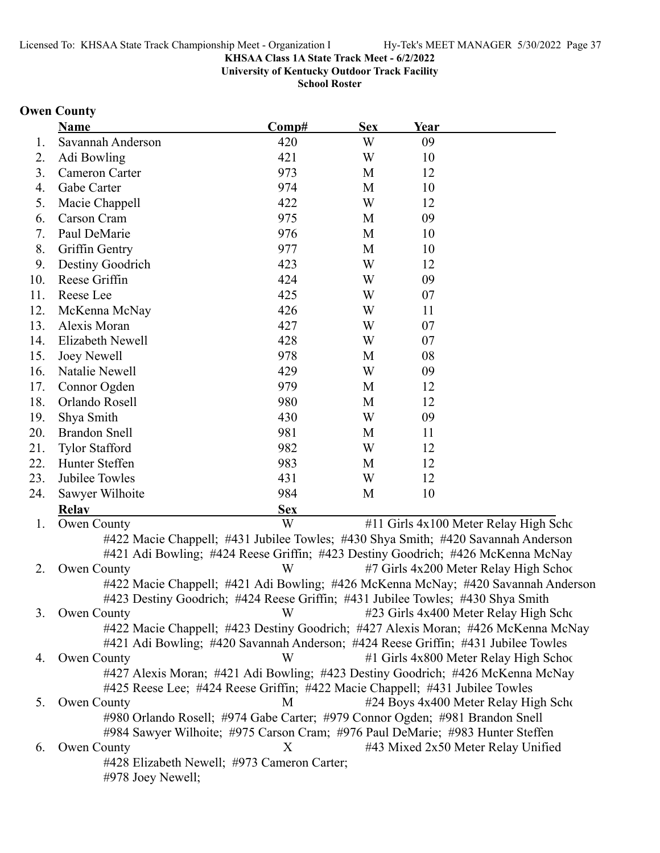**University of Kentucky Outdoor Track Facility**

**School Roster**

### **Owen County**

|     | <b>Name</b>                                                                       | Comp#      | <b>Sex</b> | Year |                                                                                   |
|-----|-----------------------------------------------------------------------------------|------------|------------|------|-----------------------------------------------------------------------------------|
| 1.  | Savannah Anderson                                                                 | 420        | W          | 09   |                                                                                   |
| 2.  | Adi Bowling                                                                       | 421        | W          | 10   |                                                                                   |
| 3.  | Cameron Carter                                                                    | 973        | M          | 12   |                                                                                   |
| 4.  | Gabe Carter                                                                       | 974        | M          | 10   |                                                                                   |
| 5.  | Macie Chappell                                                                    | 422        | W          | 12   |                                                                                   |
| 6.  | Carson Cram                                                                       | 975        | M          | 09   |                                                                                   |
| 7.  | Paul DeMarie                                                                      | 976        | M          | 10   |                                                                                   |
| 8.  | Griffin Gentry                                                                    | 977        | M          | 10   |                                                                                   |
| 9.  | Destiny Goodrich                                                                  | 423        | W          | 12   |                                                                                   |
| 10. | Reese Griffin                                                                     | 424        | W          | 09   |                                                                                   |
| 11. | Reese Lee                                                                         | 425        | W          | 07   |                                                                                   |
| 12. | McKenna McNay                                                                     | 426        | W          | 11   |                                                                                   |
| 13. | Alexis Moran                                                                      | 427        | W          | 07   |                                                                                   |
| 14. | Elizabeth Newell                                                                  | 428        | W          | 07   |                                                                                   |
| 15. | Joey Newell                                                                       | 978        | M          | 08   |                                                                                   |
| 16. | Natalie Newell                                                                    | 429        | W          | 09   |                                                                                   |
| 17. | Connor Ogden                                                                      | 979        | M          | 12   |                                                                                   |
| 18. | Orlando Rosell                                                                    | 980        | M          | 12   |                                                                                   |
| 19. | Shya Smith                                                                        | 430        | W          | 09   |                                                                                   |
| 20. | <b>Brandon Snell</b>                                                              | 981        | M          | 11   |                                                                                   |
| 21. | <b>Tylor Stafford</b>                                                             | 982        | W          | 12   |                                                                                   |
| 22. | Hunter Steffen                                                                    | 983        | M          | 12   |                                                                                   |
| 23. | Jubilee Towles                                                                    | 431        | W          | 12   |                                                                                   |
| 24. | Sawyer Wilhoite                                                                   | 984        | M          | 10   |                                                                                   |
|     | <b>Relay</b>                                                                      | <b>Sex</b> |            |      |                                                                                   |
| 1.  | Owen County                                                                       | W          |            |      | #11 Girls 4x100 Meter Relay High Scho                                             |
|     | #422 Macie Chappell; #431 Jubilee Towles; #430 Shya Smith; #420 Savannah Anderson |            |            |      |                                                                                   |
|     | #421 Adi Bowling; #424 Reese Griffin; #423 Destiny Goodrich; #426 McKenna McNay   |            |            |      |                                                                                   |
| 2.  | Owen County                                                                       | W          |            |      | #7 Girls 4x200 Meter Relay High Schoo                                             |
|     |                                                                                   |            |            |      | #422 Macie Chappell; #421 Adi Bowling; #426 McKenna McNay; #420 Savannah Anderson |
|     | #423 Destiny Goodrich; #424 Reese Griffin; #431 Jubilee Towles; #430 Shya Smith   |            |            |      |                                                                                   |
| 3.  | Owen County                                                                       | W          |            |      | #23 Girls 4x400 Meter Relay High Scho                                             |
|     | #422 Macie Chappell; #423 Destiny Goodrich; #427 Alexis Moran; #426 McKenna McNay |            |            |      |                                                                                   |
|     | #421 Adi Bowling; #420 Savannah Anderson; #424 Reese Griffin; #431 Jubilee Towles |            |            |      |                                                                                   |
| 4.  | Owen County                                                                       | W          |            |      | #1 Girls 4x800 Meter Relay High School                                            |
|     | #427 Alexis Moran; #421 Adi Bowling; #423 Destiny Goodrich; #426 McKenna McNay    |            |            |      |                                                                                   |
|     | #425 Reese Lee; #424 Reese Griffin; #422 Macie Chappell; #431 Jubilee Towles      |            |            |      |                                                                                   |
| 5.  | Owen County                                                                       | М          |            |      | #24 Boys 4x400 Meter Relay High Scho                                              |
|     | #980 Orlando Rosell; #974 Gabe Carter; #979 Connor Ogden; #981 Brandon Snell      |            |            |      |                                                                                   |
|     | #984 Sawyer Wilhoite; #975 Carson Cram; #976 Paul DeMarie; #983 Hunter Steffen    |            |            |      |                                                                                   |
| 6.  | Owen County                                                                       | X          |            |      | #43 Mixed 2x50 Meter Relay Unified                                                |
|     | #428 Elizabeth Newell; #973 Cameron Carter;                                       |            |            |      |                                                                                   |
|     | #978 Joey Newell;                                                                 |            |            |      |                                                                                   |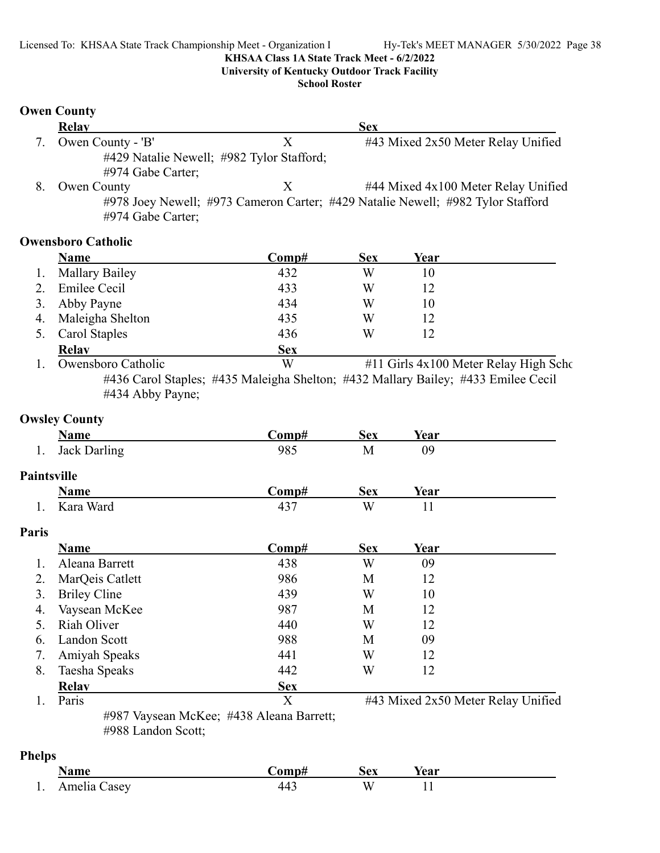**University of Kentucky Outdoor Track Facility**

**School Roster**

### **Owen County**

|    | Relay                                     |   | <b>Sex</b>                                                                      |
|----|-------------------------------------------|---|---------------------------------------------------------------------------------|
|    | Owen County - 'B'                         |   | #43 Mixed 2x50 Meter Relay Unified                                              |
|    | #429 Natalie Newell; #982 Tylor Stafford; |   |                                                                                 |
|    | $\#974$ Gabe Carter;                      |   |                                                                                 |
| 8. | Owen County                               | X | #44 Mixed 4x100 Meter Relay Unified                                             |
|    |                                           |   | #978 Joey Newell; #973 Cameron Carter; #429 Natalie Newell; #982 Tylor Stafford |

#974 Gabe Carter;

### **Owensboro Catholic**

| <b>Name</b>          | Comp#      | <b>Sex</b> | Year |  |
|----------------------|------------|------------|------|--|
| 1. Mallary Bailey    | 432        | W          | 10   |  |
| Emilee Cecil         | 433        | W          | 12   |  |
| 3. Abby Payne        | 434        | W          | 10   |  |
| 4. Maleigha Shelton  | 435        | W          | 12   |  |
| <b>Carol Staples</b> | 436        | W          | 12   |  |
| <b>Relav</b>         | <b>Sex</b> |            |      |  |

1. Owensboro Catholic W #11 Girls 4x100 Meter Relay High Scho #436 Carol Staples; #435 Maleigha Shelton; #432 Mallary Bailey; #433 Emilee Cecil #434 Abby Payne;

### **Owsley County**

|               | <b>Name</b>         | Comp#                                    | <b>Sex</b> | Year                               |
|---------------|---------------------|------------------------------------------|------------|------------------------------------|
| 1.            | <b>Jack Darling</b> | 985                                      | M          | 09                                 |
| Paintsville   |                     |                                          |            |                                    |
|               | <b>Name</b>         | Comp#                                    | <b>Sex</b> | <u>Year</u>                        |
| 1.            | Kara Ward           | 437                                      | W          | 11                                 |
| Paris         |                     |                                          |            |                                    |
|               | <b>Name</b>         | Comp#                                    | <b>Sex</b> | <b>Year</b>                        |
| 1.            | Aleana Barrett      | 438                                      | W          | 09                                 |
| 2.            | MarQeis Catlett     | 986                                      | М          | 12                                 |
| 3.            | <b>Briley Cline</b> | 439                                      | W          | 10                                 |
| 4.            | Vaysean McKee       | 987                                      | M          | 12                                 |
| 5.            | Riah Oliver         | 440                                      | W          | 12                                 |
| 6.            | Landon Scott        | 988                                      | M          | 09                                 |
| 7.            | Amiyah Speaks       | 441                                      | W          | 12                                 |
| 8.            | Taesha Speaks       | 442                                      | W          | 12                                 |
|               | <b>Relav</b>        | <b>Sex</b>                               |            |                                    |
| 1.            | Paris               | X                                        |            | #43 Mixed 2x50 Meter Relay Unified |
|               | #988 Landon Scott;  | #987 Vaysean McKee; #438 Aleana Barrett; |            |                                    |
| <b>Phelps</b> |                     |                                          |            |                                    |
|               | $\mathbf{X}$        | $\sim$<br>$\overline{\phantom{a}}$       | $\sim$     |                                    |

## **Phelps**

|     | محجما                        | $\sim$ m $+$ | ŠΔV<br> | $ -$<br>Year |  |
|-----|------------------------------|--------------|---------|--------------|--|
| . . | $\bullet$<br>`asev<br>Amelia | . .          | w       | . .<br>$-$   |  |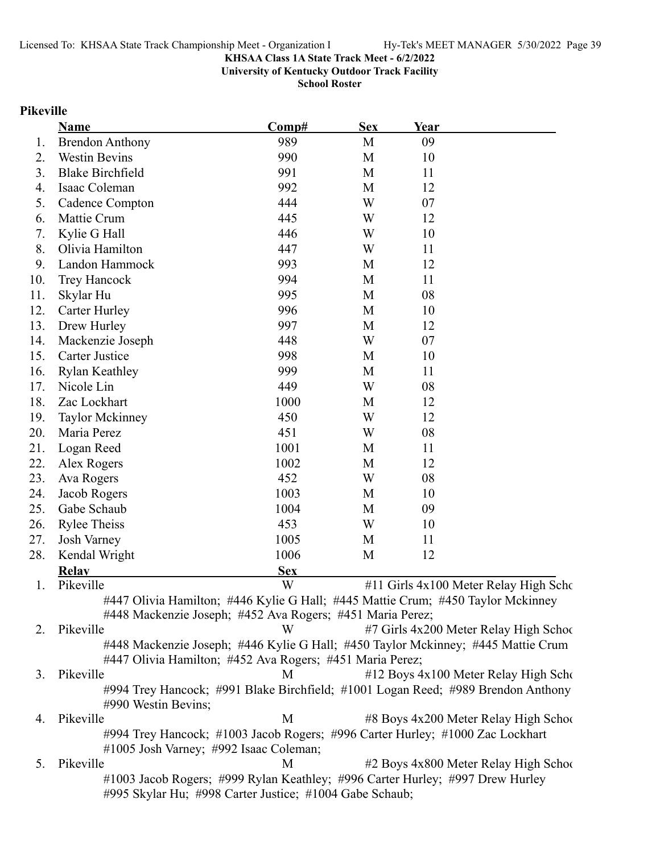**University of Kentucky Outdoor Track Facility**

**School Roster**

#### **Pikeville**

|     | <b>Name</b>                                                                                             | Comp#      | <b>Sex</b> | Year |                                       |
|-----|---------------------------------------------------------------------------------------------------------|------------|------------|------|---------------------------------------|
| 1.  | <b>Brendon Anthony</b>                                                                                  | 989        | M          | 09   |                                       |
| 2.  | <b>Westin Bevins</b>                                                                                    | 990        | M          | 10   |                                       |
| 3.  | <b>Blake Birchfield</b>                                                                                 | 991        | M          | 11   |                                       |
| 4.  | Isaac Coleman                                                                                           | 992        | M          | 12   |                                       |
| 5.  | Cadence Compton                                                                                         | 444        | W          | 07   |                                       |
| 6.  | Mattie Crum                                                                                             | 445        | W          | 12   |                                       |
| 7.  | Kylie G Hall                                                                                            | 446        | W          | 10   |                                       |
| 8.  | Olivia Hamilton                                                                                         | 447        | W          | 11   |                                       |
| 9.  | Landon Hammock                                                                                          | 993        | M          | 12   |                                       |
| 10. | <b>Trey Hancock</b>                                                                                     | 994        | M          | 11   |                                       |
| 11. | Skylar Hu                                                                                               | 995        | M          | 08   |                                       |
| 12. | Carter Hurley                                                                                           | 996        | M          | 10   |                                       |
| 13. | Drew Hurley                                                                                             | 997        | M          | 12   |                                       |
| 14. | Mackenzie Joseph                                                                                        | 448        | W          | 07   |                                       |
| 15. | Carter Justice                                                                                          | 998        | M          | 10   |                                       |
| 16. | <b>Rylan Keathley</b>                                                                                   | 999        | M          | 11   |                                       |
| 17. | Nicole Lin                                                                                              | 449        | W          | 08   |                                       |
| 18. | Zac Lockhart                                                                                            | 1000       | M          | 12   |                                       |
| 19. | <b>Taylor Mckinney</b>                                                                                  | 450        | W          | 12   |                                       |
| 20. | Maria Perez                                                                                             | 451        | W          | 08   |                                       |
| 21. | Logan Reed                                                                                              | 1001       | M          | 11   |                                       |
| 22. | Alex Rogers                                                                                             | 1002       | M          | 12   |                                       |
| 23. | Ava Rogers                                                                                              | 452        | W          | 08   |                                       |
| 24. | Jacob Rogers                                                                                            | 1003       | M          | 10   |                                       |
| 25. | Gabe Schaub                                                                                             | 1004       | M          | 09   |                                       |
| 26. | <b>Rylee Theiss</b>                                                                                     | 453        | W          | 10   |                                       |
| 27. | Josh Varney                                                                                             | 1005       | M          | 11   |                                       |
| 28. | Kendal Wright                                                                                           | 1006       | M          | 12   |                                       |
|     | <b>Relav</b>                                                                                            | <b>Sex</b> |            |      |                                       |
| 1.  | Pikeville                                                                                               | W          |            |      | #11 Girls 4x100 Meter Relay High Scho |
|     | #447 Olivia Hamilton; #446 Kylie G Hall; #445 Mattie Crum; #450 Taylor Mckinney                         |            |            |      |                                       |
|     | #448 Mackenzie Joseph; #452 Ava Rogers; #451 Maria Perez;                                               |            |            |      |                                       |
| 2.  | Pikeville                                                                                               | W          |            |      | #7 Girls 4x200 Meter Relay High Schoo |
|     | #448 Mackenzie Joseph; #446 Kylie G Hall; #450 Taylor Mckinney; #445 Mattie Crum                        |            |            |      |                                       |
|     | #447 Olivia Hamilton; #452 Ava Rogers; #451 Maria Perez;                                                |            |            |      |                                       |
| 3.  | Pikeville                                                                                               | М          |            |      | #12 Boys 4x100 Meter Relay High Scho  |
|     | #994 Trey Hancock; #991 Blake Birchfield; #1001 Logan Reed; #989 Brendon Anthony<br>#990 Westin Bevins; |            |            |      |                                       |
| 4.  | Pikeville                                                                                               | M          |            |      | #8 Boys 4x200 Meter Relay High School |
|     |                                                                                                         |            |            |      |                                       |

#994 Trey Hancock; #1003 Jacob Rogers; #996 Carter Hurley; #1000 Zac Lockhart #1005 Josh Varney; #992 Isaac Coleman;

5. Pikeville M  $\#2$  Boys 4x800 Meter Relay High School #1003 Jacob Rogers; #999 Rylan Keathley; #996 Carter Hurley; #997 Drew Hurley #995 Skylar Hu; #998 Carter Justice; #1004 Gabe Schaub;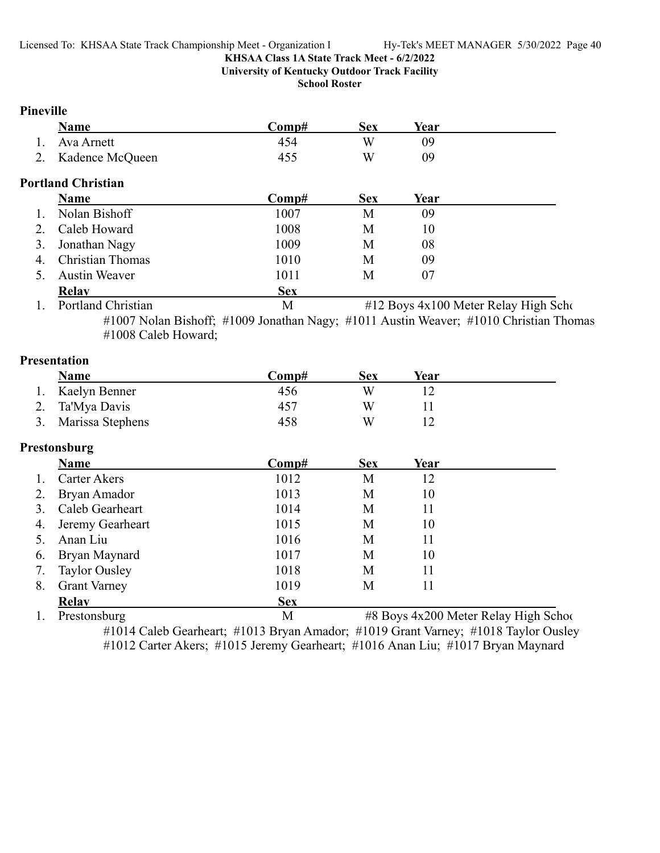**University of Kentucky Outdoor Track Facility**

**School Roster**

### **Pineville**

| Name                              | Comp#                                           | <b>Sex</b> | Year |  |
|-----------------------------------|-------------------------------------------------|------------|------|--|
| Ava Arnett                        | 454                                             | W          | 09   |  |
| 2. Kadence McQueen                | 455                                             | W          | 09   |  |
| <b>Portland Christian</b><br>Nama | $C_{\mathbf{n}\mathbf{m}\mathbf{n}}$ # $\theta$ | Sаv        | Vaar |  |

### **Name Comp# Sex Year**  1. Nolan Bishoff 1007 M 09 2. Caleb Howard 1008 M 10 3. Jonathan Nagy 1009 M 08 4. Christian Thomas 1010 M 09 5. Austin Weaver 1011 M 07 **Relay Sex**

1. Portland Christian M #12 Boys 4x100 Meter Relay High Scho #1007 Nolan Bishoff; #1009 Jonathan Nagy; #1011 Austin Weaver; #1010 Christian Thomas #1008 Caleb Howard;

### **Presentation**

| Name             | Comp#           | Sex | Year |  |
|------------------|-----------------|-----|------|--|
| Kaelyn Benner    | 456             |     |      |  |
| 2. Ta'Mya Davis  | 45 <sup>7</sup> |     |      |  |
| Marissa Stephens | 458             | W   |      |  |

### **Prestonsburg**

|    | <b>Name</b>          | Comp#      | <b>Sex</b> | Year |  |
|----|----------------------|------------|------------|------|--|
| 1. | Carter Akers         | 1012       | M          | 12   |  |
| 2. | Bryan Amador         | 1013       | M          | 10   |  |
| 3. | Caleb Gearheart      | 1014       | M          | 11   |  |
|    | 4. Jeremy Gearheart  | 1015       | M          | 10   |  |
| 5. | Anan Liu             | 1016       | M          | 11   |  |
| 6. | Bryan Maynard        | 1017       | M          | 10   |  |
| 7. | <b>Taylor Ousley</b> | 1018       | M          | 11   |  |
| 8. | <b>Grant Varney</b>  | 1019       | M          | 11   |  |
|    | <b>Relav</b>         | <b>Sex</b> |            |      |  |

1. Prestonsburg M #8 Boys 4x200 Meter Relay High School

#1014 Caleb Gearheart; #1013 Bryan Amador; #1019 Grant Varney; #1018 Taylor Ousley #1012 Carter Akers; #1015 Jeremy Gearheart; #1016 Anan Liu; #1017 Bryan Maynard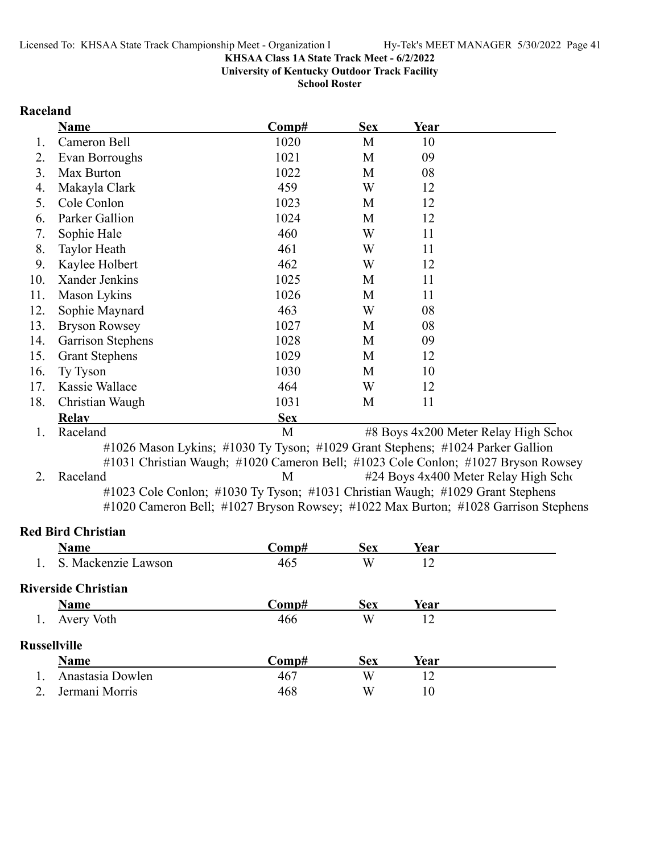**University of Kentucky Outdoor Track Facility**

**School Roster**

#### **Raceland**

|     | <b>Name</b>                | Comp#                                                                          | <b>Sex</b> | Year |                                                                                    |
|-----|----------------------------|--------------------------------------------------------------------------------|------------|------|------------------------------------------------------------------------------------|
| 1.  | Cameron Bell               | 1020                                                                           | M          | 10   |                                                                                    |
| 2.  | Evan Borroughs             | 1021                                                                           | M          | 09   |                                                                                    |
| 3.  | Max Burton                 | 1022                                                                           | M          | 08   |                                                                                    |
| 4.  | Makayla Clark              | 459                                                                            | W          | 12   |                                                                                    |
| 5.  | Cole Conlon                | 1023                                                                           | M          | 12   |                                                                                    |
| 6.  | Parker Gallion             | 1024                                                                           | M          | 12   |                                                                                    |
| 7.  | Sophie Hale                | 460                                                                            | W          | 11   |                                                                                    |
| 8.  | <b>Taylor Heath</b>        | 461                                                                            | W          | 11   |                                                                                    |
| 9.  | Kaylee Holbert             | 462                                                                            | W          | 12   |                                                                                    |
| 10. | Xander Jenkins             | 1025                                                                           | M          | 11   |                                                                                    |
| 11. | Mason Lykins               | 1026                                                                           | M          | 11   |                                                                                    |
| 12. | Sophie Maynard             | 463                                                                            | W          | 08   |                                                                                    |
| 13. | <b>Bryson Rowsey</b>       | 1027                                                                           | M          | 08   |                                                                                    |
| 14. | Garrison Stephens          | 1028                                                                           | M          | 09   |                                                                                    |
| 15. | <b>Grant Stephens</b>      | 1029                                                                           | M          | 12   |                                                                                    |
| 16. | Ty Tyson                   | 1030                                                                           | M          | 10   |                                                                                    |
| 17. | Kassie Wallace             | 464                                                                            | W          | 12   |                                                                                    |
| 18. | Christian Waugh            | 1031                                                                           | M          | 11   |                                                                                    |
|     | Relay                      | <b>Sex</b>                                                                     |            |      |                                                                                    |
| 1.  | Raceland                   | M                                                                              |            |      | #8 Boys 4x200 Meter Relay High School                                              |
|     |                            | #1026 Mason Lykins; #1030 Ty Tyson; #1029 Grant Stephens; #1024 Parker Gallion |            |      |                                                                                    |
|     |                            |                                                                                |            |      | #1031 Christian Waugh; #1020 Cameron Bell; #1023 Cole Conlon; #1027 Bryson Rowsey  |
| 2.  | Raceland                   | M                                                                              |            |      | #24 Boys 4x400 Meter Relay High Scho                                               |
|     |                            | #1023 Cole Conlon; #1030 Ty Tyson; #1031 Christian Waugh; #1029 Grant Stephens |            |      |                                                                                    |
|     |                            |                                                                                |            |      | #1020 Cameron Bell; #1027 Bryson Rowsey; #1022 Max Burton; #1028 Garrison Stephens |
|     | <b>Red Bird Christian</b>  |                                                                                |            |      |                                                                                    |
|     | <b>Name</b>                | Comp#                                                                          | <b>Sex</b> | Year |                                                                                    |
| 1.  | S. Mackenzie Lawson        | 465                                                                            | W          | 12   |                                                                                    |
|     | <b>Riverside Christian</b> |                                                                                |            |      |                                                                                    |
|     | <b>Name</b>                | Comp#                                                                          | <b>Sex</b> | Year |                                                                                    |
| 1.  | Avery Voth                 | 466                                                                            | W          | 12   |                                                                                    |
|     |                            |                                                                                |            |      |                                                                                    |

### **Russellville**

| ussellville       |       |     |      |  |  |  |
|-------------------|-------|-----|------|--|--|--|
| <b>Name</b>       | Comp# | Sex | Year |  |  |  |
| Anastasia Dowlen  | 467   | W   |      |  |  |  |
| 2. Jermani Morris | 468   | W   |      |  |  |  |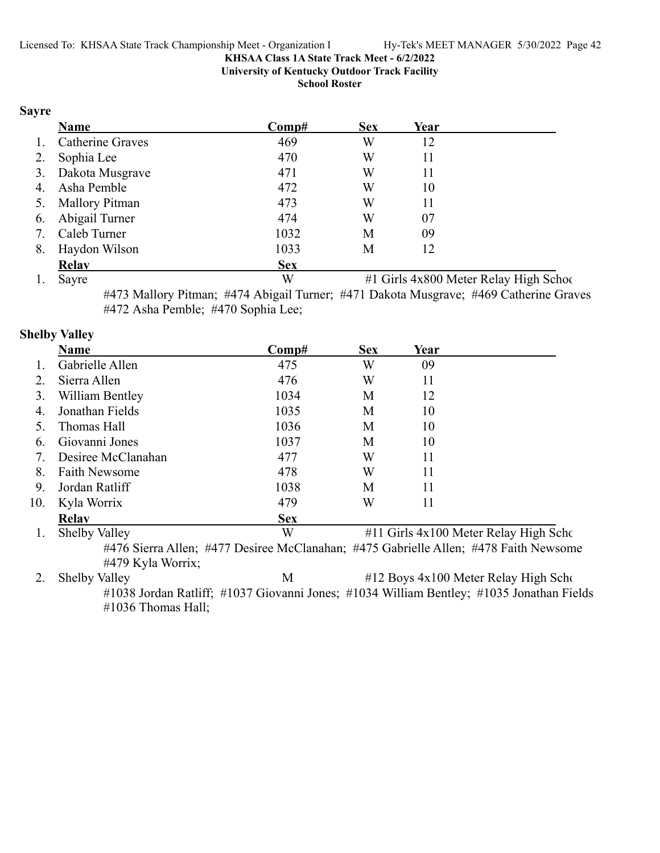**University of Kentucky Outdoor Track Facility**

**School Roster**

#### **Sayre**

|    | <b>Name</b>             | Comp#      | <b>Sex</b> | Year |  |
|----|-------------------------|------------|------------|------|--|
| 1. | <b>Catherine Graves</b> | 469        | W          | 12   |  |
| 2. | Sophia Lee              | 470        | W          | 11   |  |
|    | 3. Dakota Musgrave      | 471        | W          | 11   |  |
| 4. | Asha Pemble             | 472        | W          | 10   |  |
|    | 5. Mallory Pitman       | 473        | W          | 11   |  |
| 6. | Abigail Turner          | 474        | W          | 07   |  |
| 7. | Caleb Turner            | 1032       | М          | 09   |  |
| 8. | Haydon Wilson           | 1033       | М          | 12   |  |
|    | <b>Relav</b>            | <b>Sex</b> |            |      |  |

1. Sayre W #1 Girls 4x800 Meter Relay High School

#473 Mallory Pitman; #474 Abigail Turner; #471 Dakota Musgrave; #469 Catherine Graves #472 Asha Pemble; #470 Sophia Lee;

### **Shelby Valley**

|     | Name                             | Comp#      | <b>Sex</b> | Year                                                        |                  |  |
|-----|----------------------------------|------------|------------|-------------------------------------------------------------|------------------|--|
|     | Gabrielle Allen                  | 475        | W          | 09                                                          |                  |  |
| 2.  | Sierra Allen                     | 476        | W          | 11                                                          |                  |  |
| 3.  | William Bentley                  | 1034       | M          | 12                                                          |                  |  |
| 4.  | Jonathan Fields                  | 1035       | M          | 10                                                          |                  |  |
|     | Thomas Hall                      | 1036       | M          | 10                                                          |                  |  |
| 6.  | Giovanni Jones                   | 1037       | M          | 10                                                          |                  |  |
|     | Desiree McClanahan               | 477        | W          | 11                                                          |                  |  |
| 8.  | <b>Faith Newsome</b>             | 478        | W          | 11                                                          |                  |  |
| 9.  | Jordan Ratliff                   | 1038       | М          | 11                                                          |                  |  |
| 10. | Kyla Worrix                      | 479        | W          | 11                                                          |                  |  |
|     | <b>Relav</b>                     | <b>Sex</b> |            |                                                             |                  |  |
|     | $1 \quad 01 \quad 11 \quad 1711$ | <b>TTT</b> |            | $\frac{1}{4}$ 1 1 1 1 1 1 1 $\frac{1}{4}$ 1 1 $\frac{1}{4}$ | $TT'$ 1 $\alpha$ |  |

1. Shelby Valley **X** W #11 Girls 4x100 Meter Relay High School #476 Sierra Allen; #477 Desiree McClanahan; #475 Gabrielle Allen; #478 Faith Newsome #479 Kyla Worrix;

2. Shelby Valley **M** #12 Boys 4x100 Meter Relay High Scho #1038 Jordan Ratliff; #1037 Giovanni Jones; #1034 William Bentley; #1035 Jonathan Fields #1036 Thomas Hall;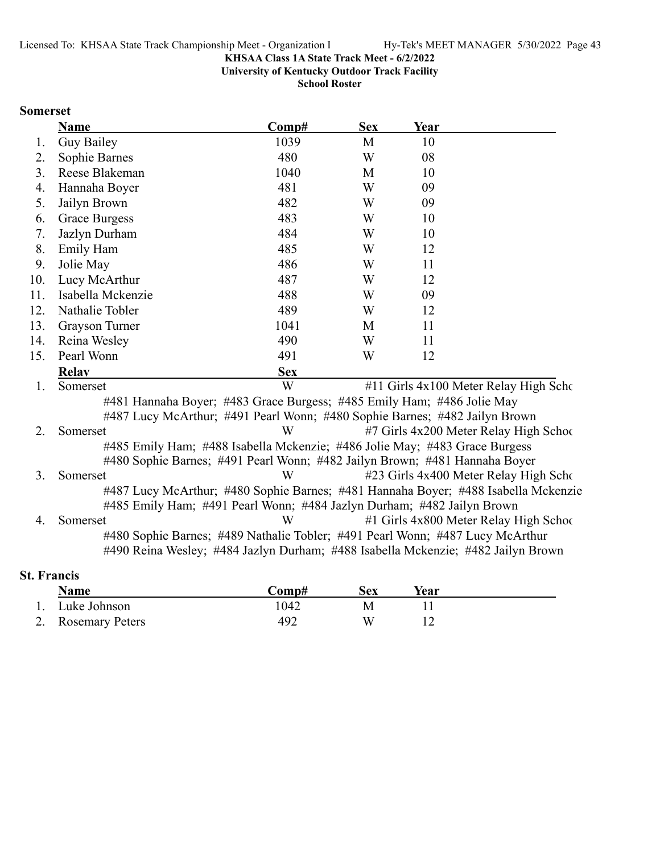**University of Kentucky Outdoor Track Facility**

**School Roster**

### **Somerset**

|     | Name                                                                               | Comp#      | <b>Sex</b> | Year |                                           |
|-----|------------------------------------------------------------------------------------|------------|------------|------|-------------------------------------------|
| 1.  | <b>Guy Bailey</b>                                                                  | 1039       | M          | 10   |                                           |
| 2.  | Sophie Barnes                                                                      | 480        | W          | 08   |                                           |
| 3.  | Reese Blakeman                                                                     | 1040       | M          | 10   |                                           |
| 4.  | Hannaha Boyer                                                                      | 481        | W          | 09   |                                           |
| 5.  | Jailyn Brown                                                                       | 482        | W          | 09   |                                           |
| 6.  | <b>Grace Burgess</b>                                                               | 483        | W          | 10   |                                           |
| 7.  | Jazlyn Durham                                                                      | 484        | W          | 10   |                                           |
| 8.  | Emily Ham                                                                          | 485        | W          | 12   |                                           |
| 9.  | Jolie May                                                                          | 486        | W          | 11   |                                           |
| 10. | Lucy McArthur                                                                      | 487        | W          | 12   |                                           |
| 11. | Isabella Mckenzie                                                                  | 488        | W          | 09   |                                           |
| 12. | Nathalie Tobler                                                                    | 489        | W          | 12   |                                           |
| 13. | Grayson Turner                                                                     | 1041       | M          | 11   |                                           |
| 14. | Reina Wesley                                                                       | 490        | W          | 11   |                                           |
| 15. | Pearl Wonn                                                                         | 491        | W          | 12   |                                           |
|     | <b>Relav</b>                                                                       | <b>Sex</b> |            |      |                                           |
| 1.  | Somerset                                                                           | W          |            |      | $#11$ Girls $4x100$ Meter Relay High Scho |
|     | #481 Hannaha Boyer; #483 Grace Burgess; #485 Emily Ham; #486 Jolie May             |            |            |      |                                           |
|     | #487 Lucy McArthur; #491 Pearl Wonn; #480 Sophie Barnes; #482 Jailyn Brown         |            |            |      |                                           |
| 2.  | Somerset                                                                           | W          |            |      | #7 Girls 4x200 Meter Relay High School    |
|     | #485 Emily Ham; #488 Isabella Mckenzie; #486 Jolie May; #483 Grace Burgess         |            |            |      |                                           |
|     | #480 Sophie Barnes; #491 Pearl Wonn; #482 Jailyn Brown; #481 Hannaha Boyer         |            |            |      |                                           |
| 3.  | Somerset                                                                           | W          |            |      | #23 Girls 4x400 Meter Relay High Scho     |
|     | #487 Lucy McArthur; #480 Sophie Barnes; #481 Hannaha Boyer; #488 Isabella Mckenzie |            |            |      |                                           |
|     | #485 Emily Ham; #491 Pearl Wonn; #484 Jazlyn Durham; #482 Jailyn Brown             |            |            |      |                                           |
| 4.  | Somerset                                                                           | W          |            |      | #1 Girls 4x800 Meter Relay High School    |
|     | #480 Sophie Barnes; #489 Nathalie Tobler; #491 Pearl Wonn; #487 Lucy McArthur      |            |            |      |                                           |
|     | #490 Reina Wesley; #484 Jazlyn Durham; #488 Isabella Mckenzie; #482 Jailyn Brown   |            |            |      |                                           |

### **St. Francis**

| <b>Name</b>        | 'Jomp#- | Sex | Year |  |
|--------------------|---------|-----|------|--|
| 1. Luke Johnson    | 1042    |     |      |  |
| 2. Rosemary Peters | 492     | W   |      |  |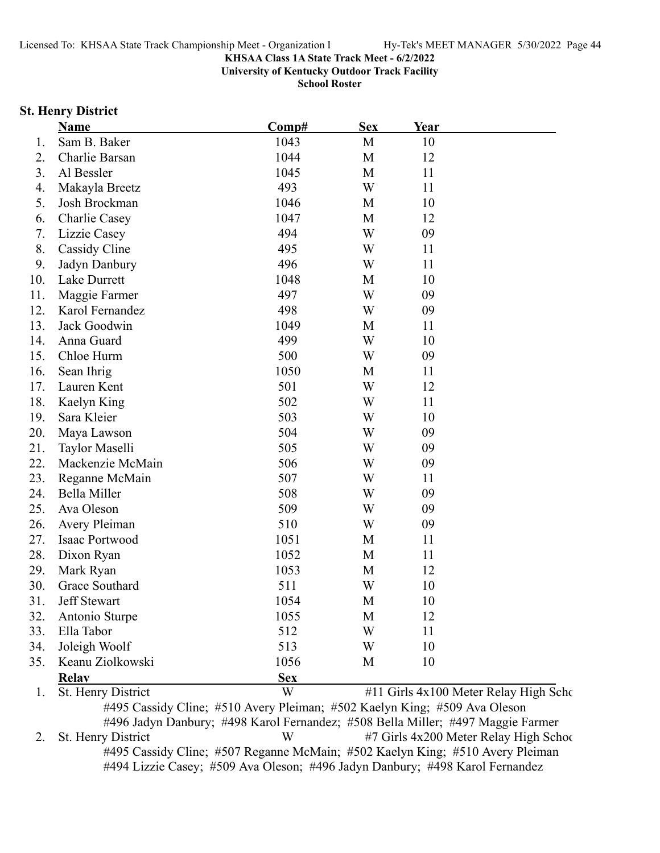**University of Kentucky Outdoor Track Facility**

**School Roster**

#### **St. Henry District**

|     | Name                | Comp#      | <b>Sex</b> | Year |                                       |
|-----|---------------------|------------|------------|------|---------------------------------------|
| 1.  | Sam B. Baker        | 1043       | M          | 10   |                                       |
| 2.  | Charlie Barsan      | 1044       | M          | 12   |                                       |
| 3.  | Al Bessler          | 1045       | M          | 11   |                                       |
| 4.  | Makayla Breetz      | 493        | W          | 11   |                                       |
| 5.  | Josh Brockman       | 1046       | M          | 10   |                                       |
| 6.  | Charlie Casey       | 1047       | M          | 12   |                                       |
| 7.  | Lizzie Casey        | 494        | W          | 09   |                                       |
| 8.  | Cassidy Cline       | 495        | W          | 11   |                                       |
| 9.  | Jadyn Danbury       | 496        | W          | 11   |                                       |
| 10. | Lake Durrett        | 1048       | M          | 10   |                                       |
| 11. | Maggie Farmer       | 497        | W          | 09   |                                       |
| 12. | Karol Fernandez     | 498        | W          | 09   |                                       |
| 13. | Jack Goodwin        | 1049       | M          | 11   |                                       |
| 14. | Anna Guard          | 499        | W          | 10   |                                       |
| 15. | Chloe Hurm          | 500        | W          | 09   |                                       |
| 16. | Sean Ihrig          | 1050       | M          | 11   |                                       |
| 17. | Lauren Kent         | 501        | W          | 12   |                                       |
| 18. | Kaelyn King         | 502        | W          | 11   |                                       |
| 19. | Sara Kleier         | 503        | W          | 10   |                                       |
| 20. | Maya Lawson         | 504        | W          | 09   |                                       |
| 21. | Taylor Maselli      | 505        | W          | 09   |                                       |
| 22. | Mackenzie McMain    | 506        | W          | 09   |                                       |
| 23. | Reganne McMain      | 507        | W          | 11   |                                       |
| 24. | Bella Miller        | 508        | W          | 09   |                                       |
| 25. | Ava Oleson          | 509        | W          | 09   |                                       |
| 26. | Avery Pleiman       | 510        | W          | 09   |                                       |
| 27. | Isaac Portwood      | 1051       | M          | 11   |                                       |
| 28. | Dixon Ryan          | 1052       | M          | 11   |                                       |
| 29. | Mark Ryan           | 1053       | M          | 12   |                                       |
| 30. | Grace Southard      | 511        | W          | 10   |                                       |
| 31  | <b>Jeff Stewart</b> | 1054       | М          | 10   |                                       |
| 32. | Antonio Sturpe      | 1055       | M          | 12   |                                       |
| 33. | Ella Tabor          | 512        | W          | 11   |                                       |
| 34. | Joleigh Woolf       | 513        | W          | 10   |                                       |
| 35. | Keanu Ziolkowski    | 1056       | M          | 10   |                                       |
|     | <b>Relay</b>        | <b>Sex</b> |            |      |                                       |
| 1.  | St. Henry District  | W          |            |      | #11 Girls 4x100 Meter Relay High Scho |

#495 Cassidy Cline; #510 Avery Pleiman; #502 Kaelyn King; #509 Ava Oleson #496 Jadyn Danbury; #498 Karol Fernandez; #508 Bella Miller; #497 Maggie Farmer 2. St. Henry District W #7 Girls 4x200 Meter Relay High School #495 Cassidy Cline; #507 Reganne McMain; #502 Kaelyn King; #510 Avery Pleiman #494 Lizzie Casey; #509 Ava Oleson; #496 Jadyn Danbury; #498 Karol Fernandez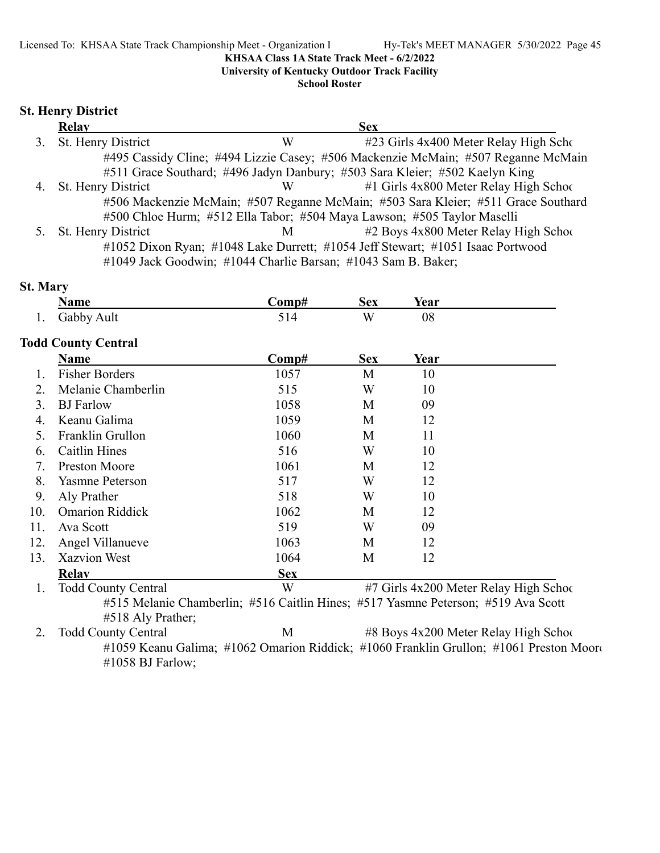**University of Kentucky Outdoor Track Facility**

**School Roster**

### **St. Henry District**

| <b>Relay</b>                                                  |             | <b>Sex</b>                                                                        |
|---------------------------------------------------------------|-------------|-----------------------------------------------------------------------------------|
| 3. St. Henry District                                         | W           | #23 Girls 4x400 Meter Relay High Scho                                             |
|                                                               |             | #495 Cassidy Cline; #494 Lizzie Casey; #506 Mackenzie McMain; #507 Reganne McMain |
|                                                               |             | #511 Grace Southard; #496 Jadyn Danbury; #503 Sara Kleier; #502 Kaelyn King       |
| 4. St. Henry District                                         | W           | $#1$ Girls 4x800 Meter Relay High School                                          |
|                                                               |             | #506 Mackenzie McMain; #507 Reganne McMain; #503 Sara Kleier; #511 Grace Southard |
|                                                               |             | #500 Chloe Hurm; #512 Ella Tabor; #504 Maya Lawson; #505 Taylor Maselli           |
| 5. St. Henry District                                         | $M$ and $M$ | #2 Boys 4x800 Meter Relay High School                                             |
|                                                               |             | #1052 Dixon Ryan; #1048 Lake Durrett; #1054 Jeff Stewart; #1051 Isaac Portwood    |
| #1049 Jack Goodwin; #1044 Charlie Barsan; #1043 Sam B. Baker; |             |                                                                                   |

### **St. Mary**

| <b>Name</b>                | Comp#                      | <b>Sex</b> | <b>Year</b> |                                                                                                                             |
|----------------------------|----------------------------|------------|-------------|-----------------------------------------------------------------------------------------------------------------------------|
| Gabby Ault                 | 514                        | W          | 08          |                                                                                                                             |
|                            |                            |            |             |                                                                                                                             |
| Name                       | Comp#                      | <b>Sex</b> | Year        |                                                                                                                             |
| <b>Fisher Borders</b>      | 1057                       | M          | 10          |                                                                                                                             |
| Melanie Chamberlin         | 515                        | W          | 10          |                                                                                                                             |
| <b>BJ</b> Farlow           | 1058                       | M          | 09          |                                                                                                                             |
| Keanu Galima               | 1059                       | M          | 12          |                                                                                                                             |
| Franklin Grullon           | 1060                       | M          | 11          |                                                                                                                             |
| Caitlin Hines              | 516                        | W          | 10          |                                                                                                                             |
| <b>Preston Moore</b>       | 1061                       | M          | 12          |                                                                                                                             |
| <b>Yasmne Peterson</b>     | 517                        | W          | 12          |                                                                                                                             |
| Aly Prather                | 518                        | W          | 10          |                                                                                                                             |
| <b>Omarion Riddick</b>     | 1062                       | M          | 12          |                                                                                                                             |
| Ava Scott                  | 519                        | W          | 09          |                                                                                                                             |
| Angel Villanueve           | 1063                       | M          | 12          |                                                                                                                             |
| <b>Xazvion West</b>        | 1064                       | M          | 12          |                                                                                                                             |
| <b>Relav</b>               | <b>Sex</b>                 |            |             |                                                                                                                             |
| <b>Todd County Central</b> | W                          |            |             |                                                                                                                             |
|                            |                            |            |             |                                                                                                                             |
|                            | <b>Todd County Central</b> |            |             | #7 Girls 4x200 Meter Relay High School<br>#515 Melanie Chamberlin; #516 Caitlin Hines; #517 Yasmne Peterson; #519 Ava Scott |

#518 Aly Prather;<br>2. Todd County Central M #8 Boys 4x200 Meter Relay High School #1059 Keanu Galima; #1062 Omarion Riddick; #1060 Franklin Grullon; #1061 Preston Moore #1058 BJ Farlow;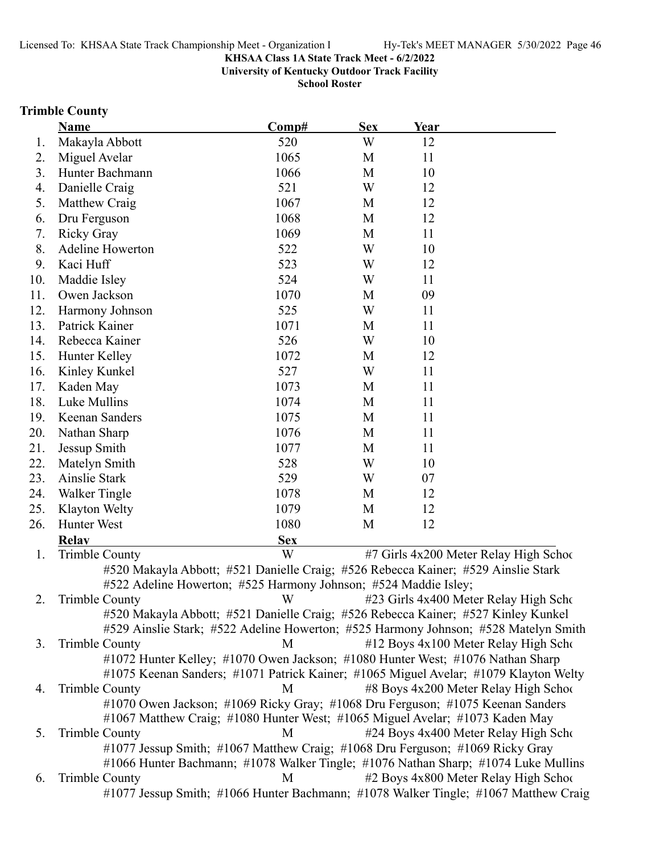**University of Kentucky Outdoor Track Facility**

**School Roster**

#### **Trimble County**

|     | <b>Name</b>                                                                          | Comp#      | <b>Sex</b> | Year |                                       |
|-----|--------------------------------------------------------------------------------------|------------|------------|------|---------------------------------------|
| 1.  | Makayla Abbott                                                                       | 520        | W          | 12   |                                       |
| 2.  | Miguel Avelar                                                                        | 1065       | M          | 11   |                                       |
| 3.  | Hunter Bachmann                                                                      | 1066       | M          | 10   |                                       |
| 4.  | Danielle Craig                                                                       | 521        | W          | 12   |                                       |
| 5.  | Matthew Craig                                                                        | 1067       | M          | 12   |                                       |
| 6.  | Dru Ferguson                                                                         | 1068       | M          | 12   |                                       |
| 7.  | <b>Ricky Gray</b>                                                                    | 1069       | M          | 11   |                                       |
| 8.  | <b>Adeline Howerton</b>                                                              | 522        | W          | 10   |                                       |
| 9.  | Kaci Huff                                                                            | 523        | W          | 12   |                                       |
| 10. | Maddie Isley                                                                         | 524        | W          | 11   |                                       |
| 11. | Owen Jackson                                                                         | 1070       | M          | 09   |                                       |
| 12. | Harmony Johnson                                                                      | 525        | W          | 11   |                                       |
| 13. | Patrick Kainer                                                                       | 1071       | M          | 11   |                                       |
| 14. | Rebecca Kainer                                                                       | 526        | W          | 10   |                                       |
| 15. | Hunter Kelley                                                                        | 1072       | M          | 12   |                                       |
| 16. | Kinley Kunkel                                                                        | 527        | W          | 11   |                                       |
| 17. | Kaden May                                                                            | 1073       | M          | 11   |                                       |
| 18. | Luke Mullins                                                                         | 1074       | M          | 11   |                                       |
| 19. | Keenan Sanders                                                                       | 1075       | M          | 11   |                                       |
| 20. | Nathan Sharp                                                                         | 1076       | M          | 11   |                                       |
| 21. | Jessup Smith                                                                         | 1077       | M          | 11   |                                       |
| 22. | Matelyn Smith                                                                        | 528        | W          | 10   |                                       |
| 23. | Ainslie Stark                                                                        | 529        | W          | 07   |                                       |
| 24. | <b>Walker Tingle</b>                                                                 | 1078       | M          | 12   |                                       |
| 25. | Klayton Welty                                                                        | 1079       | M          | 12   |                                       |
| 26. | Hunter West                                                                          | 1080       | M          | 12   |                                       |
|     | <b>Relay</b>                                                                         | <b>Sex</b> |            |      |                                       |
| 1.  | <b>Trimble County</b>                                                                | W          |            |      | #7 Girls 4x200 Meter Relay High Schoo |
|     | #520 Makayla Abbott; #521 Danielle Craig; #526 Rebecca Kainer; #529 Ainslie Stark    |            |            |      |                                       |
|     | #522 Adeline Howerton; #525 Harmony Johnson; #524 Maddie Isley;                      |            |            |      |                                       |
| 2.  | <b>Trimble County</b>                                                                | W          |            |      | #23 Girls 4x400 Meter Relay High Scho |
|     | #520 Makayla Abbott; #521 Danielle Craig; #526 Rebecca Kainer; #527 Kinley Kunkel    |            |            |      |                                       |
|     | #529 Ainslie Stark; #522 Adeline Howerton; #525 Harmony Johnson; #528 Matelyn Smith  |            |            |      |                                       |
| 3.  | <b>Trimble County</b>                                                                | M          |            |      | #12 Boys 4x100 Meter Relay High Scho  |
|     | #1072 Hunter Kelley; #1070 Owen Jackson; #1080 Hunter West; #1076 Nathan Sharp       |            |            |      |                                       |
|     | #1075 Keenan Sanders; #1071 Patrick Kainer; #1065 Miguel Avelar; #1079 Klayton Welty |            |            |      |                                       |
| 4.  | <b>Trimble County</b>                                                                | M          |            |      | #8 Boys 4x200 Meter Relay High School |
|     | #1070 Owen Jackson; #1069 Ricky Gray; #1068 Dru Ferguson; #1075 Keenan Sanders       |            |            |      |                                       |
|     | #1067 Matthew Craig; #1080 Hunter West; #1065 Miguel Avelar; #1073 Kaden May         |            |            |      |                                       |
| 5.  | <b>Trimble County</b>                                                                | M          |            |      | #24 Boys 4x400 Meter Relay High Scho  |
|     | #1077 Jessup Smith; #1067 Matthew Craig; #1068 Dru Ferguson; #1069 Ricky Gray        |            |            |      |                                       |

#1066 Hunter Bachmann; #1078 Walker Tingle; #1076 Nathan Sharp; #1074 Luke Mullins 6. Trimble County M #2 Boys 4x800 Meter Relay High School #1077 Jessup Smith; #1066 Hunter Bachmann; #1078 Walker Tingle; #1067 Matthew Craig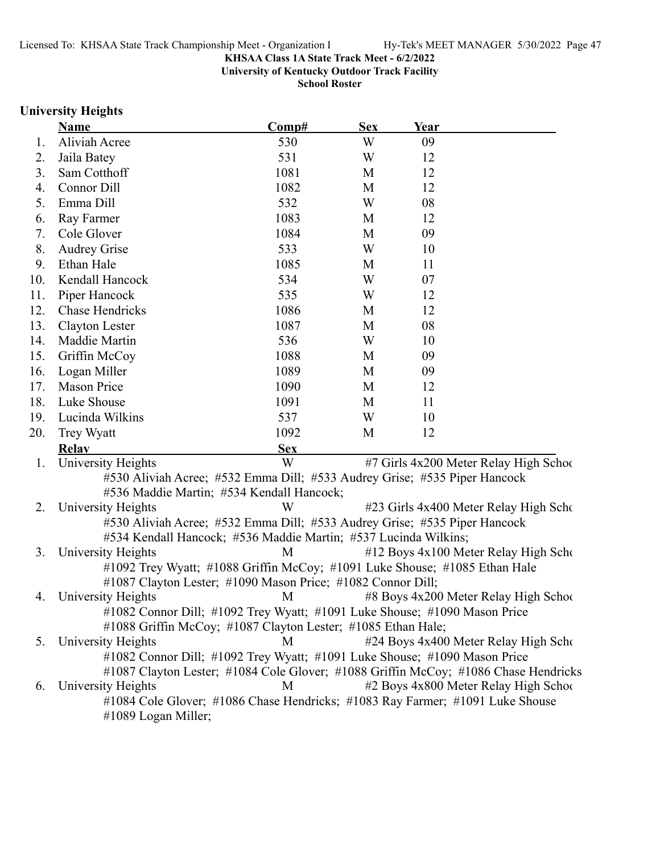**University of Kentucky Outdoor Track Facility**

**School Roster**

### **University Heights**

|     | <b>Name</b>                                                                                     | Comp#      | <b>Sex</b> | Year |                                       |
|-----|-------------------------------------------------------------------------------------------------|------------|------------|------|---------------------------------------|
| Ι.  | Aliviah Acree                                                                                   | 530        | W          | 09   |                                       |
| 2.  | Jaila Batey                                                                                     | 531        | W          | 12   |                                       |
| 3.  | Sam Cotthoff                                                                                    | 1081       | M          | 12   |                                       |
| 4.  | Connor Dill                                                                                     | 1082       | M          | 12   |                                       |
| 5.  | Emma Dill                                                                                       | 532        | W          | 08   |                                       |
| 6.  | Ray Farmer                                                                                      | 1083       | M          | 12   |                                       |
| 7.  | Cole Glover                                                                                     | 1084       | M          | 09   |                                       |
| 8.  | <b>Audrey Grise</b>                                                                             | 533        | W          | 10   |                                       |
| 9.  | Ethan Hale                                                                                      | 1085       | M          | 11   |                                       |
| 10. | Kendall Hancock                                                                                 | 534        | W          | 07   |                                       |
| 11. | Piper Hancock                                                                                   | 535        | W          | 12   |                                       |
| 12. | Chase Hendricks                                                                                 | 1086       | M          | 12   |                                       |
| 13. | Clayton Lester                                                                                  | 1087       | M          | 08   |                                       |
| 14. | Maddie Martin                                                                                   | 536        | W          | 10   |                                       |
| 15. | Griffin McCoy                                                                                   | 1088       | M          | 09   |                                       |
| 16. | Logan Miller                                                                                    | 1089       | M          | 09   |                                       |
| 17. | <b>Mason Price</b>                                                                              | 1090       | M          | 12   |                                       |
| 18. | Luke Shouse                                                                                     | 1091       | M          | 11   |                                       |
| 19. | Lucinda Wilkins                                                                                 | 537        | W          | 10   |                                       |
| 20. | Trey Wyatt                                                                                      | 1092       | M          | 12   |                                       |
|     | <b>Relav</b>                                                                                    | <b>Sex</b> |            |      |                                       |
| 1.  | University Heights                                                                              | W          |            |      | #7 Girls 4x200 Meter Relay High Schoo |
|     | #530 Aliviah Acree; #532 Emma Dill; #533 Audrey Grise; #535 Piper Hancock                       |            |            |      |                                       |
|     | #536 Maddie Martin; #534 Kendall Hancock;                                                       |            |            |      |                                       |
| 2.  | University Heights                                                                              | W          |            |      | #23 Girls 4x400 Meter Relay High Scho |
|     | #530 Aliviah Acree; #532 Emma Dill; #533 Audrey Grise; #535 Piper Hancock                       |            |            |      |                                       |
|     | #534 Kendall Hancock; #536 Maddie Martin; #537 Lucinda Wilkins;                                 |            |            |      |                                       |
| 3.  | University Heights                                                                              | M          |            |      | #12 Boys 4x100 Meter Relay High Scho  |
|     | #1092 Trey Wyatt; #1088 Griffin McCoy; #1091 Luke Shouse; #1085 Ethan Hale                      |            |            |      |                                       |
|     | #1087 Clayton Lester; #1090 Mason Price; #1082 Connor Dill;                                     |            |            |      |                                       |
| 4.  | University Heights                                                                              | M          |            |      | #8 Boys 4x200 Meter Relay High School |
|     | #1082 Connor Dill; #1092 Trey Wyatt; #1091 Luke Shouse; #1090 Mason Price                       |            |            |      |                                       |
|     | #1088 Griffin McCoy; #1087 Clayton Lester; #1085 Ethan Hale;                                    |            |            |      |                                       |
| 5.  | University Heights<br>#1082 Connor Dill; #1092 Trey Wyatt; #1091 Luke Shouse; #1090 Mason Price | M          |            |      | #24 Boys 4x400 Meter Relay High Scho  |
|     | #1087 Clayton Lester; #1084 Cole Glover; #1088 Griffin McCoy; #1086 Chase Hendricks             |            |            |      |                                       |
| 6.  | University Heights                                                                              | M          |            |      | #2 Boys 4x800 Meter Relay High School |
|     | #1084 Cole Glover; #1086 Chase Hendricks; #1083 Ray Farmer; #1091 Luke Shouse                   |            |            |      |                                       |
|     | #1089 Logan Miller;                                                                             |            |            |      |                                       |
|     |                                                                                                 |            |            |      |                                       |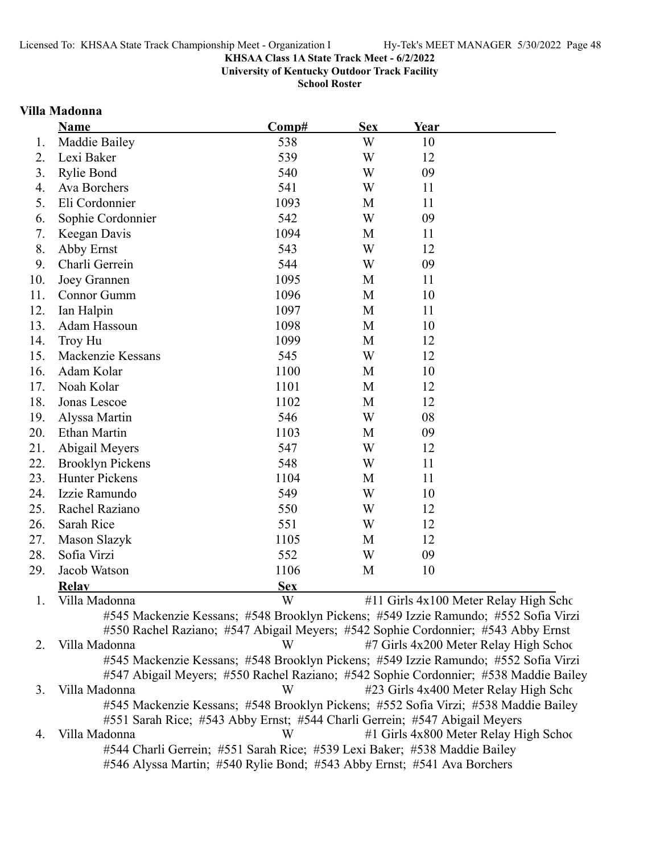**University of Kentucky Outdoor Track Facility**

**School Roster**

#### **Villa Madonna**

|     | Name                    | Comp#                                                                               | <b>Sex</b> | Year |                                        |
|-----|-------------------------|-------------------------------------------------------------------------------------|------------|------|----------------------------------------|
| 1.  | Maddie Bailey           | 538                                                                                 | W          | 10   |                                        |
| 2.  | Lexi Baker              | 539                                                                                 | W          | 12   |                                        |
| 3.  | <b>Rylie Bond</b>       | 540                                                                                 | W          | 09   |                                        |
| 4.  | Ava Borchers            | 541                                                                                 | W          | 11   |                                        |
| 5.  | Eli Cordonnier          | 1093                                                                                | M          | 11   |                                        |
| 6.  | Sophie Cordonnier       | 542                                                                                 | W          | 09   |                                        |
| 7.  | Keegan Davis            | 1094                                                                                | M          | 11   |                                        |
| 8.  | Abby Ernst              | 543                                                                                 | W          | 12   |                                        |
| 9.  | Charli Gerrein          | 544                                                                                 | W          | 09   |                                        |
| 10. | Joey Grannen            | 1095                                                                                | M          | 11   |                                        |
| 11. | Connor Gumm             | 1096                                                                                | M          | 10   |                                        |
| 12. | Ian Halpin              | 1097                                                                                | M          | 11   |                                        |
| 13. | Adam Hassoun            | 1098                                                                                | M          | 10   |                                        |
| 14. | <b>Troy Hu</b>          | 1099                                                                                | M          | 12   |                                        |
| 15. | Mackenzie Kessans       | 545                                                                                 | W          | 12   |                                        |
| 16. | Adam Kolar              | 1100                                                                                | M          | 10   |                                        |
| 17. | Noah Kolar              | 1101                                                                                | M          | 12   |                                        |
| 18. | Jonas Lescoe            | 1102                                                                                | M          | 12   |                                        |
| 19. | Alyssa Martin           | 546                                                                                 | W          | 08   |                                        |
| 20. | <b>Ethan Martin</b>     | 1103                                                                                | M          | 09   |                                        |
| 21. | Abigail Meyers          | 547                                                                                 | W          | 12   |                                        |
| 22. | <b>Brooklyn Pickens</b> | 548                                                                                 | W          | 11   |                                        |
| 23. | <b>Hunter Pickens</b>   | 1104                                                                                | M          | 11   |                                        |
| 24. | Izzie Ramundo           | 549                                                                                 | W          | 10   |                                        |
| 25. | Rachel Raziano          | 550                                                                                 | W          | 12   |                                        |
| 26. | Sarah Rice              | 551                                                                                 | W          | 12   |                                        |
| 27. | Mason Slazyk            | 1105                                                                                | M          | 12   |                                        |
| 28. | Sofia Virzi             | 552                                                                                 | W          | 09   |                                        |
| 29. | Jacob Watson            | 1106                                                                                | M          | 10   |                                        |
|     | <b>Relav</b>            | <b>Sex</b>                                                                          |            |      |                                        |
| 1.  | Villa Madonna           | W                                                                                   |            |      | #11 Girls 4x100 Meter Relay High Scho  |
|     |                         | #545 Mackenzie Kessans; #548 Brooklyn Pickens; #549 Izzie Ramundo; #552 Sofia Virzi |            |      |                                        |
|     |                         | #550 Rachel Raziano; #547 Abigail Meyers; #542 Sophie Cordonnier; #543 Abby Ernst   |            |      |                                        |
| 2.  | Villa Madonna           | W                                                                                   |            |      | #7 Girls 4x200 Meter Relay High School |

#545 Mackenzie Kessans; #548 Brooklyn Pickens; #549 Izzie Ramundo; #552 Sofia Virzi #547 Abigail Meyers; #550 Rachel Raziano; #542 Sophie Cordonnier; #538 Maddie Bailey 3. Villa Madonna **1988** W #23 Girls 4x400 Meter Relay High Scho #545 Mackenzie Kessans; #548 Brooklyn Pickens; #552 Sofia Virzi; #538 Maddie Bailey #551 Sarah Rice; #543 Abby Ernst; #544 Charli Gerrein; #547 Abigail Meyers 4. Villa Madonna **12. W** #1 Girls 4x800 Meter Relay High School #544 Charli Gerrein; #551 Sarah Rice; #539 Lexi Baker; #538 Maddie Bailey

#546 Alyssa Martin; #540 Rylie Bond; #543 Abby Ernst; #541 Ava Borchers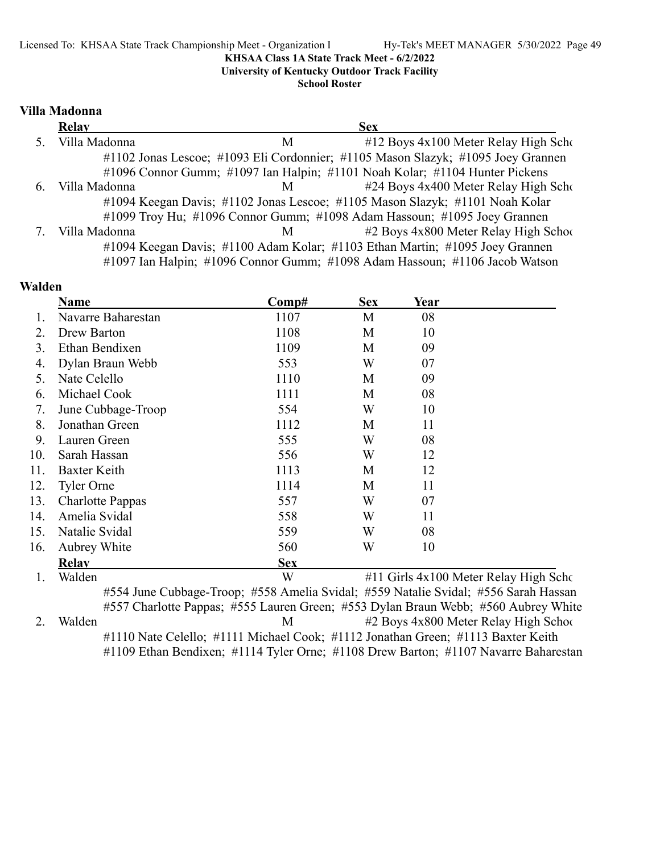**University of Kentucky Outdoor Track Facility**

**School Roster**

#### **Villa Madonna**

|    | <b>Relay</b>  |                | <b>Sex</b>                                                                       |
|----|---------------|----------------|----------------------------------------------------------------------------------|
|    | Villa Madonna | M              | $#12$ Boys $4x100$ Meter Relay High Scho                                         |
|    |               |                | #1102 Jonas Lescoe; #1093 Eli Cordonnier; #1105 Mason Slazyk; #1095 Joey Grannen |
|    |               |                | #1096 Connor Gumm; #1097 Ian Halpin; #1101 Noah Kolar; #1104 Hunter Pickens      |
| 6. | Villa Madonna | M <sub>a</sub> | #24 Boys 4x400 Meter Relay High Scho                                             |
|    |               |                | #1094 Keegan Davis; #1102 Jonas Lescoe; #1105 Mason Slazyk; #1101 Noah Kolar     |
|    |               |                | #1099 Troy Hu; #1096 Connor Gumm; #1098 Adam Hassoun; #1095 Joey Grannen         |
|    | Villa Madonna | M              | #2 Boys 4x800 Meter Relay High School                                            |
|    |               |                | #1094 Keegan Davis; #1100 Adam Kolar; #1103 Ethan Martin; #1095 Joey Grannen     |
|    |               |                | #1097 Ian Halpin; #1096 Connor Gumm; #1098 Adam Hassoun; #1106 Jacob Watson      |

### **Walden**

|     | Name               | $\bf Comp\#$                                                                        | <b>Sex</b> | Year |                                       |
|-----|--------------------|-------------------------------------------------------------------------------------|------------|------|---------------------------------------|
|     | Navarre Baharestan | 1107                                                                                | M          | 08   |                                       |
| 2.  | Drew Barton        | 1108                                                                                | M          | 10   |                                       |
| 3.  | Ethan Bendixen     | 1109                                                                                | M          | 09   |                                       |
| 4.  | Dylan Braun Webb   | 553                                                                                 | W          | 07   |                                       |
| 5.  | Nate Celello       | 1110                                                                                | М          | 09   |                                       |
| 6.  | Michael Cook       | 1111                                                                                | M          | 08   |                                       |
| 7.  | June Cubbage-Troop | 554                                                                                 | W          | 10   |                                       |
| 8.  | Jonathan Green     | 1112                                                                                | М          | 11   |                                       |
| 9.  | Lauren Green       | 555                                                                                 | W          | 08   |                                       |
| 10. | Sarah Hassan       | 556                                                                                 | W          | 12   |                                       |
| 11. | Baxter Keith       | 1113                                                                                | M          | 12   |                                       |
| 12. | Tyler Orne         | 1114                                                                                | М          | 11   |                                       |
| 13. | Charlotte Pappas   | 557                                                                                 | W          | 07   |                                       |
| 14. | Amelia Svidal      | 558                                                                                 | W          | 11   |                                       |
| 15. | Natalie Svidal     | 559                                                                                 | W          | 08   |                                       |
| 16. | Aubrey White       | 560                                                                                 | W          | 10   |                                       |
|     | <b>Relav</b>       | <b>Sex</b>                                                                          |            |      |                                       |
| 1.  | Walden             | W                                                                                   |            |      | #11 Girls 4x100 Meter Relay High Scho |
|     |                    | #554 June Cubbage-Troop: #558 Amelia Svidal: #559 Natalie Svidal: #556 Sarah Hassar |            |      |                                       |

#554 June Cubbage-Troop; #558 Amelia Svidal; #559 Natalie Svidal; #556 Sarah Hassan #557 Charlotte Pappas; #555 Lauren Green; #553 Dylan Braun Webb; #560 Aubrey White 2. Walden M #2 Boys 4x800 Meter Relay High School #1110 Nate Celello; #1111 Michael Cook; #1112 Jonathan Green; #1113 Baxter Keith #1109 Ethan Bendixen; #1114 Tyler Orne; #1108 Drew Barton; #1107 Navarre Baharestan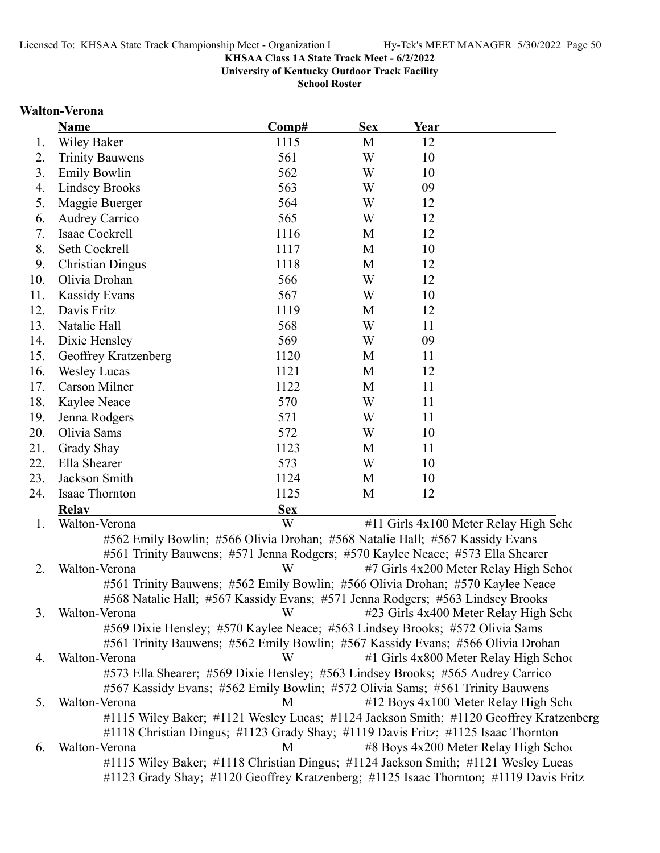**University of Kentucky Outdoor Track Facility**

**School Roster**

#### **Walton-Verona**

| <b>Wiley Baker</b><br>1115<br>M<br>12<br>1.<br>561<br>W<br>10<br>2.<br><b>Trinity Bauwens</b><br><b>Emily Bowlin</b><br>562<br>W<br>3.<br>10<br>563<br><b>Lindsey Brooks</b><br>W<br>09<br>4.<br>564<br>W<br>12<br>5.<br>Maggie Buerger<br>565<br><b>Audrey Carrico</b><br>W<br>12<br>6.<br>1116<br>Isaac Cockrell<br>12<br>7.<br>M<br>8.<br>1117<br>Seth Cockrell<br>M<br>10<br>9.<br><b>Christian Dingus</b><br>1118<br>M<br>12<br>10.<br>Olivia Drohan<br>566<br>W<br>12<br>567<br><b>Kassidy Evans</b><br>W<br>11.<br>10<br>1119<br>12.<br>Davis Fritz<br>12<br>M<br>568<br>W<br>13.<br>Natalie Hall<br>11<br>Dixie Hensley<br>569<br>W<br>14.<br>09<br>15.<br>1120<br>Geoffrey Kratzenberg<br>M<br>11<br>1121<br>16.<br><b>Wesley Lucas</b><br>M<br>12<br>17.<br>Carson Milner<br>1122<br>M<br>11<br>18.<br>Kaylee Neace<br>570<br>W<br>11<br>19.<br>571<br>W<br>Jenna Rodgers<br>11<br>20.<br>Olivia Sams<br>572<br>W<br>10<br>21.<br>Grady Shay<br>1123<br>M<br>11<br>Ella Shearer<br>573<br>22.<br>W<br>10<br>1124<br>23.<br>Jackson Smith<br>M<br>10<br>Isaac Thornton<br>1125<br>24.<br>M<br>12<br><b>Sex</b><br><b>Relav</b><br>W<br>Walton-Verona<br>#11 Girls 4x100 Meter Relay High Scho<br>1.<br>#562 Emily Bowlin; #566 Olivia Drohan; #568 Natalie Hall; #567 Kassidy Evans<br>#561 Trinity Bauwens; #571 Jenna Rodgers; #570 Kaylee Neace; #573 Ella Shearer<br>W<br>2.<br>Walton-Verona<br>#7 Girls 4x200 Meter Relay High School<br>#561 Trinity Bauwens; #562 Emily Bowlin; #566 Olivia Drohan; #570 Kaylee Neace<br>#568 Natalie Hall; #567 Kassidy Evans; #571 Jenna Rodgers; #563 Lindsey Brooks<br>3.<br>Walton-Verona<br>#23 Girls 4x400 Meter Relay High Scho<br>W<br>#569 Dixie Hensley; #570 Kaylee Neace; #563 Lindsey Brooks; #572 Olivia Sams<br>#561 Trinity Bauwens; #562 Emily Bowlin; #567 Kassidy Evans; #566 Olivia Drohan<br>#1 Girls 4x800 Meter Relay High School<br>Walton-Verona<br>W<br>4.<br>#573 Ella Shearer; #569 Dixie Hensley; #563 Lindsey Brooks; #565 Audrey Carrico<br>#567 Kassidy Evans; #562 Emily Bowlin; #572 Olivia Sams; #561 Trinity Bauwens<br>Walton-Verona<br>#12 Boys 4x100 Meter Relay High Scho<br>M<br>5.<br>#1115 Wiley Baker; #1121 Wesley Lucas; #1124 Jackson Smith; #1120 Geoffrey Kratzenberg<br>#1118 Christian Dingus; #1123 Grady Shay; #1119 Davis Fritz; #1125 Isaac Thornton<br>#8 Boys 4x200 Meter Relay High School<br>Walton-Verona<br>M<br>6.<br>#1115 Wiley Baker; #1118 Christian Dingus; #1124 Jackson Smith; #1121 Wesley Lucas | <b>Name</b> | Comp# | <b>Sex</b> | Year |  |
|--------------------------------------------------------------------------------------------------------------------------------------------------------------------------------------------------------------------------------------------------------------------------------------------------------------------------------------------------------------------------------------------------------------------------------------------------------------------------------------------------------------------------------------------------------------------------------------------------------------------------------------------------------------------------------------------------------------------------------------------------------------------------------------------------------------------------------------------------------------------------------------------------------------------------------------------------------------------------------------------------------------------------------------------------------------------------------------------------------------------------------------------------------------------------------------------------------------------------------------------------------------------------------------------------------------------------------------------------------------------------------------------------------------------------------------------------------------------------------------------------------------------------------------------------------------------------------------------------------------------------------------------------------------------------------------------------------------------------------------------------------------------------------------------------------------------------------------------------------------------------------------------------------------------------------------------------------------------------------------------------------------------------------------------------------------------------------------------------------------------------------------------------------------------------------------------------------------------------------------------------------------------------------------------------------------------------------------------------------------------------------------------------------------------------------------------------------------------------------------------------------------------------|-------------|-------|------------|------|--|
|                                                                                                                                                                                                                                                                                                                                                                                                                                                                                                                                                                                                                                                                                                                                                                                                                                                                                                                                                                                                                                                                                                                                                                                                                                                                                                                                                                                                                                                                                                                                                                                                                                                                                                                                                                                                                                                                                                                                                                                                                                                                                                                                                                                                                                                                                                                                                                                                                                                                                                                          |             |       |            |      |  |
|                                                                                                                                                                                                                                                                                                                                                                                                                                                                                                                                                                                                                                                                                                                                                                                                                                                                                                                                                                                                                                                                                                                                                                                                                                                                                                                                                                                                                                                                                                                                                                                                                                                                                                                                                                                                                                                                                                                                                                                                                                                                                                                                                                                                                                                                                                                                                                                                                                                                                                                          |             |       |            |      |  |
|                                                                                                                                                                                                                                                                                                                                                                                                                                                                                                                                                                                                                                                                                                                                                                                                                                                                                                                                                                                                                                                                                                                                                                                                                                                                                                                                                                                                                                                                                                                                                                                                                                                                                                                                                                                                                                                                                                                                                                                                                                                                                                                                                                                                                                                                                                                                                                                                                                                                                                                          |             |       |            |      |  |
|                                                                                                                                                                                                                                                                                                                                                                                                                                                                                                                                                                                                                                                                                                                                                                                                                                                                                                                                                                                                                                                                                                                                                                                                                                                                                                                                                                                                                                                                                                                                                                                                                                                                                                                                                                                                                                                                                                                                                                                                                                                                                                                                                                                                                                                                                                                                                                                                                                                                                                                          |             |       |            |      |  |
|                                                                                                                                                                                                                                                                                                                                                                                                                                                                                                                                                                                                                                                                                                                                                                                                                                                                                                                                                                                                                                                                                                                                                                                                                                                                                                                                                                                                                                                                                                                                                                                                                                                                                                                                                                                                                                                                                                                                                                                                                                                                                                                                                                                                                                                                                                                                                                                                                                                                                                                          |             |       |            |      |  |
|                                                                                                                                                                                                                                                                                                                                                                                                                                                                                                                                                                                                                                                                                                                                                                                                                                                                                                                                                                                                                                                                                                                                                                                                                                                                                                                                                                                                                                                                                                                                                                                                                                                                                                                                                                                                                                                                                                                                                                                                                                                                                                                                                                                                                                                                                                                                                                                                                                                                                                                          |             |       |            |      |  |
|                                                                                                                                                                                                                                                                                                                                                                                                                                                                                                                                                                                                                                                                                                                                                                                                                                                                                                                                                                                                                                                                                                                                                                                                                                                                                                                                                                                                                                                                                                                                                                                                                                                                                                                                                                                                                                                                                                                                                                                                                                                                                                                                                                                                                                                                                                                                                                                                                                                                                                                          |             |       |            |      |  |
|                                                                                                                                                                                                                                                                                                                                                                                                                                                                                                                                                                                                                                                                                                                                                                                                                                                                                                                                                                                                                                                                                                                                                                                                                                                                                                                                                                                                                                                                                                                                                                                                                                                                                                                                                                                                                                                                                                                                                                                                                                                                                                                                                                                                                                                                                                                                                                                                                                                                                                                          |             |       |            |      |  |
|                                                                                                                                                                                                                                                                                                                                                                                                                                                                                                                                                                                                                                                                                                                                                                                                                                                                                                                                                                                                                                                                                                                                                                                                                                                                                                                                                                                                                                                                                                                                                                                                                                                                                                                                                                                                                                                                                                                                                                                                                                                                                                                                                                                                                                                                                                                                                                                                                                                                                                                          |             |       |            |      |  |
|                                                                                                                                                                                                                                                                                                                                                                                                                                                                                                                                                                                                                                                                                                                                                                                                                                                                                                                                                                                                                                                                                                                                                                                                                                                                                                                                                                                                                                                                                                                                                                                                                                                                                                                                                                                                                                                                                                                                                                                                                                                                                                                                                                                                                                                                                                                                                                                                                                                                                                                          |             |       |            |      |  |
|                                                                                                                                                                                                                                                                                                                                                                                                                                                                                                                                                                                                                                                                                                                                                                                                                                                                                                                                                                                                                                                                                                                                                                                                                                                                                                                                                                                                                                                                                                                                                                                                                                                                                                                                                                                                                                                                                                                                                                                                                                                                                                                                                                                                                                                                                                                                                                                                                                                                                                                          |             |       |            |      |  |
|                                                                                                                                                                                                                                                                                                                                                                                                                                                                                                                                                                                                                                                                                                                                                                                                                                                                                                                                                                                                                                                                                                                                                                                                                                                                                                                                                                                                                                                                                                                                                                                                                                                                                                                                                                                                                                                                                                                                                                                                                                                                                                                                                                                                                                                                                                                                                                                                                                                                                                                          |             |       |            |      |  |
|                                                                                                                                                                                                                                                                                                                                                                                                                                                                                                                                                                                                                                                                                                                                                                                                                                                                                                                                                                                                                                                                                                                                                                                                                                                                                                                                                                                                                                                                                                                                                                                                                                                                                                                                                                                                                                                                                                                                                                                                                                                                                                                                                                                                                                                                                                                                                                                                                                                                                                                          |             |       |            |      |  |
|                                                                                                                                                                                                                                                                                                                                                                                                                                                                                                                                                                                                                                                                                                                                                                                                                                                                                                                                                                                                                                                                                                                                                                                                                                                                                                                                                                                                                                                                                                                                                                                                                                                                                                                                                                                                                                                                                                                                                                                                                                                                                                                                                                                                                                                                                                                                                                                                                                                                                                                          |             |       |            |      |  |
|                                                                                                                                                                                                                                                                                                                                                                                                                                                                                                                                                                                                                                                                                                                                                                                                                                                                                                                                                                                                                                                                                                                                                                                                                                                                                                                                                                                                                                                                                                                                                                                                                                                                                                                                                                                                                                                                                                                                                                                                                                                                                                                                                                                                                                                                                                                                                                                                                                                                                                                          |             |       |            |      |  |
|                                                                                                                                                                                                                                                                                                                                                                                                                                                                                                                                                                                                                                                                                                                                                                                                                                                                                                                                                                                                                                                                                                                                                                                                                                                                                                                                                                                                                                                                                                                                                                                                                                                                                                                                                                                                                                                                                                                                                                                                                                                                                                                                                                                                                                                                                                                                                                                                                                                                                                                          |             |       |            |      |  |
|                                                                                                                                                                                                                                                                                                                                                                                                                                                                                                                                                                                                                                                                                                                                                                                                                                                                                                                                                                                                                                                                                                                                                                                                                                                                                                                                                                                                                                                                                                                                                                                                                                                                                                                                                                                                                                                                                                                                                                                                                                                                                                                                                                                                                                                                                                                                                                                                                                                                                                                          |             |       |            |      |  |
|                                                                                                                                                                                                                                                                                                                                                                                                                                                                                                                                                                                                                                                                                                                                                                                                                                                                                                                                                                                                                                                                                                                                                                                                                                                                                                                                                                                                                                                                                                                                                                                                                                                                                                                                                                                                                                                                                                                                                                                                                                                                                                                                                                                                                                                                                                                                                                                                                                                                                                                          |             |       |            |      |  |
|                                                                                                                                                                                                                                                                                                                                                                                                                                                                                                                                                                                                                                                                                                                                                                                                                                                                                                                                                                                                                                                                                                                                                                                                                                                                                                                                                                                                                                                                                                                                                                                                                                                                                                                                                                                                                                                                                                                                                                                                                                                                                                                                                                                                                                                                                                                                                                                                                                                                                                                          |             |       |            |      |  |
|                                                                                                                                                                                                                                                                                                                                                                                                                                                                                                                                                                                                                                                                                                                                                                                                                                                                                                                                                                                                                                                                                                                                                                                                                                                                                                                                                                                                                                                                                                                                                                                                                                                                                                                                                                                                                                                                                                                                                                                                                                                                                                                                                                                                                                                                                                                                                                                                                                                                                                                          |             |       |            |      |  |
|                                                                                                                                                                                                                                                                                                                                                                                                                                                                                                                                                                                                                                                                                                                                                                                                                                                                                                                                                                                                                                                                                                                                                                                                                                                                                                                                                                                                                                                                                                                                                                                                                                                                                                                                                                                                                                                                                                                                                                                                                                                                                                                                                                                                                                                                                                                                                                                                                                                                                                                          |             |       |            |      |  |
|                                                                                                                                                                                                                                                                                                                                                                                                                                                                                                                                                                                                                                                                                                                                                                                                                                                                                                                                                                                                                                                                                                                                                                                                                                                                                                                                                                                                                                                                                                                                                                                                                                                                                                                                                                                                                                                                                                                                                                                                                                                                                                                                                                                                                                                                                                                                                                                                                                                                                                                          |             |       |            |      |  |
|                                                                                                                                                                                                                                                                                                                                                                                                                                                                                                                                                                                                                                                                                                                                                                                                                                                                                                                                                                                                                                                                                                                                                                                                                                                                                                                                                                                                                                                                                                                                                                                                                                                                                                                                                                                                                                                                                                                                                                                                                                                                                                                                                                                                                                                                                                                                                                                                                                                                                                                          |             |       |            |      |  |
|                                                                                                                                                                                                                                                                                                                                                                                                                                                                                                                                                                                                                                                                                                                                                                                                                                                                                                                                                                                                                                                                                                                                                                                                                                                                                                                                                                                                                                                                                                                                                                                                                                                                                                                                                                                                                                                                                                                                                                                                                                                                                                                                                                                                                                                                                                                                                                                                                                                                                                                          |             |       |            |      |  |
|                                                                                                                                                                                                                                                                                                                                                                                                                                                                                                                                                                                                                                                                                                                                                                                                                                                                                                                                                                                                                                                                                                                                                                                                                                                                                                                                                                                                                                                                                                                                                                                                                                                                                                                                                                                                                                                                                                                                                                                                                                                                                                                                                                                                                                                                                                                                                                                                                                                                                                                          |             |       |            |      |  |
|                                                                                                                                                                                                                                                                                                                                                                                                                                                                                                                                                                                                                                                                                                                                                                                                                                                                                                                                                                                                                                                                                                                                                                                                                                                                                                                                                                                                                                                                                                                                                                                                                                                                                                                                                                                                                                                                                                                                                                                                                                                                                                                                                                                                                                                                                                                                                                                                                                                                                                                          |             |       |            |      |  |
|                                                                                                                                                                                                                                                                                                                                                                                                                                                                                                                                                                                                                                                                                                                                                                                                                                                                                                                                                                                                                                                                                                                                                                                                                                                                                                                                                                                                                                                                                                                                                                                                                                                                                                                                                                                                                                                                                                                                                                                                                                                                                                                                                                                                                                                                                                                                                                                                                                                                                                                          |             |       |            |      |  |
|                                                                                                                                                                                                                                                                                                                                                                                                                                                                                                                                                                                                                                                                                                                                                                                                                                                                                                                                                                                                                                                                                                                                                                                                                                                                                                                                                                                                                                                                                                                                                                                                                                                                                                                                                                                                                                                                                                                                                                                                                                                                                                                                                                                                                                                                                                                                                                                                                                                                                                                          |             |       |            |      |  |
|                                                                                                                                                                                                                                                                                                                                                                                                                                                                                                                                                                                                                                                                                                                                                                                                                                                                                                                                                                                                                                                                                                                                                                                                                                                                                                                                                                                                                                                                                                                                                                                                                                                                                                                                                                                                                                                                                                                                                                                                                                                                                                                                                                                                                                                                                                                                                                                                                                                                                                                          |             |       |            |      |  |
|                                                                                                                                                                                                                                                                                                                                                                                                                                                                                                                                                                                                                                                                                                                                                                                                                                                                                                                                                                                                                                                                                                                                                                                                                                                                                                                                                                                                                                                                                                                                                                                                                                                                                                                                                                                                                                                                                                                                                                                                                                                                                                                                                                                                                                                                                                                                                                                                                                                                                                                          |             |       |            |      |  |
|                                                                                                                                                                                                                                                                                                                                                                                                                                                                                                                                                                                                                                                                                                                                                                                                                                                                                                                                                                                                                                                                                                                                                                                                                                                                                                                                                                                                                                                                                                                                                                                                                                                                                                                                                                                                                                                                                                                                                                                                                                                                                                                                                                                                                                                                                                                                                                                                                                                                                                                          |             |       |            |      |  |
|                                                                                                                                                                                                                                                                                                                                                                                                                                                                                                                                                                                                                                                                                                                                                                                                                                                                                                                                                                                                                                                                                                                                                                                                                                                                                                                                                                                                                                                                                                                                                                                                                                                                                                                                                                                                                                                                                                                                                                                                                                                                                                                                                                                                                                                                                                                                                                                                                                                                                                                          |             |       |            |      |  |
|                                                                                                                                                                                                                                                                                                                                                                                                                                                                                                                                                                                                                                                                                                                                                                                                                                                                                                                                                                                                                                                                                                                                                                                                                                                                                                                                                                                                                                                                                                                                                                                                                                                                                                                                                                                                                                                                                                                                                                                                                                                                                                                                                                                                                                                                                                                                                                                                                                                                                                                          |             |       |            |      |  |
|                                                                                                                                                                                                                                                                                                                                                                                                                                                                                                                                                                                                                                                                                                                                                                                                                                                                                                                                                                                                                                                                                                                                                                                                                                                                                                                                                                                                                                                                                                                                                                                                                                                                                                                                                                                                                                                                                                                                                                                                                                                                                                                                                                                                                                                                                                                                                                                                                                                                                                                          |             |       |            |      |  |
|                                                                                                                                                                                                                                                                                                                                                                                                                                                                                                                                                                                                                                                                                                                                                                                                                                                                                                                                                                                                                                                                                                                                                                                                                                                                                                                                                                                                                                                                                                                                                                                                                                                                                                                                                                                                                                                                                                                                                                                                                                                                                                                                                                                                                                                                                                                                                                                                                                                                                                                          |             |       |            |      |  |
|                                                                                                                                                                                                                                                                                                                                                                                                                                                                                                                                                                                                                                                                                                                                                                                                                                                                                                                                                                                                                                                                                                                                                                                                                                                                                                                                                                                                                                                                                                                                                                                                                                                                                                                                                                                                                                                                                                                                                                                                                                                                                                                                                                                                                                                                                                                                                                                                                                                                                                                          |             |       |            |      |  |
|                                                                                                                                                                                                                                                                                                                                                                                                                                                                                                                                                                                                                                                                                                                                                                                                                                                                                                                                                                                                                                                                                                                                                                                                                                                                                                                                                                                                                                                                                                                                                                                                                                                                                                                                                                                                                                                                                                                                                                                                                                                                                                                                                                                                                                                                                                                                                                                                                                                                                                                          |             |       |            |      |  |
|                                                                                                                                                                                                                                                                                                                                                                                                                                                                                                                                                                                                                                                                                                                                                                                                                                                                                                                                                                                                                                                                                                                                                                                                                                                                                                                                                                                                                                                                                                                                                                                                                                                                                                                                                                                                                                                                                                                                                                                                                                                                                                                                                                                                                                                                                                                                                                                                                                                                                                                          |             |       |            |      |  |
|                                                                                                                                                                                                                                                                                                                                                                                                                                                                                                                                                                                                                                                                                                                                                                                                                                                                                                                                                                                                                                                                                                                                                                                                                                                                                                                                                                                                                                                                                                                                                                                                                                                                                                                                                                                                                                                                                                                                                                                                                                                                                                                                                                                                                                                                                                                                                                                                                                                                                                                          |             |       |            |      |  |
|                                                                                                                                                                                                                                                                                                                                                                                                                                                                                                                                                                                                                                                                                                                                                                                                                                                                                                                                                                                                                                                                                                                                                                                                                                                                                                                                                                                                                                                                                                                                                                                                                                                                                                                                                                                                                                                                                                                                                                                                                                                                                                                                                                                                                                                                                                                                                                                                                                                                                                                          |             |       |            |      |  |
|                                                                                                                                                                                                                                                                                                                                                                                                                                                                                                                                                                                                                                                                                                                                                                                                                                                                                                                                                                                                                                                                                                                                                                                                                                                                                                                                                                                                                                                                                                                                                                                                                                                                                                                                                                                                                                                                                                                                                                                                                                                                                                                                                                                                                                                                                                                                                                                                                                                                                                                          |             |       |            |      |  |

#1123 Grady Shay; #1120 Geoffrey Kratzenberg; #1125 Isaac Thornton; #1119 Davis Fritz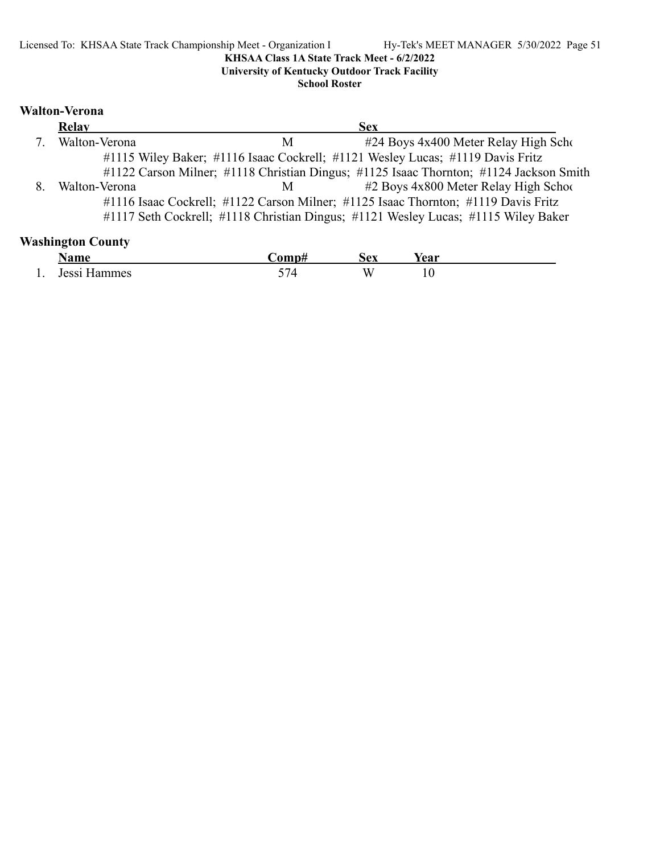**University of Kentucky Outdoor Track Facility**

**School Roster**

### **Walton-Verona**

| Relay         |   | <b>Sex</b>                                                                             |
|---------------|---|----------------------------------------------------------------------------------------|
| Walton-Verona | M | #24 Boys 4x400 Meter Relay High Scho                                                   |
|               |   | #1115 Wiley Baker; #1116 Isaac Cockrell; #1121 Wesley Lucas; #1119 Davis Fritz         |
|               |   | #1122 Carson Milner; #1118 Christian Dingus; #1125 Isaac Thornton; #1124 Jackson Smith |
| Walton-Verona | M | #2 Boys 4x800 Meter Relay High School                                                  |
|               |   | #1116 Isaac Cockrell; #1122 Carson Milner; #1125 Isaac Thornton; #1119 Davis Fritz     |
|               |   | #1117 Seth Cockrell; #1118 Christian Dingus; #1121 Wesley Lucas; #1115 Wiley Baker     |

### **Washington County**

|     | $\mathbf{v}$<br>Nome             | `omnt         | -<br>. Av | ∕ear                                   |
|-----|----------------------------------|---------------|-----------|----------------------------------------|
| . . | $\cdot$ $\cdot$ $\cdot$<br>10001 | --<br>′⊿<br>ັ | w         | 1 V<br>the contract of the contract of |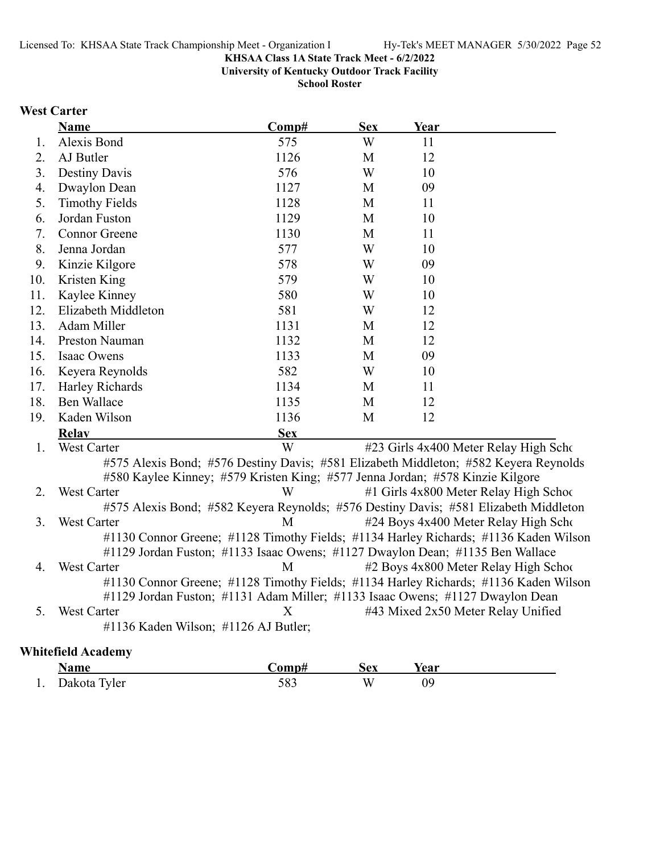**University of Kentucky Outdoor Track Facility**

**School Roster**

### **West Carter**

|     | Name                                                                                 | Comp#      | <b>Sex</b> | Year |                                        |
|-----|--------------------------------------------------------------------------------------|------------|------------|------|----------------------------------------|
| 1.  | Alexis Bond                                                                          | 575        | W          | 11   |                                        |
| 2.  | AJ Butler                                                                            | 1126       | M          | 12   |                                        |
| 3.  | <b>Destiny Davis</b>                                                                 | 576        | W          | 10   |                                        |
| 4.  | Dwaylon Dean                                                                         | 1127       | M          | 09   |                                        |
| 5.  | <b>Timothy Fields</b>                                                                | 1128       | M          | 11   |                                        |
| 6.  | Jordan Fuston                                                                        | 1129       | M          | 10   |                                        |
| 7.  | <b>Connor Greene</b>                                                                 | 1130       | M          | 11   |                                        |
| 8.  | Jenna Jordan                                                                         | 577        | W          | 10   |                                        |
| 9.  | Kinzie Kilgore                                                                       | 578        | W          | 09   |                                        |
| 10. | Kristen King                                                                         | 579        | W          | 10   |                                        |
| 11. | Kaylee Kinney                                                                        | 580        | W          | 10   |                                        |
| 12. | Elizabeth Middleton                                                                  | 581        | W          | 12   |                                        |
| 13. | Adam Miller                                                                          | 1131       | M          | 12   |                                        |
| 14. | <b>Preston Nauman</b>                                                                | 1132       | M          | 12   |                                        |
| 15. | Isaac Owens                                                                          | 1133       | M          | 09   |                                        |
| 16. | Keyera Reynolds                                                                      | 582        | W          | 10   |                                        |
| 17. | Harley Richards                                                                      | 1134       | M          | 11   |                                        |
| 18. | <b>Ben Wallace</b>                                                                   | 1135       | M          | 12   |                                        |
| 19. | Kaden Wilson                                                                         | 1136       | M          | 12   |                                        |
|     | <b>Relay</b>                                                                         | <b>Sex</b> |            |      |                                        |
| 1.  | West Carter                                                                          | W          |            |      | #23 Girls 4x400 Meter Relay High Scho  |
|     | #575 Alexis Bond; #576 Destiny Davis; #581 Elizabeth Middleton; #582 Keyera Reynolds |            |            |      |                                        |
|     | #580 Kaylee Kinney; #579 Kristen King; #577 Jenna Jordan; #578 Kinzie Kilgore        |            |            |      |                                        |
| 2.  | <b>West Carter</b>                                                                   | W          |            |      | #1 Girls 4x800 Meter Relay High School |
|     | #575 Alexis Bond; #582 Keyera Reynolds; #576 Destiny Davis; #581 Elizabeth Middleton |            |            |      |                                        |
| 3.  | <b>West Carter</b>                                                                   | M          |            |      | #24 Boys 4x400 Meter Relay High Scho   |
|     | #1130 Connor Greene; #1128 Timothy Fields; #1134 Harley Richards; #1136 Kaden Wilson |            |            |      |                                        |
|     | #1129 Jordan Fuston; #1133 Isaac Owens; #1127 Dwaylon Dean; #1135 Ben Wallace        |            |            |      |                                        |
| 4.  | <b>West Carter</b>                                                                   | M          |            |      | #2 Boys 4x800 Meter Relay High School  |
|     | #1130 Connor Greene; #1128 Timothy Fields; #1134 Harley Richards; #1136 Kaden Wilson |            |            |      |                                        |
|     | #1129 Jordan Fuston; #1131 Adam Miller; #1133 Isaac Owens; #1127 Dwaylon Dean        | X          |            |      |                                        |
| 5.  | West Carter                                                                          |            |            |      | #43 Mixed 2x50 Meter Relay Unified     |
|     | #1136 Kaden Wilson; #1126 AJ Butler;                                                 |            |            |      |                                        |
|     | <b>Whitefield Academy</b>                                                            |            |            |      |                                        |

|     | Name         | `omn# | Sex | rear |  |
|-----|--------------|-------|-----|------|--|
| . . | Dakota Tyler | 583   | W   | 09   |  |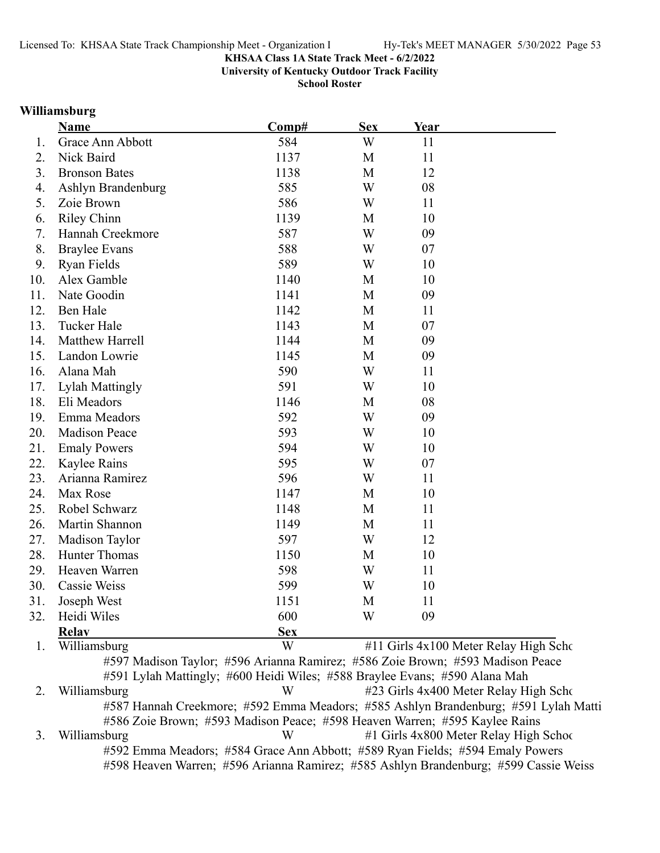**University of Kentucky Outdoor Track Facility**

**School Roster**

#### **Williamsburg**

|     | Name                             | Comp#      | <b>Sex</b> | <b>Year</b> |                                                                             |
|-----|----------------------------------|------------|------------|-------------|-----------------------------------------------------------------------------|
| 1.  | Grace Ann Abbott                 | 584        | W          | 11          |                                                                             |
| 2.  | Nick Baird                       | 1137       | M          | 11          |                                                                             |
| 3.  | <b>Bronson Bates</b>             | 1138       | M          | 12          |                                                                             |
| 4.  | Ashlyn Brandenburg               | 585        | W          | 08          |                                                                             |
| 5.  | Zoie Brown                       | 586        | W          | 11          |                                                                             |
| 6.  | <b>Riley Chinn</b>               | 1139       | M          | 10          |                                                                             |
| 7.  | Hannah Creekmore                 | 587        | W          | 09          |                                                                             |
| 8.  | <b>Braylee Evans</b>             | 588        | W          | 07          |                                                                             |
| 9.  | Ryan Fields                      | 589        | W          | 10          |                                                                             |
| 10. | Alex Gamble                      | 1140       | M          | 10          |                                                                             |
| 11. | Nate Goodin                      | 1141       | M          | 09          |                                                                             |
| 12. | Ben Hale                         | 1142       | M          | 11          |                                                                             |
| 13. | <b>Tucker Hale</b>               | 1143       | M          | 07          |                                                                             |
| 14. | Matthew Harrell                  | 1144       | M          | 09          |                                                                             |
| 15. | Landon Lowrie                    | 1145       | M          | 09          |                                                                             |
| 16. | Alana Mah                        | 590        | W          | 11          |                                                                             |
| 17. | <b>Lylah Mattingly</b>           | 591        | W          | 10          |                                                                             |
| 18. | Eli Meadors                      | 1146       | M          | 08          |                                                                             |
| 19. | Emma Meadors                     | 592        | W          | 09          |                                                                             |
| 20. | <b>Madison Peace</b>             | 593        | W          | 10          |                                                                             |
| 21. | <b>Emaly Powers</b>              | 594        | W          | 10          |                                                                             |
| 22. | Kaylee Rains                     | 595        | W          | 07          |                                                                             |
| 23. | Arianna Ramirez                  | 596        | W          | 11          |                                                                             |
| 24. | Max Rose                         | 1147       | M          | 10          |                                                                             |
| 25. | Robel Schwarz                    | 1148       | M          | 11          |                                                                             |
| 26. | Martin Shannon                   | 1149       | M          | 11          |                                                                             |
| 27. | Madison Taylor                   | 597        | W          | 12          |                                                                             |
| 28. | <b>Hunter Thomas</b>             | 1150       | M          | 10          |                                                                             |
| 29. | Heaven Warren                    | 598        | W          | 11          |                                                                             |
| 30. | Cassie Weiss                     | 599        | W          | 10          |                                                                             |
| 31. | Joseph West                      | 1151       | M          | 11          |                                                                             |
| 32. | Heidi Wiles                      | 600        | W          | 09          |                                                                             |
|     | <b>Relay</b>                     | <b>Sex</b> |            |             |                                                                             |
| 1.  | $\bf W1$ $\bf 11$ $\bf $ $\bf 1$ | <b>II</b>  |            |             | $\mu$ 11 $\Omega$ , 1. $\mu$ , 100 M, $\mu$ , $\Omega$ , 1. TI, 1. $\Omega$ |

1. Williamsburg W #11 Girls 4x100 Meter Relay High Scho #597 Madison Taylor; #596 Arianna Ramirez; #586 Zoie Brown; #593 Madison Peace #591 Lylah Mattingly; #600 Heidi Wiles; #588 Braylee Evans; #590 Alana Mah 2. Williamsburg W #23 Girls 4x400 Meter Relay High Scho #587 Hannah Creekmore; #592 Emma Meadors; #585 Ashlyn Brandenburg; #591 Lylah Matti #586 Zoie Brown; #593 Madison Peace; #598 Heaven Warren; #595 Kaylee Rains 3. Williamsburg W #1 Girls 4x800 Meter Relay High School #592 Emma Meadors; #584 Grace Ann Abbott; #589 Ryan Fields; #594 Emaly Powers #598 Heaven Warren; #596 Arianna Ramirez; #585 Ashlyn Brandenburg; #599 Cassie Weiss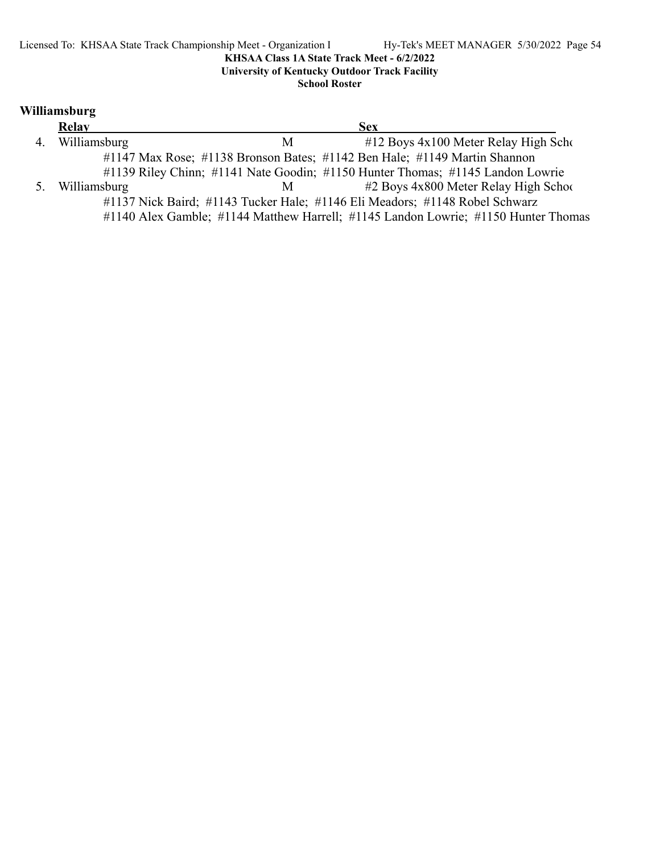**University of Kentucky Outdoor Track Facility**

**School Roster**

### **Williamsburg**

|    | Relay        |   | <b>Sex</b>                                                                         |  |
|----|--------------|---|------------------------------------------------------------------------------------|--|
| 4. | Williamsburg | M | $\#12$ Boys $4x100$ Meter Relay High Scho                                          |  |
|    |              |   | #1147 Max Rose; #1138 Bronson Bates; #1142 Ben Hale; #1149 Martin Shannon          |  |
|    |              |   | #1139 Riley Chinn; #1141 Nate Goodin; #1150 Hunter Thomas; #1145 Landon Lowrie     |  |
| 5. | Williamsburg | M | #2 Boys 4x800 Meter Relay High School                                              |  |
|    |              |   | #1137 Nick Baird; #1143 Tucker Hale; #1146 Eli Meadors; #1148 Robel Schwarz        |  |
|    |              |   | #1140 Alex Gamble; #1144 Matthew Harrell; #1145 Landon Lowrie; #1150 Hunter Thomas |  |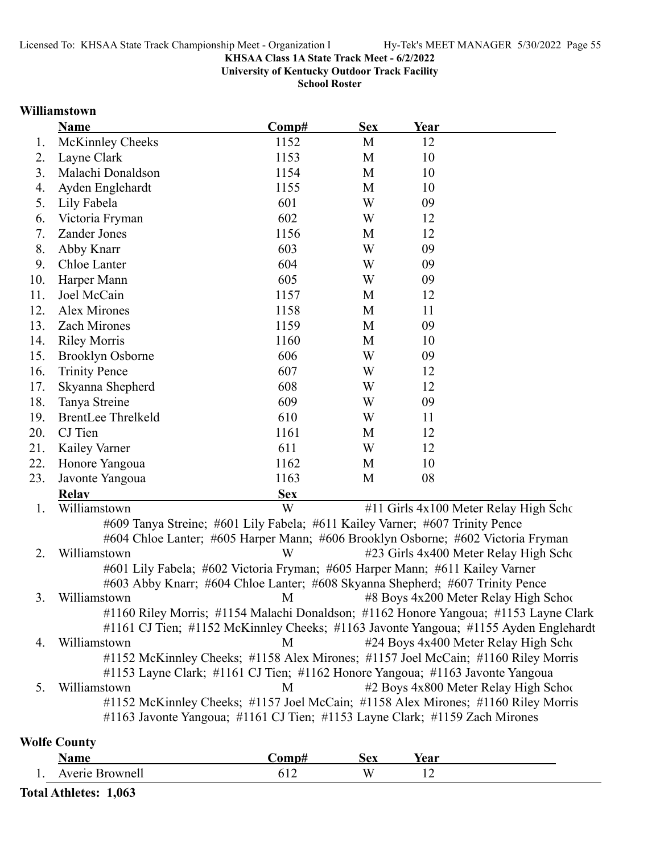**University of Kentucky Outdoor Track Facility**

**School Roster**

#### **Williamstown**

|     | <b>Name</b>               | Comp#      | <b>Sex</b> | Year                    |                                    |
|-----|---------------------------|------------|------------|-------------------------|------------------------------------|
| 1.  | McKinnley Cheeks          | 1152       | M          | 12                      |                                    |
| 2.  | Layne Clark               | 1153       | M          | 10                      |                                    |
| 3.  | Malachi Donaldson         | 1154       | M          | 10                      |                                    |
| 4.  | Ayden Englehardt          | 1155       | M          | 10                      |                                    |
| 5.  | Lily Fabela               | 601        | W          | 09                      |                                    |
| 6.  | Victoria Fryman           | 602        | W          | 12                      |                                    |
| 7.  | Zander Jones              | 1156       | M          | 12                      |                                    |
| 8.  | Abby Knarr                | 603        | W          | 09                      |                                    |
| 9.  | Chloe Lanter              | 604        | W          | 09                      |                                    |
| 10. | Harper Mann               | 605        | W          | 09                      |                                    |
| 11. | Joel McCain               | 1157       | M          | 12                      |                                    |
| 12. | Alex Mirones              | 1158       | M          | 11                      |                                    |
| 13. | Zach Mirones              | 1159       | M          | 09                      |                                    |
| 14. | <b>Riley Morris</b>       | 1160       | M          | 10                      |                                    |
| 15. | <b>Brooklyn Osborne</b>   | 606        | W          | 09                      |                                    |
| 16. | <b>Trinity Pence</b>      | 607        | W          | 12                      |                                    |
| 17. | Skyanna Shepherd          | 608        | W          | 12                      |                                    |
| 18. | Tanya Streine             | 609        | W          | 09                      |                                    |
| 19. | <b>BrentLee Threlkeld</b> | 610        | W          | 11                      |                                    |
| 20. | CJ Tien                   | 1161       | M          | 12                      |                                    |
| 21. | Kailey Varner             | 611        | W          | 12                      |                                    |
| 22. | Honore Yangoua            | 1162       | M          | 10                      |                                    |
| 23. | Javonte Yangoua           | 1163       | M          | 08                      |                                    |
|     | <b>Relay</b>              | <b>Sex</b> |            |                         |                                    |
|     | <b>TT 7'11'</b>           | <b>TTT</b> |            | $1111 \cap 1$ $1110011$ | $TT'$ 1 $\alpha$<br>$\mathbf{r}$ 1 |

1. Williamstown W #11 Girls 4x100 Meter Relay High Scho #609 Tanya Streine; #601 Lily Fabela; #611 Kailey Varner; #607 Trinity Pence #604 Chloe Lanter; #605 Harper Mann; #606 Brooklyn Osborne; #602 Victoria Fryman 2. Williamstown W #23 Girls 4x400 Meter Relay High School #601 Lily Fabela; #602 Victoria Fryman; #605 Harper Mann; #611 Kailey Varner #603 Abby Knarr; #604 Chloe Lanter; #608 Skyanna Shepherd; #607 Trinity Pence 3. Williamstown M #8 Boys 4x200 Meter Relay High School #1160 Riley Morris; #1154 Malachi Donaldson; #1162 Honore Yangoua; #1153 Layne Clark #1161 CJ Tien; #1152 McKinnley Cheeks; #1163 Javonte Yangoua; #1155 Ayden Englehardt 4. Williamstown M #24 Boys 4x400 Meter Relay High Scho #1152 McKinnley Cheeks; #1158 Alex Mirones; #1157 Joel McCain; #1160 Riley Morris #1153 Layne Clark; #1161 CJ Tien; #1162 Honore Yangoua; #1163 Javonte Yangoua 5. Williamstown M #2 Boys 4x800 Meter Relay High School #1152 McKinnley Cheeks; #1157 Joel McCain; #1158 Alex Mirones; #1160 Riley Morris #1163 Javonte Yangoua; #1161 CJ Tien; #1153 Layne Clark; #1159 Zach Mirones

#### **Wolfe County**

|     | ⊾กmก<br>лашс                      | $'$ om $+$<br>◡◡ | :av<br><b>NUA</b> | /agr<br>тса    |  |
|-----|-----------------------------------|------------------|-------------------|----------------|--|
| д., | $\Lambda$ vario<br>and a "∽wnell" | $-$              | A.                | $\overline{ }$ |  |